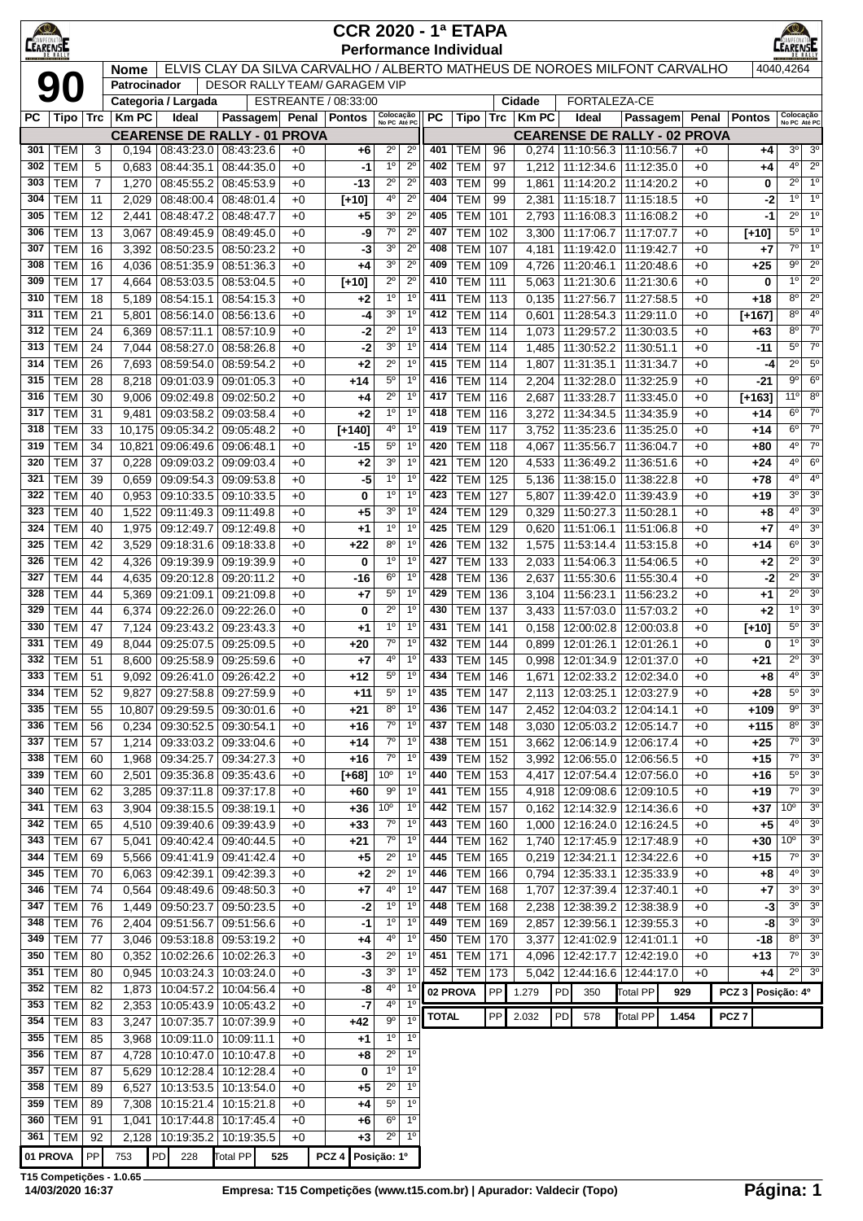| <b>KO</b><br><b>CEARENSE</b> |                          |                      |                 |                                     |                                                                           |              | <b>CCR 2020 - 1ª ETAPA</b> |                                  |                                    |              | <b>Performance Individual</b> |            |                |    |              |                                                                |              |                  |               | K©∕<br><b>EARENSE</b>       |                                              |
|------------------------------|--------------------------|----------------------|-----------------|-------------------------------------|---------------------------------------------------------------------------|--------------|----------------------------|----------------------------------|------------------------------------|--------------|-------------------------------|------------|----------------|----|--------------|----------------------------------------------------------------|--------------|------------------|---------------|-----------------------------|----------------------------------------------|
|                              |                          |                      | <b>Nome</b>     |                                     | ELVIS CLAY DA SILVA CARVALHO / ALBERTO MATHEUS DE NOROES MILFONT CARVALHO |              |                            |                                  |                                    |              |                               |            |                |    |              |                                                                |              |                  |               | 4040,4264                   |                                              |
|                              | 90                       |                      | Patrocinador    | Categoria / Largada                 | <b>DESOR RALLY TEAM/ GARAGEM VIP</b>                                      |              | ESTREANTE / 08:33:00       |                                  |                                    |              |                               |            | Cidade         |    | FORTALEZA-CE |                                                                |              |                  |               |                             |                                              |
| РC                           | Tipo                     | Trc                  | <b>KmPC</b>     | Ideal                               | <b>Passagem</b>                                                           |              | Penal   Pontos             | Colocação<br>No PC Até PC        |                                    | РC           | Tipo                          | <b>Trc</b> | $ $ Km PC      |    | Ideal        | <b>Passagem</b>                                                | Penal        | <b>Pontos</b>    |               | Colocação<br>No PC Até PC   |                                              |
|                              |                          |                      |                 |                                     | <b>CEARENSE DE RALLY - 01 PROVA</b>                                       |              |                            |                                  |                                    |              |                               |            |                |    |              | <b>CEARENSE DE RALLY - 02 PROVA</b>                            |              |                  |               |                             |                                              |
| 301                          | <b>TEM</b>               | 3                    |                 |                                     | 0,194   08:43:23.0   08:43:23.6                                           | $+0$         | +6                         | $2^{\circ}$                      | $2^{\circ}$                        | 401          | TEM                           | 96         | 0,274          |    |              | 11:10:56.3   11:10:56.7                                        | $+0$         |                  | $+4$          | $3^{\circ}$                 | 3 <sup>0</sup>                               |
| 302                          | <b>TEM</b>               | 5                    | 0,683           | 08:44:35.1                          | 08:44:35.0                                                                | $+0$         | -1                         | 1 <sup>0</sup><br>$2^{\circ}$    | $2^{\circ}$<br>$2^{\circ}$         | 402<br>403   | <b>TEM</b>                    | 97         | 1,212          |    |              | 11:12:34.6 11:12:35.0                                          | $+0$         |                  | $+4$          | $4^{\circ}$<br>$2^{\circ}$  | $\overline{2^0}$<br>1 <sup>o</sup>           |
| 303<br>304                   | <b>TEM</b><br><b>TEM</b> | $\overline{7}$<br>11 | 1,270<br>2,029  | 08:45:55.2<br>08:48:00.4            | 08:45:53.9<br>08:48:01.4                                                  | $+0$<br>$+0$ | -13<br>[+10]               | 4º                               | $2^{\circ}$                        | 404          | <b>TEM</b><br><b>TEM</b>      | 99<br>99   | 1,861<br>2,381 |    |              | 11:14:20.2 11:14:20.2<br>11:15:18.7   11:15:18.5               | $+0$<br>$+0$ |                  | 0<br>-2       | $1^{\circ}$                 | 1 <sup>0</sup>                               |
| 305                          | <b>TEM</b>               | 12                   | 2,441           | 08:48:47.2                          | 08:48:47.7                                                                | $+0$         | $+5$                       | $3^{\circ}$                      | $2^{\circ}$                        | 405          | <b>TEM</b>                    | 101        | 2,793          |    |              | 11:16:08.3 11:16:08.2                                          | $+0$         |                  | -1            | $2^{\circ}$                 | 1 <sup>0</sup>                               |
| 306                          | <b>TEM</b>               | 13                   | 3,067           | 08:49:45.9                          | 08.49.45.0                                                                | $+0$         | -9                         | $7^\circ$                        | $2^{\circ}$                        | 407          | <b>TEM</b>                    | 102        | 3,300          |    | 11:17:06.7   | 11:17:07.7                                                     | $+0$         | $[+10]$          |               | $5^{\circ}$                 | 1 <sup>o</sup>                               |
| 307                          | <b>TEM</b>               | 16                   | 3,392           |                                     | 08:50:23.5   08:50:23.2                                                   | $+0$         | -3                         | 3 <sup>o</sup>                   | $2^{\circ}$                        | 408          | <b>TEM</b>                    | 107        | 4,181          |    |              | 11:19:42.0   11:19:42.7                                        | $+0$         |                  | +7            | 7º                          | 1 <sup>0</sup>                               |
| 308                          | <b>TEM</b>               | 16                   | 4,036           | 08:51:35.9                          | 08:51:36.3                                                                | $+0$         | +4                         | 30                               | $2^{\circ}$                        | 409          | <b>TEM</b>                    | 109        | 4,726          |    | 11:20:46.1   | 11:20:48.6                                                     | $+0$         |                  | $+25$         | 9º                          | $2^{\circ}$                                  |
| 309                          | <b>TEM</b>               | 17                   | 4,664           | 08:53:03.5 08:53:04.5               |                                                                           | $+0$         | $[+10]$                    | $2^{\circ}$                      | $2^{\circ}$                        | 410          | <b>TEM</b>                    | 111        | 5,063          |    |              | 11:21:30.6   11:21:30.6                                        | $+0$         |                  | 0             | 1 <sup>0</sup>              | $2^{\circ}$                                  |
| 310<br>311                   | <b>TEM</b>               | 18<br>21             | 5,189           | 08:54:15.1                          | 08:54:15.3                                                                | $+0$         | $+2$                       | 1 <sup>0</sup><br>3 <sup>o</sup> | 1 <sup>0</sup><br>1 <sup>0</sup>   | 411<br>412   | <b>TEM</b><br><b>TEM</b>      | 113<br>114 | 0,135<br>0.601 |    | 11:27:56.7   | 11:27:58.5                                                     | $+0$         |                  | $+18$         | $8^{\circ}$<br>$8^{\circ}$  | $\overline{2^0}$<br>4 <sup>0</sup>           |
| 312                          | <b>TEM</b><br><b>TEM</b> | 24                   | 5,801<br>6,369  | 08:56:14.0<br>08:57:11.1            | 08:56:13.6<br>08:57:10.9                                                  | $+0$<br>$+0$ | -4<br>$-2$                 | $2^{\circ}$                      | 1 <sup>0</sup>                     | 413          | <b>TEM</b>                    | 114        | 1,073          |    | 11:29:57.2   | 11:28:54.3   11:29:11.0<br>11:30:03.5                          | $+0$<br>$+0$ | $[+167]$         | +63           | 8°                          | $7^\circ$                                    |
| 313                          | <b>TEM</b>               | 24                   | 7,044           | 08:58:27.0                          | 08:58:26.8                                                                | $+0$         | -2                         | 3 <sup>o</sup>                   | 1 <sup>0</sup>                     | 414          | <b>TEM</b>                    | 114        | 1,485          |    | 11:30:52.2   | 11:30:51.1                                                     | $+0$         |                  | -11           | $5^{\circ}$                 | $7^\circ$                                    |
| 314                          | <b>TEM</b>               | 26                   | 7,693           | 08:59:54.0                          | 08:59:54.2                                                                | $+0$         | $+2$                       | $2^{\circ}$                      | 1 <sup>0</sup>                     | 415          | <b>TEM</b>                    | 114        | 1,807          |    | 11:31:35.1   | 11:31:34.7                                                     | $+0$         |                  | -4            | $2^{\circ}$                 | $5^{\circ}$                                  |
| 315                          | <b>TEM</b>               | 28                   | 8.218           | $09:01:03.9$ 09:01:05.3             |                                                                           | $+0$         | $+14$                      | $5^{\circ}$                      | 1 <sup>0</sup>                     | 416          | <b>TEM</b>                    | 114        | 2,204          |    | 11:32:28.0   | 11:32:25.9                                                     | $+0$         |                  | -21           | $9^{\circ}$                 | 6 <sup>o</sup>                               |
| 316                          | <b>TEM</b>               | 30                   | 9,006           | 09:02:49.8                          | 09:02:50.2                                                                | $+0$         | +4                         | $2^{\circ}$                      | 1 <sup>0</sup>                     | 417          | <b>TEM</b>                    | 116        | 2,687          |    | 11:33:28.7   | 11:33:45.0                                                     | $+0$         | $[+163]$         |               | 11°                         | $8^{\circ}$                                  |
| 317                          | <b>TEM</b>               | 31                   | 9,481           | $09:03:58.2$ 09:03:58.4             |                                                                           | $+0$         | $+2$                       | 1 <sup>0</sup>                   | 1 <sup>0</sup>                     | 418          | <b>TEM</b>                    | 116        | 3,272          |    |              | 11:34:34.5   11:34:35.9                                        | $+0$         |                  | +14           | $6^{\circ}$                 | $7^\circ$                                    |
| 318<br>319                   | <b>TEM</b><br><b>TEM</b> | 33<br>34             |                 | 10,175 09:05:34.2<br>09:06:49.6     | 09:05:48.2<br>09:06:48.1                                                  | $+0$<br>$+0$ | $[+140]$                   | 4º<br>$5^{\circ}$                | 1 <sup>0</sup><br>1 <sup>0</sup>   | 419<br>420   | <b>TEM</b><br>TEM             | 117<br>118 | 3,752          |    | 11:35:56.7   | 11:35:23.6   11:35:25.0                                        | $+0$         |                  | +14<br>$+80$  | $6^{\circ}$<br>$4^{\circ}$  | $7^\circ$<br>7 <sup>o</sup>                  |
| 320                          | <b>TEM</b>               | 37                   | 10,821<br>0,228 | 09:09:03.2                          | 09:09:03.4                                                                | $+0$         | -15<br>$+2$                | 3 <sup>o</sup>                   | 1 <sup>0</sup>                     | 421          | TEM                           | 120        | 4,067<br>4,533 |    | 11:36:49.2   | 11:36:04.7<br>11:36:51.6                                       | $+0$<br>$+0$ |                  | $+24$         | $4^{\circ}$                 | 6 <sup>o</sup>                               |
| 321                          | <b>TEM</b>               | 39                   | 0,659           |                                     | 09:09:54.3 09:09:53.8                                                     | $+0$         | -5                         | 1 <sup>0</sup>                   | 1 <sup>0</sup>                     | 422          | <b>TEM</b>                    | 125        | 5,136          |    |              | 11:38:15.0   11:38:22.8                                        | $+0$         |                  | $+78$         | $4^{\circ}$                 | 4 <sup>0</sup>                               |
| 322                          | <b>TEM</b>               | 40                   | 0,953           | 09:10:33.5                          | 09:10:33.5                                                                | $+0$         | 0                          | $1^{\circ}$                      | 1 <sup>0</sup>                     | 423          | <b>TEM</b>                    | 127        | 5,807          |    |              | 11:39:42.0   11:39:43.9                                        | $+0$         |                  | +19           | $3^{\circ}$                 | 3 <sup>o</sup>                               |
| 323                          | <b>TEM</b>               | 40                   | 1,522           | 09:11:49.3                          | 09:11:49.8                                                                | $+0$         | $+5$                       | 3 <sup>o</sup>                   | 1 <sup>0</sup>                     | 424          | <b>TEM</b>                    | 129        | 0,329          |    |              | 11:50:27.3   11:50:28.1                                        | $+0$         |                  | +8            | $4^{\circ}$                 | 3 <sup>0</sup>                               |
| 324                          | <b>TEM</b>               | 40                   | 1,975           | 09:12:49.7                          | 09:12:49.8                                                                | $+0$         | $+1$                       | 1 <sup>0</sup>                   | 1 <sup>0</sup>                     | 425          | <b>TEM</b>                    | 129        | 0,620          |    | 11:51:06.1   | 11:51:06.8                                                     | $+0$         |                  | $+7$          | $4^{\circ}$                 | 3 <sup>0</sup>                               |
| 325<br>326                   | <b>TEM</b><br><b>TEM</b> | 42                   | 3,529           |                                     | 09:18:31.6 09:18:33.8                                                     | $+0$         | $+22$                      | 8 <sup>o</sup><br>1 <sup>0</sup> | 1 <sup>0</sup><br>1 <sup>0</sup>   | 426<br>427   | TEM<br><b>TEM</b>             | 132<br>133 | 1,575          |    |              | 11:53:14.4   11:53:15.8<br>11:54:06.3 11:54:06.5               | $+0$         |                  | $+14$         | $6^{\circ}$<br>$2^{\circ}$  | 3 <sup>0</sup><br>3 <sup>o</sup>             |
| 327                          | <b>TEM</b>               | 42<br>44             | 4,326<br>4,635  | 09:19:39.9 09:19:39.9<br>09:20:12.8 | 09:20:11.2                                                                | $+0$<br>$+0$ | 0<br>-16                   | $6^{\circ}$                      | 1 <sup>0</sup>                     | 428          | <b>TEM</b>                    | 136        | 2,033<br>2,637 |    |              | 11:55:30.6   11:55:30.4                                        | $+0$<br>$+0$ |                  | $+2$<br>-2    | $2^{\circ}$                 | 3 <sup>o</sup>                               |
| 328                          | <b>TEM</b>               | 44                   | 5.369           | 09:21:09.1                          | 09:21:09.8                                                                | $+0$         | $+7$                       | $5^{\circ}$                      | 1 <sup>0</sup>                     | 429          | TEM                           | 136        | 3,104          |    | 11:56:23.1   | 11:56:23.2                                                     | $+0$         |                  | $+1$          | $2^{\circ}$                 | 3 <sup>o</sup>                               |
| 329                          | <b>TEM</b>               | 44                   | 6,374           | 09:22:26.0                          | 09:22:26.0                                                                | $+0$         | 0                          | $2^{\circ}$                      | 1 <sup>0</sup>                     | 430          | TEM                           | 137        | 3,433          |    |              | 11:57:03.0   11:57:03.2                                        | $+0$         |                  | $+2$          | 10                          | 3 <sup>0</sup>                               |
| 330                          | <b>TEM</b>               | 47                   | 7,124           | 09:23:43.2                          | 09:23:43.3                                                                | $+0$         | $^{+1}$                    | $1^{\circ}$                      | 1 <sup>0</sup>                     | 431          | <b>TEM</b>                    | 141        | 0.158          |    |              | 12:00:02.8   12:00:03.8                                        | $+0$         | [+10]            |               | $5^{\circ}$                 | 3 <sup>o</sup>                               |
| 331                          | <b>TEM</b>               | 49                   | 8,044           | 09:25:07.5                          | 09:25:09.5                                                                | $+0$         | $+20$                      | $7^\circ$                        | 1 <sup>0</sup>                     | 432          | <b>TEM</b>                    | 144        | 0.899          |    | 12:01:26.1   | 12:01:26.1                                                     | $+0$         |                  | 0             | 10                          | 3 <sup>0</sup>                               |
| 332                          | <b>TEM</b>               | 51                   |                 | 8,600   09:25:58.9   09:25:59.6     |                                                                           | $+0$         | +7                         | 4°                               | 1 <sup>0</sup><br>$\overline{1^0}$ | 433          | <b>TEM</b>                    | 145        | 0,998          |    |              | 12:01:34.9   12:01:37.0                                        | +0           |                  | $+21$         |                             | $2^0$ 3 <sup>0</sup>                         |
| 334                          | 333 TEM<br><b>TEM</b>    | 51                   |                 |                                     | 9,092 09:26:41.0 09:26:42.2<br>09:27:58.8 09:27:59.9                      | $+0$<br>$+0$ | $+12$<br>$+11$             | $5^{\circ}$<br>$5^{\circ}$       | 1 <sup>o</sup>                     | 435          | 434 TEM 146<br>TEM            | 147        |                |    |              | 1,671 12:02:33.2 12:02:34.0<br>2,113   12:03:25.1   12:03:27.9 | $+0$         |                  | $+8$<br>$+28$ | $5^{\circ}$                 | $4^{\circ}$ 3 <sup>0</sup><br>3 <sup>o</sup> |
| 335                          | <b>TEM</b>               | 52<br>55             | 9,827           |                                     | 10,807 09:29:59.5 09:30:01.6                                              | $+0$         | $+21$                      | $8^{\circ}$                      | $1^{\circ}$                        | 436          | TEM                           | 147        |                |    |              | 2,452   12:04:03.2   12:04:14.1                                | $+0$<br>$+0$ |                  | $+109$        | 9º                          | 3 <sup>o</sup>                               |
| 336                          | <b>TEM</b>               | 56                   |                 | $0,234$   09:30:52.5   09:30:54.1   |                                                                           | $+0$         | +16                        | $7^\circ$                        | $1^{\circ}$                        | 437          | <b>TEM</b>                    | 148        | 3,030          |    |              | 12:05:03.2   12:05:14.7                                        | +0           |                  | +115          | 8°                          | 3 <sup>o</sup>                               |
| 337                          | <b>TEM</b>               | 57                   | 1,214           |                                     | 09:33:03.2 09:33:04.6                                                     | $+0$         | $+14$                      | $7^\circ$                        | $1^{\circ}$                        | 438          | <b>TEM</b>                    | 151        | 3,662          |    |              | 12:06:14.9 12:06:17.4                                          | +0           |                  | $+25$         | 7º                          | 3 <sup>o</sup>                               |
| 338                          | <b>TEM</b>               | 60                   | 1,968           | 09:34:25.7                          | 09:34:27.3                                                                | $+0$         | $+16$                      | $7^\circ$                        | 1 <sup>o</sup>                     | 439          | TEM                           | 152        | 3,992          |    |              | 12:06:55.0   12:06:56.5                                        | +0           |                  | $+15$         | $7^\circ$                   | 3 <sup>o</sup>                               |
| 339                          | <b>TEM</b>               | 60                   | 2,501           |                                     | 09:35:36.8 09:35:43.6                                                     | $+0$         | $[+68]$                    | 10 <sup>o</sup>                  | 1 <sup>0</sup>                     | 440          | <b>TEM</b>                    | 153        | 4,417          |    |              | 12:07:54.4   12:07:56.0                                        | $+0$         |                  | +16           | $5^{\circ}$                 | 3 <sup>o</sup>                               |
| 340                          | <b>TEM</b>               | 62                   | 3,285           |                                     | 09:37:11.8 09:37:17.8                                                     | $+0$         | +60                        | 90                               | $1^{\circ}$                        | 441          | <b>TEM</b>                    | 155        | 4,918          |    |              | 12:09:08.6   12:09:10.5                                        | $+0$         |                  | +19           | 7°                          | 3 <sup>o</sup>                               |
| 341<br>342                   | <b>TEM</b><br><b>TEM</b> | 63<br>65             | 3,904<br>4,510  |                                     | 09:38:15.5 09:38:19.1<br>09:39:40.6 09:39:43.9                            | $+0$<br>$+0$ | +36<br>$+33$               | 10 <sup>o</sup><br>$7^\circ$     | $1^{\circ}$<br>1 <sup>0</sup>      | 442<br>443   | <b>TEM</b><br><b>TEM</b>      | 157<br>160 | 0,162<br>1,000 |    |              | 12:14:32.9 12:14:36.6<br>12:16:24.0 12:16:24.5                 | $+0$<br>+0   |                  | $+37$<br>$+5$ | $10^{\circ}$<br>$4^{\circ}$ | 3 <sup>o</sup><br>3 <sup>o</sup>             |
| 343                          | <b>TEM</b>               | 67                   | 5,041           |                                     | 09:40:42.4 09:40:44.5                                                     | $+0$         | +21                        | $7^\circ$                        | 1 <sup>0</sup>                     | 444          | TEM                           | 162        | 1,740          |    |              | 12:17:45.9 12:17:48.9                                          | $+0$         |                  | +30           | $10^{\circ}$                | 3 <sup>o</sup>                               |
| 344                          | <b>TEM</b>               | 69                   |                 |                                     | 5,566 09:41:41.9 09:41:42.4                                               | $+0$         | $+5$                       | $2^{\circ}$                      | $1^{\circ}$                        | 445          | TEM                           | 165        |                |    |              | 0,219   12:34:21.1   12:34:22.6                                | $+0$         |                  | $+15$         | 7°                          | 3 <sup>o</sup>                               |
| 345                          | <b>TEM</b>               | 70                   |                 |                                     | $6,063$   09:42:39.1   09:42:39.3                                         | $+0$         | $+2$                       | $2^{\circ}$                      | $1^{\circ}$                        | 446          | <b>TEM</b>                    | 166        | 0,794          |    |              | 12:35:33.1 12:35:33.9                                          | $+0$         |                  | $+8$          | $4^{\circ}$                 | 3 <sup>o</sup>                               |
| 346                          | <b>TEM</b>               | 74                   | 0,564           |                                     | 09:48:49.6 09:48:50.3                                                     | $+0$         | $+7$                       | 4°                               | 1 <sup>0</sup>                     | 447          | <b>TEM</b>                    | 168        | 1,707          |    |              | 12:37:39.4   12:37:40.1                                        | $+0$         |                  | $+7$          | $3^{\circ}$                 | 3 <sup>o</sup>                               |
| 347                          | <b>TEM</b>               | 76                   | 1,449           |                                     | 09:50:23.7 09:50:23.5                                                     | $+0$         | $-2$                       | $1^{\circ}$                      | 1 <sup>0</sup>                     | 448          | <b>TEM</b>                    | 168        | 2,238          |    |              | 12:38:39.2   12:38:38.9                                        | +0           |                  | $-3$          | $3^{\circ}$                 | 3 <sup>o</sup>                               |
| 348                          | <b>TEM</b>               | 76                   | 2,404           | 09:51:56.7                          | 09:51:56.6                                                                | $+0$         | $-1$                       | $1^{\circ}$                      | 1 <sup>0</sup>                     | 449          | TEM                           | 169        | 2,857          |    |              | 12:39:56.1   12:39:55.3                                        | $+0$         |                  | -8            | $3^{\circ}$<br>8°           | 3 <sup>o</sup><br>3 <sup>o</sup>             |
| 349<br>350                   | <b>TEM</b><br><b>TEM</b> | 77<br>80             | 3,046<br>0,352  |                                     | 09:53:18.8 09:53:19.2<br>10:02:26.6   10:02:26.3                          | $+0$<br>$+0$ | +4<br>-3                   | 4º<br>$2^{\circ}$                | $1^{\circ}$<br>$1^{\circ}$         | 450<br>451   | <b>TEM</b><br><b>TEM</b>      | 170<br>171 | 3,377<br>4,096 |    |              | 12:41:02.9 12:41:01.1<br>12:42:17.7   12:42:19.0               | $+0$<br>$+0$ |                  | -18<br>+13    | 7º                          | 3 <sup>o</sup>                               |
| 351                          | <b>TEM</b>               | 80                   | 0,945           | 10:03:24.3                          | 10:03:24.0                                                                | $+0$         | -3                         | 3 <sup>o</sup>                   | 1 <sup>0</sup>                     | 452          | <b>TEM</b>                    | 173        | 5,042          |    |              | 12:44:16.6   12:44:17.0                                        | $+0$         |                  | +4            |                             | $2^{\circ}$ 3 <sup>0</sup>                   |
| 352                          | <b>TEM</b>               | 82                   | 1,873           |                                     | 10:04:57.2 10:04:56.4                                                     | $+0$         | -8                         | $4^{\circ}$                      | 1 <sup>0</sup>                     |              | 02 PROVA                      | PP         | 1.279          | PD | 350          | <b>Total PP</b>                                                | 929          | PCZ <sub>3</sub> |               | Posição: 4º                 |                                              |
| 353                          | <b>TEM</b>               | 82                   | 2,353           |                                     | 10:05:43.9 10:05:43.2                                                     | $+0$         | $-7$                       | 4°                               | 1 <sup>0</sup>                     |              |                               |            |                |    |              |                                                                |              |                  |               |                             |                                              |
| 354                          | <b>TEM</b>               | 83                   | 3,247           |                                     | 10:07:35.7   10:07:39.9                                                   | $+0$         | $+42$                      | $9^{\circ}$                      | 1 <sup>0</sup>                     | <b>TOTAL</b> |                               | PP         | 2.032          | PD | 578          | <b>Total PP</b>                                                | 1.454        | PCZ <sub>7</sub> |               |                             |                                              |
| 355                          | <b>TEM</b>               | 85                   | 3,968           |                                     | 10:09:11.0   10:09:11.1                                                   | $+0$         | $+1$                       | $1^{\circ}$<br>$2^{\circ}$       | 1 <sup>0</sup><br>1 <sup>0</sup>   |              |                               |            |                |    |              |                                                                |              |                  |               |                             |                                              |
| 356<br>357                   | <b>TEM</b><br><b>TEM</b> | 87<br>87             | 4,728<br>5,629  |                                     | 10:10:47.0 10:10:47.8<br>10:12:28.4   10:12:28.4                          | $+0$<br>$+0$ | $+8$<br>0                  | 1 <sup>0</sup>                   | 1 <sup>0</sup>                     |              |                               |            |                |    |              |                                                                |              |                  |               |                             |                                              |
| 358                          | <b>TEM</b>               | 89                   | 6,527           | 10:13:53.5                          | 10:13:54.0                                                                | $+0$         | +5                         | $2^{\circ}$                      | 1 <sup>0</sup>                     |              |                               |            |                |    |              |                                                                |              |                  |               |                             |                                              |
| 359                          | <b>TEM</b>               | 89                   | 7,308           | 10:15:21.4                          | 10:15:21.8                                                                | $+0$         | +4                         | $5^{\circ}$                      | 1 <sup>0</sup>                     |              |                               |            |                |    |              |                                                                |              |                  |               |                             |                                              |
| 360                          | <b>TEM</b>               | 91                   | 1,041           | 10:17:44.8                          | 10:17:45.4                                                                | $+0$         | $+6$                       | $6^{\circ}$                      | 1 <sup>0</sup>                     |              |                               |            |                |    |              |                                                                |              |                  |               |                             |                                              |
| 361                          | <b>TEM</b>               | 92                   |                 |                                     | 2,128   10:19:35.2   10:19:35.5                                           | $+0$         | $+3$                       | $2^{\circ}$                      | 1 <sup>0</sup>                     |              |                               |            |                |    |              |                                                                |              |                  |               |                             |                                              |
| 01 PROVA                     |                          | ${\sf PP}$           | 753             | PD<br>228                           | Total PP<br>525                                                           |              | PCZ <sub>4</sub>           | Posição: 1º                      |                                    |              |                               |            |                |    |              |                                                                |              |                  |               |                             |                                              |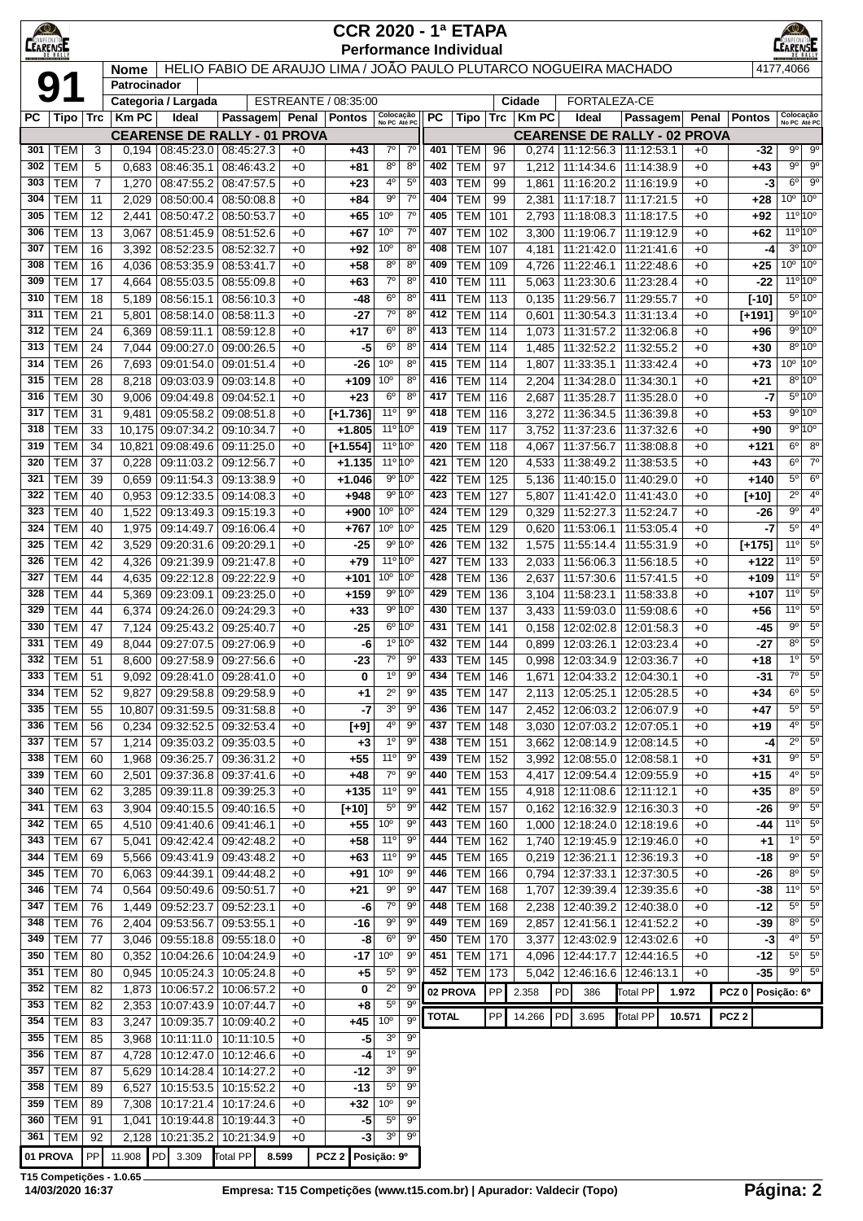|                 |                          |                |                             |                             |                                                                   |              | <b>CCR 2020 - 1ª ETAPA</b>    |                                    |                               |              |                          |            |                |                                 |                                                    |              |                  |              | $\circ$                       |                              |
|-----------------|--------------------------|----------------|-----------------------------|-----------------------------|-------------------------------------------------------------------|--------------|-------------------------------|------------------------------------|-------------------------------|--------------|--------------------------|------------|----------------|---------------------------------|----------------------------------------------------|--------------|------------------|--------------|-------------------------------|------------------------------|
| <b>CEARENSE</b> |                          |                |                             |                             |                                                                   |              | <b>Performance Individual</b> |                                    |                               |              |                          |            |                |                                 |                                                    |              |                  |              | EARENSE                       |                              |
| 9               |                          |                | <b>Nome</b><br>Patrocinador |                             | HELIO FABIO DE ARAUJO LIMA / JOÃO PAULO PLUTARCO NOGUEIRA MACHADO |              |                               |                                    |                               |              |                          |            |                |                                 |                                                    |              |                  | 4177,4066    |                               |                              |
|                 |                          |                |                             | Categoria / Largada         |                                                                   |              | ESTREANTE / 08:35:00          |                                    |                               |              |                          |            | Cidade         | FORTALEZA-CE                    |                                                    |              |                  |              |                               |                              |
| РC              | Tipo                     | Trc            | Km PC                       | Ideal                       | <b>Passagem</b>                                                   |              | Penal   Pontos                | Colocação<br>No PC Até PC          |                               | <b>PC</b>    | Tipo                     | Trc        | $Km$ PC        | Ideal                           | Passagem                                           | Penal        | <b>Pontos</b>    |              | Colocação<br>No PC Até PC     |                              |
|                 |                          |                |                             |                             | <b>CEARENSE DE RALLY - 01 PROVA</b>                               |              |                               |                                    |                               |              |                          |            |                |                                 | <b>CEARENSE DE RALLY - 02 PROVA</b>                |              |                  |              |                               |                              |
| 301<br>302      | <b>TEM</b><br><b>TEM</b> | 3<br>5         | 0,194<br>0,683              | 08:45:23.0<br>08:46:35.1    | 08:45:27.3<br>08:46:43.2                                          | $+0$<br>$+0$ | $+43$<br>+81                  | $7^\circ$<br>$8^{\circ}$           | $7^{\circ}$<br>$8^{\circ}$    | 401<br>402   | TEM<br><b>TEM</b>        | 96<br>97   | 0,274<br>1,212 | 11:14:34.6                      | 11:12:56.3   11:12:53.1<br>11:14:38.9              | $+0$<br>$+0$ | $+43$            | $-32$        | 9º  <br>$9^{\circ}$           | $9^{\circ}$<br>$9^\circ$     |
| 303             | <b>TEM</b>               | $\overline{7}$ | 1,270                       | 08:47:55.2                  | 08:47:57.5                                                        | $+0$         | $+23$                         | 4 <sup>0</sup>                     | $5^{\circ}$                   | 403          | <b>TEM</b>               | 99         | 1,861          | 11:16:20.2                      | 11:16:19.9                                         | $+0$         |                  | -3           | $6^{\circ}$                   | $9^{\circ}$                  |
| 304             | <b>TEM</b>               | 11             | 2,029                       | 08:50:00.4                  | 08:50:08.8                                                        | $+0$         | $+84$                         | $9^{\circ}$                        | $7^\circ$                     | 404          | <b>TEM</b>               | 99         | 2,381          | 11:17:18.7                      | 11:17:21.5                                         | $+0$         | +28              |              | $10^{\circ}$ 10 <sup>°</sup>  |                              |
| 305             | <b>TEM</b>               | 12             | 2,441                       | 08:50:47.2                  | 08:50:53.7                                                        | $+0$         | $+65$                         | 10 <sup>o</sup>                    | $7^{\circ}$                   | 405          | <b>TEM</b>               | 101        | 2,793          |                                 | 11:18:08.3   11:18:17.5                            | $+0$         | +92              |              | $11^{\circ} 10^{\circ}$       |                              |
| 306             | <b>TEM</b>               | 13             | 3,067                       | 08:51:45.9                  | 08:51:52.6                                                        | $+0$         | $+67$                         | 10 <sup>o</sup>                    | $7^{\circ}$                   | 407          | <b>TEM</b>               | 102        | 3,300          | 11:19:06.7                      | 11:19:12.9                                         | $+0$         | +62              |              | $11^{\circ}10^{\circ}$        |                              |
| 307<br>308      | <b>TEM</b><br><b>TEM</b> | 16<br>16       | 3,392<br>4,036              | 08:52:23.5<br>08:53:35.9    | 08:52:32.7<br>08:53:41.7                                          | $+0$<br>$+0$ | +92<br>$+58$                  | 10 <sup>o</sup><br>$8^{\circ}$     | $8^{\circ}$<br>$8^{\circ}$    | 408<br>409   | <b>TEM</b><br><b>TEM</b> | 107<br>109 | 4,181<br>4,726 |                                 | 11:21:42.0   11:21:41.6<br>11:22:46.1 11:22:48.6   | $+0$<br>$+0$ | $+25$            | -4           | $3^{\circ}$ 10 <sup>°</sup>   | $10^{\circ}$ 10 <sup>°</sup> |
| 309             | <b>TEM</b>               | 17             | 4,664                       | 08:55:03.5                  | 08:55:09.8                                                        | $+0$         | $+63$                         | $7^\circ$                          | $8^{\circ}$                   | 410          | <b>TEM</b>               | 111        | 5,063          | 11:23:30.6                      | 11:23:28.4                                         | $+0$         |                  | -22          | $11^{\circ}10^{\circ}$        |                              |
| 310             | <b>TEM</b>               | 18             | 5,189                       | 08:56:15.1                  | 08:56:10.3                                                        | $+0$         | -48                           | $6^{\circ}$                        | $8^{\circ}$                   | 411          | <b>TEM</b>               | 113        | 0,135          | 11:29:56.7                      | 11:29:55.7                                         | $+0$         | $[-10]$          |              | $5^{\circ}10^{\circ}$         |                              |
| 311             | <b>TEM</b>               | 21             | 5,801                       | 08:58:14.0                  | 08:58:11.3                                                        | $+0$         | -27                           | $7^{\circ}$                        | $8^{\circ}$                   | 412          | <b>TEM</b>               | 114        | 0,601          | 11:30:54.3                      | 11:31:13.4                                         | $+0$         | [+191]           |              | 9°10°                         |                              |
| 312             | <b>TEM</b>               | 24             | 6,369                       | 08:59:11.1                  | 08:59:12.8                                                        | $+0$         | $+17$                         | 6 <sup>o</sup>                     | $8^{\circ}$                   | 413          | <b>TEM</b>               | 114        | 1,073          | 11:31:57.2                      | 11:32:06.8                                         | $+0$         | +96              |              | 9º 10º                        |                              |
| 313             | <b>TEM</b>               | 24             | 7,044                       | 09:00:27.0                  | 09:00:26.5                                                        | $+0$         | -5                            | $6^{\circ}$<br>10 <sup>o</sup>     | $8^{\circ}$                   | 414<br>415   | <b>TEM</b>               | 114        | 1,485          | 11:32:52.2                      | 11:32:55.2                                         | $+0$         | +30              |              | $10^{\circ}$ $10^{\circ}$     | $8^{\circ}$ 10 $^{\circ}$    |
| 314<br>315      | <b>TEM</b><br><b>TEM</b> | 26<br>28       | 7,693<br>8,218              | 09:01:54.0<br>09:03:03.9    | 09:01:51.4<br>09:03:14.8                                          | $+0$<br>$+0$ | -26<br>$+109$                 | 10 <sup>o</sup>                    | $8^{\circ}$<br>$8^{\circ}$    | 416          | <b>TEM</b><br><b>TEM</b> | 114<br>114 | 1,807<br>2,204 | 11:33:35.1                      | 11:33:42.4<br>11:34:28.0   11:34:30.1              | $+0$<br>$+0$ | +73<br>$+21$     |              | $8^{\circ}10^{\circ}$         |                              |
| 316             | <b>TEM</b>               | 30             | 9,006                       |                             | 09:04:49.8 09:04:52.1                                             | $+0$         | $+23$                         | 6 <sup>o</sup>                     | 8 <sup>0</sup>                | 417          | <b>TEM</b>               | 116        | 2,687          | 11:35:28.7                      | 11:35:28.0                                         | $+0$         |                  | $-7$         | $5^{\circ}10^{\circ}$         |                              |
| 317             | <b>TEM</b>               | 31             | 9,481                       | 09:05:58.2                  | 09:08:51.8                                                        | $+0$         | $[+1.736]$                    | $11^{\circ}$                       | $9^{\circ}$                   | 418          | <b>TEM</b>               | 116        | 3,272          | 11:36:34.5                      | 11:36:39.8                                         | $+0$         | $+53$            |              |                               | 9°10°                        |
| 318             | <b>TEM</b>               | 33             | 10,175                      | 09:07:34.2                  | 09:10:34.7                                                        | $+0$         | $+1.805$                      | 11º 10°                            |                               | 419          | <b>TEM</b>               | 117        | 3,752          | 11:37:23.6                      | 11:37:32.6                                         | $+0$         | +90              |              |                               | 9°10°                        |
| 319             | <b>TEM</b>               | 34             | 10,821                      | 09:08:49.6                  | 09:11:25.0                                                        | $+0$         | $[+1.554]$                    | 11º 10°                            |                               | 420          | <b>TEM</b>               | 118        | 4,067          | 11:37:56.7                      | 11:38:08.8                                         | $+0$         | +121             |              | $6^{\circ}$                   | $8^{\circ}$                  |
| 320<br>321      | <b>TEM</b><br><b>TEM</b> | 37<br>39       | 0,228<br>0,659              | 09:11:03.2<br>09:11:54.3    | 09:12:56.7<br>09:13:38.9                                          | $+0$<br>$+0$ | $+1.135$<br>$+1.046$          | 11º 10°<br>$9^{\circ} 10^{\circ}$  |                               | 421<br>422   | <b>TEM</b><br><b>TEM</b> | 120<br>125 | 4,533          | 11:38:49.2<br>11:40:15.0        | 11:38:53.5<br>11:40:29.0                           | $+0$<br>$+0$ | $+43$<br>+140    |              | $6^{\circ}$<br>5 <sup>0</sup> | $7^\circ$<br>6 <sup>o</sup>  |
| 322             | <b>TEM</b>               | 40             | 0,953                       | 09:12:33.5                  | 09:14:08.3                                                        | $+0$         | $+948$                        | 9º 10°                             |                               | 423          | <b>TEM</b>               | 127        | 5,136<br>5,807 | 11:41:42.0                      | 11:41:43.0                                         | $+0$         | $[+10]$          |              | $2^{\circ}$                   | 4 <sup>o</sup>               |
| 323             | <b>TEM</b>               | 40             | 1,522                       | 09:13:49.3                  | 09:15:19.3                                                        | $+0$         | +900                          | $10^{\circ}$                       | 10 <sup>o</sup>               | 424          | <b>TEM</b>               | 129        | 0,329          | 11:52:27.3                      | 11:52:24.7                                         | $+0$         |                  | -26          | $9^{\circ}$                   | $4^{\circ}$                  |
| 324             | <b>TEM</b>               | 40             | 1,975                       | 09:14:49.7                  | 09:16:06.4                                                        | $+0$         | $+767$                        | 10 <sup>o</sup>                    | 10 <sup>o</sup>               | 425          | <b>TEM</b>               | 129        | 0,620          | 11:53:06.1                      | 11:53:05.4                                         | $+0$         |                  | -7           | $5^{\circ}$                   | $4^{\circ}$                  |
| 325             | <b>TEM</b>               | 42             | 3,529                       | 09:20:31.6                  | 09:20:29.1                                                        | $+0$         | -25                           | 9°10°                              |                               | 426          | <b>TEM</b>               | 132        | 1,575          |                                 | 11:55:14.4   11:55:31.9                            | $+0$         | [+175]           |              | 11°                           | 5 <sup>o</sup>               |
| 326             | <b>TEM</b>               | 42             | 4,326                       | 09:21:39.9                  | 09:21:47.8                                                        | $+0$         | $+79$                         | 11º 10°                            |                               | 427          | <b>TEM</b>               | 133        | 2,033          |                                 | 11:56:06.3   11:56:18.5                            | $+0$         | +122             |              | 11°                           | $5^{\rm o}$                  |
| 327<br>328      | <b>TEM</b><br><b>TEM</b> | 44<br>44       | 4,635<br>5,369              | 09:23:09.1                  | 09:22:12.8 09:22:22.9<br>09:23:25.0                               | $+0$<br>$+0$ | +101<br>$+159$                | 10 <sup>o</sup><br>9º 10°          | 10 <sup>o</sup>               | 428<br>429   | <b>TEM</b><br><b>TEM</b> | 136<br>136 | 2,637<br>3,104 | 11:57:30.6<br>11:58:23.1        | 11:57:41.5<br>11:58:33.8                           | $+0$<br>$+0$ | +109<br>$+107$   |              | 11°<br>11°                    | $5^{\circ}$<br>$5^{\circ}$   |
| 329             | <b>TEM</b>               | 44             | 6,374                       | 09:24:26.0                  | 09:24:29.3                                                        | $+0$         | $+33$                         | 9º 10°                             |                               | 430          | <b>TEM</b>               | 137        | 3,433          |                                 | 11:59:03.0 11:59:08.6                              | $+0$         | $+56$            |              | 11°                           | 5 <sup>o</sup>               |
| 330             | <b>TEM</b>               | 47             | 7,124                       | 09:25:43.2                  | 09:25:40.7                                                        | $+0$         | $-25$                         | 6º 10°                             |                               | 431          | <b>TEM</b>               | 141        | 0,158          | 12:02:02.8                      | 12:01:58.3                                         | $+0$         |                  | -45          | $9^{\circ}$                   | $5^{\circ}$                  |
| 331             | <b>TEM</b>               | 49             | 8,044                       | 09:27:07.5                  | 09:27:06.9                                                        | $+0$         | -6                            | 1º 10°                             |                               | 432          | <b>TEM</b>               | 144        | 0,899          | 12:03:26.1                      | 12:03:23.4                                         | $+0$         |                  | -27          | $8^{\circ}$                   | $5^{\circ}$                  |
| 332             | <b>TEM</b>               | 51             | 8.600                       | 09:27:58.9                  | 09:27:56.6                                                        | $+0$         | -23                           | $7^\circ$                          | $9^{\circ}$                   | 433          | <b>TEM</b>               | 145        | 0,998          |                                 | 12:03:34.9   12:03:36.7                            | $+0$         | +18              |              | $1^{\circ}$                   | $5^{\circ}$                  |
|                 | 333 TEM                  | 51             |                             | 9,092 09:28:41.0 09:28:41.0 |                                                                   | $+0$         | 0                             | $1^{\circ}$                        | $9^{\circ}$                   | 434          | <b>TEM</b> 146           |            |                | 1,671 12:04:33.2 12:04:30.1     |                                                    | $+0$         |                  | -31          | $7^\circ$<br>$6^{\circ}$      | $5^{\circ}$                  |
| 334<br>335      | <b>TEM</b><br><b>TEM</b> | 52<br>55       | 9,827<br>10,807             |                             | 09:29:58.8 09:29:58.9<br>09:31:59.5 09:31:58.8                    | $+0$<br>$+0$ | +1<br>$-7$                    | $\overline{2^0}$<br>3 <sup>o</sup> | 9 <sup>o</sup><br>$9^{\circ}$ | 435<br>436   | <b>TEM</b><br><b>TEM</b> | 147<br>147 | 2,113<br>2,452 |                                 | 12:05:25.1   12:05:28.5<br>12:06:03.2 12:06:07.9   | $+0$<br>$+0$ | $+34$<br>$+47$   |              | $5^{\circ}$                   | $5^\circ$<br>$5^{\circ}$     |
| 336             | <b>TEM</b>               | 56             | 0,234                       |                             | 09:32:52.5 09:32:53.4                                             | $+0$         | $[+9]$                        | 4º                                 | $9^{\circ}$                   | 437          | <b>TEM</b>               | 148        | 3,030          |                                 | 12:07:03.2   12:07:05.1                            | $+0$         | +19              |              | $4^{\circ}$                   | $5^{\circ}$                  |
| 337             | <b>TEM</b>               | 57             | 1,214                       |                             | 09:35:03.2 09:35:03.5                                             | $+0$         | $+3$                          | 1 <sup>0</sup>                     | $9^{\circ}$                   | 438          | <b>TEM</b>               | 151        | 3,662          |                                 | 12:08:14.9 12:08:14.5                              | $+0$         |                  | $-4$         | $2^{\circ}$                   | $5^{\circ}$                  |
| 338             | <b>TEM</b>               | 60             | 1,968                       | 09:36:25.7                  | 09:36:31.2                                                        | $+0$         | $+55$                         | 11 <sup>0</sup>                    | 9 <sup>o</sup>                | 439          | <b>TEM</b>               | 152        | 3,992          |                                 | 12:08:55.0   12:08:58.1                            | $+0$         | $+31$            |              | $9^{\circ}$                   | $5^\circ$                    |
| 339             | <b>TEM</b>               | 60             | 2,501                       |                             | 09:37:36.8 09:37:41.6                                             | $+0$         | $+48$                         | 7 <sup>o</sup>                     | 9 <sup>o</sup>                | 440          | <b>TEM</b>               | 153        | 4,417          |                                 | 12:09:54.4   12:09:55.9                            | $+0$         | +15              |              | $4^{\circ}$                   | $5^{\circ}$                  |
| 340             | <b>TEM</b>               | 62             | 3,285                       |                             | 09:39:11.8 09:39:25.3                                             | $+0$         | $+135$                        | 11 <sup>0</sup>                    | $9^{\circ}$                   | 441          | <b>TEM</b>               | 155        |                | 4,918   12:11:08.6   12:11:12.1 |                                                    | $+0$         | $+35$            |              | $8^{\circ}$<br>$9^{\circ}$    | $5^{\circ}$<br>$5^{\circ}$   |
| 341<br>342      | <b>TEM</b><br><b>TEM</b> | 63<br>65       | 3,904<br>4,510              |                             | 09:40:15.5 09:40:16.5<br>09:41:40.6 09:41:46.1                    | $+0$<br>$+0$ | $[+10]$<br>$+55$              | $5^{\circ}$<br>10 <sup>o</sup>     | 90<br>9 <sup>o</sup>          | 442<br>443   | <b>TEM</b><br><b>TEM</b> | 157<br>160 | 0,162<br>1,000 |                                 | 12:16:32.9   12:16:30.3<br>12:18:24.0   12:18:19.6 | $+0$<br>$+0$ |                  | -26<br>-44   | 110                           | $5^{\circ}$                  |
| 343             | <b>TEM</b>               | 67             | 5,041                       |                             | 09:42:42.4 09:42:48.2                                             | $+0$         | $+58$                         | $11^{\circ}$                       | $9^{\circ}$                   | 444          | <b>TEM</b>               | 162        | 1,740          |                                 | 12:19:45.9 12:19:46.0                              | $+0$         |                  | $+1$         | 1 <sup>0</sup>                | $5^{\circ}$                  |
| 344             | <b>TEM</b>               | 69             | 5,566                       |                             | 09:43:41.9 09:43:48.2                                             | $+0$         | $+63$                         | 11 <sup>0</sup>                    | $9^{\circ}$                   | 445          | TEM                      | 165        |                |                                 | 0,219   12:36:21.1   12:36:19.3                    | $+0$         |                  | -18          | $9^{\circ}$                   | $5^{\circ}$                  |
| 345             | <b>TEM</b>               | 70             | 6,063                       |                             | 09:44:39.1 09:44:48.2                                             | $+0$         | +91                           | 10 <sup>o</sup>                    | 90                            | 446          | <b>TEM</b>               | 166        | 0,794          |                                 | 12:37:33.1   12:37:30.5                            | $+0$         |                  | -26          | $8^{\circ}$                   | 5 <sup>o</sup>               |
| 346             | <b>TEM</b>               | 74             | 0,564                       |                             | 09:50:49.6 09:50:51.7                                             | $+0$         | +21                           | 90                                 | 9 <sup>o</sup>                | 447          | <b>TEM</b>               | 168        | 1,707          |                                 | 12:39:39.4   12:39:35.6                            | $+0$         |                  | -38          | 11°                           | $5^{\circ}$                  |
| 347<br>348      | <b>TEM</b><br><b>TEM</b> | 76<br>76       | 1,449                       |                             | 09:52:23.7 09:52:23.1<br>09:53:55.1                               | $+0$<br>$+0$ | -6<br>$-16$                   | $7^\circ$<br>$9^{\circ}$           | $9^{\circ}$<br>9 <sup>o</sup> | 448<br>449   | <b>TEM</b><br><b>TEM</b> | 168<br>169 | 2,238          |                                 | 12:40:39.2   12:40:38.0                            | $+0$<br>$+0$ |                  | $-12$<br>-39 | $5^{\circ}$<br>$8^{\circ}$    | $5^{\circ}$<br>$5^{\circ}$   |
| 349             | <b>TEM</b>               | 77             | 2,404<br>3,046              | 09:53:56.7                  | 09:55:18.8 09:55:18.0                                             | $+0$         | -8                            | 6 <sup>o</sup>                     | $9^{\circ}$                   | 450          | <b>TEM</b>               | 170        | 2,857<br>3,377 |                                 | 12:41:56.1   12:41:52.2<br>12:43:02.9   12:43:02.6 | $+0$         |                  | -3           | $4^{\circ}$                   | $5^{\circ}$                  |
| 350             | <b>TEM</b>               | 80             | 0,352                       | 10:04:26.6                  | 10:04:24.9                                                        | $+0$         | -17                           | 10 <sup>o</sup>                    | $9^{\circ}$                   | 451          | <b>TEM</b>               | 171        | 4,096          | 12:44:17.7                      | 12:44:16.5                                         | $+0$         |                  | -12          | $5^{\circ}$                   | $5^{\circ}$                  |
| 351             | <b>TEM</b>               | 80             | 0,945                       | 10:05:24.3                  | 10:05:24.8                                                        | $+0$         | $+5$                          | $5^{\circ}$                        | $9^{\circ}$                   | 452          | <b>TEM</b>               | 173        | 5,042          |                                 | 12:46:16.6   12:46:13.1                            | $+0$         |                  | -35          | 9º                            | $5^{\circ}$                  |
| 352             | <b>TEM</b>               | 82             | 1,873                       | 10:06:57.2                  | 10:06:57.2                                                        | $+0$         | 0                             | $2^{\circ}$                        | $9^{\circ}$                   | 02 PROVA     |                          | PP         | 2.358          | PD<br>386                       | Total PP                                           | 1.972        | PCZ <sub>0</sub> | Posição: 6º  |                               |                              |
| 353             | <b>TEM</b>               | 82             | 2,353                       | 10:07:43.9                  | 10:07:44.7                                                        | $+0$         | +8                            | $5^{\circ}$                        | $9^{\circ}$                   | <b>TOTAL</b> |                          | PP         | 14.266         | PD<br>3.695                     | Total PP                                           | 10.571       | PCZ <sub>2</sub> |              |                               |                              |
| 354<br>355      | <b>TEM</b><br><b>TEM</b> | 83<br>85       | 3,247<br>3,968              | 10:11:11.0                  | 10:09:35.7 10:09:40.2<br>10:11:10.5                               | $+0$<br>$+0$ | $+45$<br>-5                   | 10 <sup>o</sup><br>3 <sup>o</sup>  | $9^{\circ}$<br>$9^{\circ}$    |              |                          |            |                |                                 |                                                    |              |                  |              |                               |                              |
| 356             | <b>TEM</b>               | 87             | 4,728                       | 10:12:47.0                  | 10:12:46.6                                                        | $+0$         | -4                            | $1^{\circ}$                        | $9^{\circ}$                   |              |                          |            |                |                                 |                                                    |              |                  |              |                               |                              |
| 357             | <b>TEM</b>               | 87             | 5,629                       | 10:14:28.4                  | 10:14:27.2                                                        | $+0$         | $-12$                         | 3 <sup>o</sup>                     | 9 <sup>o</sup>                |              |                          |            |                |                                 |                                                    |              |                  |              |                               |                              |
| 358             | <b>TEM</b>               | 89             | 6,527                       | 10:15:53.5                  | 10:15:52.2                                                        | $+0$         | $-13$                         | $5^{\circ}$                        | $9^{\circ}$                   |              |                          |            |                |                                 |                                                    |              |                  |              |                               |                              |
| 359             | <b>TEM</b>               | 89             | 7,308                       | 10:17:21.4                  | 10:17:24.6                                                        | $+0$         | $+32$                         | 10 <sup>o</sup>                    | $9^{\circ}$                   |              |                          |            |                |                                 |                                                    |              |                  |              |                               |                              |
| 360             | <b>TEM</b>               | 91             | 1,041                       | 10:19:44.8                  | 10:19:44.3                                                        | $+0$         | -5<br>-3                      | $5^{\circ}$<br>3 <sup>o</sup>      | $9^{\circ}$<br>$9^{\circ}$    |              |                          |            |                |                                 |                                                    |              |                  |              |                               |                              |
| 361<br>01 PROVA | <b>TEM</b>               | 92<br>PP       | 2,128<br>11.908             | 10:21:35.2<br>PD 3.309      | 10:21:34.9<br>Total PP                                            | $+0$         |                               | Posição: 9º                        |                               |              |                          |            |                |                                 |                                                    |              |                  |              |                               |                              |
|                 |                          |                |                             |                             |                                                                   | 8.599        | PCZ <sub>2</sub>              |                                    |                               |              |                          |            |                |                                 |                                                    |              |                  |              |                               |                              |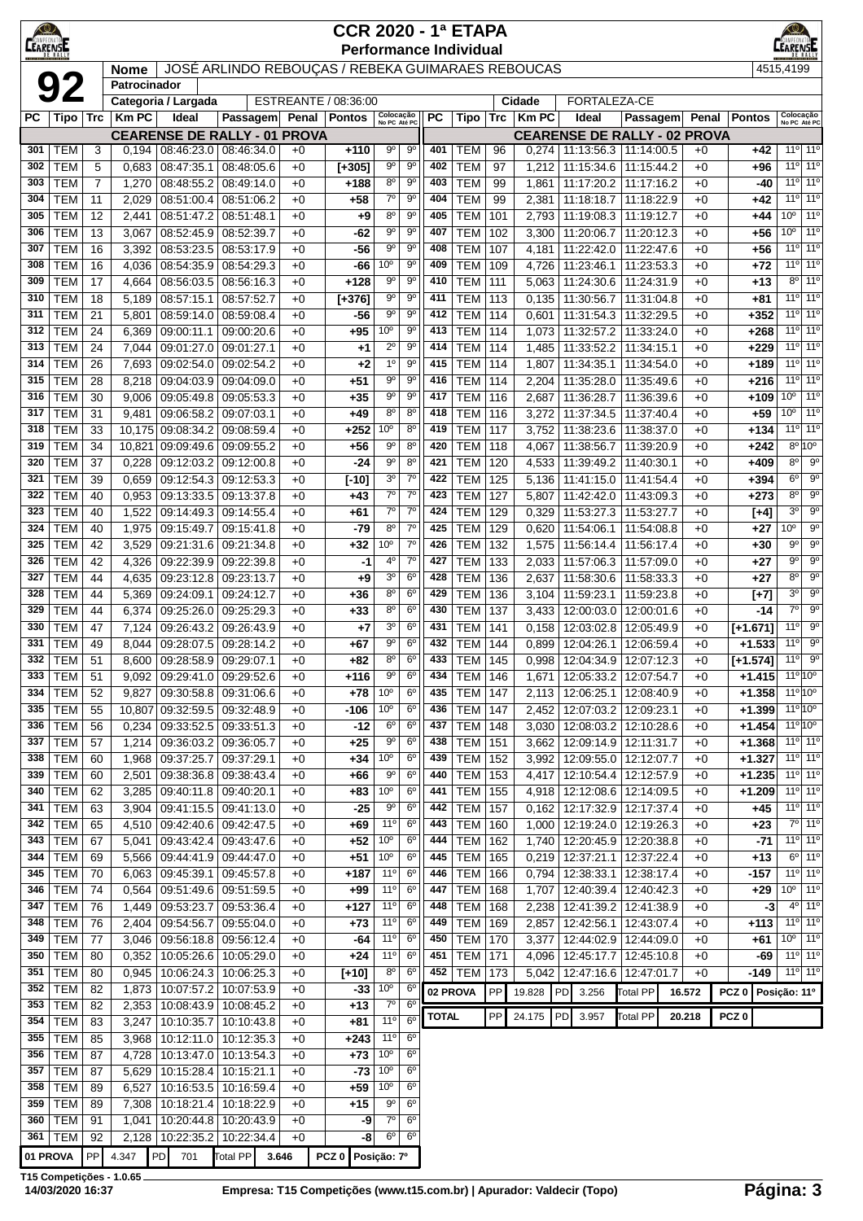| CAMPEONA<br><b>LEARENSE</b> |                          |                |                |                                 |                                                   |              | <b>CCR 2020 - 1ª ETAPA</b>           |                                    |                                  |              |                          |            |                 |                                                                    |                                                                      |              |                        |                                    |                                                                    |
|-----------------------------|--------------------------|----------------|----------------|---------------------------------|---------------------------------------------------|--------------|--------------------------------------|------------------------------------|----------------------------------|--------------|--------------------------|------------|-----------------|--------------------------------------------------------------------|----------------------------------------------------------------------|--------------|------------------------|------------------------------------|--------------------------------------------------------------------|
|                             |                          |                | <b>Nome</b>    |                                 | JOSÉ ARLINDO REBOUÇAS / REBEKA GUIMARAES REBOUCAS |              | <b>Performance Individual</b>        |                                    |                                  |              |                          |            |                 |                                                                    |                                                                      |              |                        | 4515,4199                          |                                                                    |
|                             | 92                       |                | Patrocinador   |                                 |                                                   |              |                                      |                                    |                                  |              |                          |            |                 |                                                                    |                                                                      |              |                        |                                    |                                                                    |
| PС                          | Tipo   Trc               |                | <b>KmPC</b>    | Categoria / Largada<br>Ideal    | Passagem                                          |              | ESTREANTE / 08:36:00<br>Penal Pontos | Colocação<br>No PC Até PC          |                                  | РC           | Tipo                     | Trc        | Cidade<br>Km PC | FORTALEZA-CE<br>Ideal                                              | Passagem                                                             | Penal        | <b>Pontos</b>          |                                    | Colocação<br>No PC Até PC                                          |
|                             |                          |                |                |                                 | <b>CEARENSE DE RALLY - 01 PROVA</b>               |              |                                      |                                    |                                  |              |                          |            |                 |                                                                    | <b>CEARENSE DE RALLY - 02 PROVA</b>                                  |              |                        |                                    |                                                                    |
| 301                         | <b>TEM</b>               | 3              | 0,194          | 08:46:23.0                      | 08:46:34.0                                        | $+0$         | $+110$                               | $9^{\circ}$                        | $9^{\circ}$                      | 401          | TEM                      | 96         |                 | $0,274$   11:13:56.3   11:14:00.5                                  |                                                                      | $+0$         | $+42$                  |                                    | 11 <sup>o</sup> 11 <sup>o</sup>                                    |
| 302                         | <b>TEM</b>               | 5              | 0,683          | 08:47:35.1                      | 08:48:05.6                                        | $+0$         | $[+305]$                             | $9^{\circ}$                        | $9^{\circ}$                      | 402          | <b>TEM</b>               | 97         | 1,212           | 11:15:34.6                                                         | 11:15:44.2                                                           | $+0$         | $+96$                  |                                    | 11 <sup>o</sup> 11 <sup>o</sup>                                    |
| 303                         | <b>TEM</b>               | $\overline{7}$ | 1,270          | 08:48:55.2                      | 08:49:14.0                                        | $+0$         | $+188$                               | $8^{\circ}$<br>$7^\circ$           | 90<br>$9^{\circ}$                | 403          | <b>TEM</b>               | 99         | 1,861           | 11:17:20.2                                                         | 11:17:16.2                                                           | $+0$         | -40                    |                                    | 11 <sup>o</sup> 11 <sup>o</sup><br>11 <sup>o</sup> 11 <sup>o</sup> |
| 304<br>305                  | <b>TEM</b><br><b>TEM</b> | 11<br>12       | 2,029<br>2,441 | 08:51:00.4<br>08:51:47.2        | 08:51:06.2<br>08:51:48.1                          | $+0$<br>$+0$ | $+58$<br>+9                          | 80                                 | 90                               | 404<br>405   | <b>TEM</b><br>TEM        | 99<br>101  | 2,381<br>2,793  | 11:18:18.7                                                         | 11:18:22.9<br>11:19:08.3 11:19:12.7                                  | $+0$<br>$+0$ | $+42$<br>$+44$         | 10 <sup>o</sup>                    | $11^{\circ}$                                                       |
| 306                         | <b>TEM</b>               | 13             | 3,067          | 08:52:45.9                      | 08:52:39.7                                        | $+0$         | -62                                  | $9^{\circ}$                        | $9^{\circ}$                      | 407          | <b>TEM</b>               | 102        | 3,300           | 11:20:06.7                                                         | 11:20:12.3                                                           | $+0$         | $+56$                  | 10 <sup>o</sup>                    | 11 <sup>0</sup>                                                    |
| 307                         | <b>TEM</b>               | 16             | 3,392          | 08:53:23.5                      | 08:53:17.9                                        | $+0$         | $-56$                                | $9^{\circ}$                        | $9^{\circ}$                      | 408          | <b>TEM</b>               | 107        | 4,181           | 11:22:42.0                                                         | 11:22:47.6                                                           | $+0$         | $+56$                  |                                    | 11 <sup>o</sup> 11 <sup>o</sup>                                    |
| 308                         | <b>TEM</b>               | 16             | 4,036          | 08:54:35.9                      | 08:54:29.3                                        | $+0$         | -66                                  | 10 <sup>o</sup>                    | $9^{\circ}$                      | 409          | TEM                      | 109        | 4,726           | 11:23:46.1                                                         | 11:23:53.3                                                           | $+0$         | $+72$                  |                                    | 11 <sup>o</sup> 11 <sup>o</sup>                                    |
| 309                         | <b>TEM</b>               | 17             | 4,664          | 08:56:03.5                      | 08:56:16.3                                        | $+0$         | $+128$                               | $9^{\circ}$                        | $9^{\circ}$                      | 410          | <b>TEM</b>               | 111        | 5,063           | 11:24:30.6   11:24:31.9                                            |                                                                      | $+0$         | $+13$                  |                                    | $8^{\circ}$ 11 <sup>°</sup>                                        |
| 310<br>311                  | <b>TEM</b><br><b>TEM</b> | 18<br>21       | 5,189<br>5,801 | 08:57:15.1<br>08:59:14.0        | 08:57:52.7<br>08:59:08.4                          | $+0$<br>$+0$ | $[+376]$<br>$-56$                    | 9°<br>$9^{\circ}$                  | 90<br>90                         | 411<br>412   | <b>TEM</b><br><b>TEM</b> | 113<br>114 | 0,135<br>0.601  | 11:30:56.7<br>11:31:54.3                                           | 11:31:04.8<br>11:32:29.5                                             | $+0$<br>+0   | $+81$<br>$+352$        |                                    | 11 <sup>o</sup> 11 <sup>o</sup><br>11 <sup>o</sup> 11 <sup>o</sup> |
| 312                         | <b>TEM</b>               | 24             | 6,369          | 09:00:11.1                      | 09:00:20.6                                        | $+0$         | +95                                  | 10 <sup>o</sup>                    | $9^{\circ}$                      | 413          | <b>TEM</b>               | 114        | 1,073           | 11:32:57.2                                                         | 11:33:24.0                                                           | +0           | $+268$                 |                                    | $11°$ 11 <sup>°</sup>                                              |
| 313                         | <b>TEM</b>               | 24             | 7,044          | 09:01:27.0                      | 09:01:27.1                                        | $+0$         | $^{+1}$                              | $2^{\circ}$                        | $9^{\circ}$                      | 414          | <b>TEM</b>               | 114        | 1,485           | 11:33:52.2                                                         | 11:34:15.1                                                           | $+0$         | $+229$                 |                                    | $11^{\circ}$ 11 <sup>°</sup>                                       |
| 314                         | <b>TEM</b>               | 26             | 7,693          | 09:02:54.0                      | 09:02:54.2                                        | $+0$         | +2                                   | 1 <sup>0</sup>                     | $9^{\circ}$                      | 415          | <b>TEM</b>               | 114        | 1,807           | 11:34:35.1                                                         | 11:34:54.0                                                           | $+0$         | +189                   |                                    | $11^{\circ}$ 11 <sup>°</sup>                                       |
| 315                         | <b>TEM</b>               | 28             | 8,218          | 09:04:03.9                      | 09:04:09.0                                        | $+0$         | $+51$                                | $9^{\circ}$                        | 90                               | 416          | <b>TEM</b>               | 114        | 2,204           | 11:35:28.0                                                         | 11:35:49.6                                                           | $+0$         | +216                   |                                    | 11 <sup>o</sup> 11 <sup>o</sup>                                    |
| 316                         | <b>TEM</b>               | 30             | 9,006          | 09:05:49.8<br>09:06:58.2        | 09:05:53.3                                        | $+0$         | $+35$                                | $9^{\circ}$<br>8 <sup>o</sup>      | $9^{\circ}$<br>$8^{\circ}$       | 417<br>418   | <b>TEM</b><br><b>TEM</b> | 116<br>116 | 2,687           | 11:36:28.7                                                         | 11:36:39.6                                                           | +0           | +109                   | 10 <sup>o</sup><br>10 <sup>o</sup> | 11 <sup>o</sup><br>110                                             |
| 317<br>318                  | <b>TEM</b><br><b>TEM</b> | 31<br>33       | 9,481          | 10,175 09:08:34.2               | 09:07:03.1<br>09:08:59.4                          | $+0$<br>$+0$ | +49<br>+252                          | 10 <sup>o</sup>                    | 80                               | 419          | <b>TEM</b>               | 117        | 3,272           | 11:37:34.5<br>3,752   11:38:23.6                                   | 11:37:40.4<br>11:38:37.0                                             | $+0$<br>$+0$ | +59<br>+134            |                                    | $11°$ 11°                                                          |
| 319                         | <b>TEM</b>               | 34             | 10,821         | 09:09:49.6                      | 09:09:55.2                                        | $+0$         | $+56$                                | 90                                 | $8^{\circ}$                      | 420          | <b>TEM</b>               | 118        | 4,067           | 11:38:56.7                                                         | 11:39:20.9                                                           | $+0$         | $+242$                 |                                    | $8^{\circ}$ 10 <sup>°</sup>                                        |
| 320                         | <b>TEM</b>               | 37             | 0,228          | 09:12:03.2                      | 09:12:00.8                                        | $+0$         | $-24$                                | $9^{\circ}$                        | $8^{\circ}$                      | 421          | <b>TEM</b>               | 120        | 4,533           | 11:39:49.2                                                         | 11:40:30.1                                                           | $+0$         | +409                   | 8°                                 | $9^{\circ}$                                                        |
| 321                         | <b>TEM</b>               | 39             | 0,659          | 09:12:54.3                      | 09:12:53.3                                        | $+0$         | $[-10]$                              | 3 <sup>o</sup>                     | $7^\circ$                        | 422          | <b>TEM</b>               | 125        | 5,136           | 11:41:15.0                                                         | 11:41:54.4                                                           | +0           | +394                   | $6^{\circ}$                        | 9 <sup>o</sup>                                                     |
| 322                         | <b>TEM</b>               | 40             | 0,953          | 09:13:33.5                      | 09:13:37.8                                        | $+0$         | $+43$                                | $7^\circ$                          | $7^\circ$                        | 423          | TEM                      | 127        | 5,807           | 11:42:42.0                                                         | 11:43:09.3                                                           | $+0$         | +273                   | $8^{\circ}$                        | 9 <sup>o</sup>                                                     |
| 323<br>324                  | <b>TEM</b><br><b>TEM</b> | 40<br>40       | 1,522<br>1,975 | 09:14:49.3<br>09:15:49.7        | 09:14:55.4<br>09:15:41.8                          | $+0$<br>$+0$ | +61<br>$-79$                         | $7^\circ$<br>80                    | $7^\circ$<br>$7^\circ$           | 424<br>425   | <b>TEM</b><br><b>TEM</b> | 129<br>129 | 0,329<br>0,620  | 11:54:06.1                                                         | 11:53:27.3   11:53:27.7<br>11:54:08.8                                | $+0$<br>$+0$ | $[+4]$<br>$+27$        | $3^{\circ}$<br>10 <sup>o</sup>     | $9^{\circ}$<br>$9^{\circ}$                                         |
| 325                         | <b>TEM</b>               | 42             | 3,529          | 09:21:31.6                      | 09:21:34.8                                        | $+0$         | +32                                  | 10°                                | $7^\circ$                        | 426          | <b>TEM</b>               | 132        | 1,575           |                                                                    | 11:56:14.4   11:56:17.4                                              | $+0$         | $+30$                  | 9º                                 | $9^{\circ}$                                                        |
| 326                         | <b>TEM</b>               | 42             | 4,326          | 09:22:39.9                      | 09:22:39.8                                        | $+0$         | -1                                   | 4°                                 | $7^{\circ}$                      | 427          | <b>TEM</b>               | 133        | 2,033           | 11:57:06.3                                                         | 11:57:09.0                                                           | $+0$         | $+27$                  | $9^{\circ}$                        | $\overline{9^0}$                                                   |
| 327                         | <b>TEM</b>               | 44             | 4,635          | 09:23:12.8                      | 09:23:13.7                                        | $+0$         | +9                                   | 3 <sup>o</sup>                     | 6 <sup>o</sup>                   | 428          | <b>TEM</b>               | 136        | 2,637           | 11:58:30.6                                                         | 11:58:33.3                                                           | $+0$         | $+27$                  | $8^{\circ}$                        | $9^{\circ}$                                                        |
| 328                         | <b>TEM</b>               | 44             | 5,369          | 09:24:09.1                      | 09:24:12.7                                        | $+0$         | +36                                  | 80                                 | $6^{\circ}$                      | 429          | <b>TEM</b>               | 136        | 3,104           | 11:59:23.1                                                         | 11:59:23.8                                                           | +0           | $[+7]$                 | $3^{\circ}$                        | $9^{\circ}$                                                        |
| 329                         | <b>TEM</b>               | 44             | 6,374          | 09:25:26.0                      | 09:25:29.3                                        | $+0$         | $+33$                                | $8^{\circ}$                        | $6^{\circ}$                      | 430          | <b>TEM</b>               | 137        | 3,433           | 12:00:03.0                                                         | 12:00:01.6                                                           | $+0$         | $-14$                  | $7^\circ$                          | 9 <sup>o</sup>                                                     |
| 330<br>331                  | <b>TEM</b><br><b>TEM</b> | 47<br>49       | 7,124<br>8,044 | 09:26:43.2<br>09:28:07.5        | 09:26:43.9<br>09:28:14.2                          | $+0$<br>$+0$ | $+7$<br>+67                          | 3 <sup>o</sup><br>$9^{\circ}$      | $6^{\circ}$<br>6 <sup>o</sup>    | 431<br>432   | <b>TEM</b><br>TEM        | 141<br>144 | 0,158<br>0,899  | 12:03:02.8<br>12:04:26.1                                           | 12:05:49.9<br>12:06:59.4                                             | +0<br>$+0$   | $[+1.671]$<br>$+1.533$ | 11°<br>11°                         | $9^{\circ}$<br>$9^{\circ}$                                         |
| 332                         | <b>TEM</b>               | 51             | 8,600          | 09:28:58.9 09:29:07.1           |                                                   | $+0$         | +82                                  | $8^{\circ}$                        | 6 <sup>o</sup>                   | 433          | <b>TEM</b>               | 145        | 0,998           |                                                                    | 12:04:34.9   12:07:12.3                                              | $+0$         | $[+1.574]$             | $11^{\circ}$                       | $9^{\circ}$                                                        |
| 333                         | TEM                      | 51             |                | 9,092   09:29:41.0   09:29:52.6 |                                                   | $+0$         | +116                                 | 9 <sup>o</sup>                     | 6 <sup>c</sup>                   | 434          | TEM   146                |            |                 | 1,671   12:05:33.2   12:07:54.7                                    |                                                                      | $+0$         | $+1.415$               |                                    | 11º 10º                                                            |
| 334                         | <b>TEM</b>               | 52             | 9,827          | 09:30:58.8                      | 09:31:06.6                                        | $+0$         | $+78$                                | 10 <sup>o</sup>                    | 6 <sup>o</sup>                   | 435          | <b>TEM</b>               | 147        | 2,113           |                                                                    | 12:06:25.1   12:08:40.9                                              | $+0$         | $+1.358$               |                                    | $11^{\circ} 10^{\circ}$                                            |
| 335                         | <b>TEM</b>               | 55             | 10,807         | 09:32:59.5 09:32:48.9           |                                                   | $+0$         | $-106$                               | 10 <sup>o</sup>                    | 6 <sup>o</sup>                   | 436          | TEM                      | 147        |                 | 2,452   12:07:03.2   12:09:23.1                                    |                                                                      | $+0$         | $+1.399$               |                                    | $11^{\circ} 10^{\circ}$                                            |
| 336<br>337                  | <b>TEM</b><br><b>TEM</b> | 56             | 0,234          |                                 | 09:33:52.5   09:33:51.3<br>09:36:03.2 09:36:05.7  | $+0$         | $-12$<br>$+25$                       | $6^{\circ}$<br>90                  | 6 <sup>o</sup><br>6 <sup>o</sup> | 437          | <b>TEM</b><br><b>TEM</b> | 148<br>151 |                 |                                                                    | 3,030   12:08:03.2   12:10:28.6                                      | $+0$         | $+1.454$               |                                    | $11^{\circ} 10^{\circ}$<br>$11^{\circ}$ 11 <sup>°</sup>            |
| 338                         | <b>TEM</b>               | 57<br>60       | 1,214<br>1,968 | 09:37:25.7                      | 09:37:29.1                                        | $+0$<br>$+0$ | +34                                  | $10^{\circ}$                       | $6^{\circ}$                      | 438<br>439   | <b>TEM</b>               | 152        |                 | 3,662   12:09:14.9   12:11:31.7<br>3,992   12:09:55.0   12:12:07.7 |                                                                      | $+0$<br>$+0$ | $+1.368$<br>$+1.327$   |                                    | $11°$ 11°                                                          |
| 339                         | <b>TEM</b>               | 60             | 2,501          |                                 | 09:38:36.8 09:38:43.4                             | $+0$         | +66                                  | 90                                 | $6^{\circ}$                      | 440          | <b>TEM</b>               | 153        |                 |                                                                    | 4,417   12:10:54.4   12:12:57.9                                      | $+0$         | $+1.235$               |                                    | 11° 11°                                                            |
| 340                         | <b>TEM</b>               | 62             | 3,285          |                                 | 09:40:11.8   09:40:20.1                           | $+0$         | $+83$                                | 10 <sup>o</sup>                    | 6 <sup>o</sup>                   | 441          | <b>TEM</b>               | 155        |                 |                                                                    | 4,918   12:12:08.6   12:14:09.5                                      | $+0$         | $+1.209$               |                                    | $11°$ 11°                                                          |
| 341                         | <b>TEM</b>               | 63             | 3,904          |                                 | 09:41:15.5 09:41:13.0                             | $+0$         | $-25$                                | 90                                 | 6 <sup>o</sup>                   | 442          | <b>TEM</b>               | 157        |                 |                                                                    | 0,162 12:17:32.9 12:17:37.4                                          | $+0$         | +45                    |                                    | $11°$ 11°                                                          |
| 342                         | <b>TEM</b>               | 65             | 4,510          |                                 | 09:42:40.6   09:42:47.5                           | $+0$         | +69                                  | $11^{\circ}$                       | $6^{\circ}$                      | 443          | <b>TEM</b>               | 160        |                 |                                                                    | 1,000   12:19:24.0   12:19:26.3                                      | $+0$         | $+23$                  |                                    | 7° 11°                                                             |
| 343<br>344                  | <b>TEM</b><br><b>TEM</b> | 67<br>69       | 5,041<br>5,566 | 09:43:42.4                      | 09:43:47.6<br>09:44:41.9 09:44:47.0               | $+0$<br>$+0$ | $+52$<br>$+51$                       | 10 <sup>o</sup><br>10 <sup>o</sup> | 6 <sup>o</sup><br>6 <sup>o</sup> | 444<br>445   | <b>TEM</b><br><b>TEM</b> | 162<br>165 |                 |                                                                    | 1,740   12:20:45.9   12:20:38.8<br>$0,219$   12:37:21.1   12:37:22.4 | $+0$<br>$+0$ | -71<br>+13             |                                    | $11°$ 11°<br>$6^{\circ}$ 11 <sup>°</sup>                           |
| 345                         | <b>TEM</b>               | 70             | 6,063          |                                 | 09:45:39.1 09:45:57.8                             | $+0$         | +187                                 | 11 <sup>0</sup>                    | $6^{\circ}$                      | 446          | <b>TEM</b>               | 166        |                 |                                                                    | 0,794   12:38:33.1   12:38:17.4                                      | $+0$         | -157                   |                                    | $11°$ 11°                                                          |
| 346                         | <b>TEM</b>               | 74             | 0,564          |                                 | 09:51:49.6 09:51:59.5                             | $+0$         | $+99$                                | $11^{\circ}$                       | $6^{\circ}$                      | 447          | TEM                      | 168        |                 |                                                                    | 1,707   12:40:39.4   12:40:42.3                                      | $+0$         | $+29$                  |                                    | $10^{\circ}$   11°                                                 |
| 347                         | <b>TEM</b>               | 76             | 1,449          | 09:53:23.7                      | 09:53:36.4                                        | $+0$         | +127                                 | 11 <sup>°</sup>                    | $6^{\circ}$                      | 448          | <b>TEM</b>               | 168        |                 |                                                                    | 2,238   12:41:39.2   12:41:38.9                                      | $+0$         | -3                     |                                    | 4 <sup>o</sup> 11 <sup>o</sup>                                     |
| 348                         | <b>TEM</b>               | 76             | 2,404          |                                 | 09:54:56.7 09:55:04.0                             | $+0$         | $+73$                                | 11 <sup>0</sup>                    | $6^{\circ}$                      | 449          | <b>TEM</b>               | 169        |                 |                                                                    | 2,857   12:42:56.1   12:43:07.4                                      | $+0$         | $+113$                 |                                    | $11°$ 11 <sup>o</sup>                                              |
| 349<br>350                  | <b>TEM</b><br><b>TEM</b> | 77             | 3,046          |                                 | 09:56:18.8 09:56:12.4                             | $+0$<br>$+0$ | -64<br>$+24$                         | 11 <sup>0</sup><br>11 <sup>0</sup> | $6^{\circ}$<br>6 <sup>o</sup>    | 450<br>451   | <b>TEM</b><br><b>TEM</b> | 170<br>171 |                 |                                                                    | 3,377   12:44:02.9   12:44:09.0                                      | $+0$         | +61<br>-69             |                                    | $10^{\circ}$   11 <sup>°</sup><br>$11^{\circ}$ 11 <sup>°</sup>     |
| 351                         | <b>TEM</b>               | 80<br>80       | 0,352<br>0,945 |                                 | 10:05:26.6   10:05:29.0<br>10:06:24.3 10:06:25.3  | $+0$         | $[+10]$                              | $8^{\circ}$                        | 6 <sup>o</sup>                   | 452          | <b>TEM</b>               | 173        |                 |                                                                    | 4,096   12:45:17.7   12:45:10.8<br>5,042   12:47:16.6   12:47:01.7   | $+0$<br>$+0$ | -149                   |                                    | 11 <sup>o</sup> 11 <sup>o</sup>                                    |
| 352                         | <b>TEM</b>               | 82             | 1,873          |                                 | 10:07:57.2 10:07:53.9                             | $+0$         | $-33$                                | 10 <sup>o</sup>                    | $6^{\circ}$                      | 02 PROVA     |                          | PP         | 19.828          | PD 3.256                                                           | Total PP                                                             | 16.572       | PCZ0                   | Posição: 11º                       |                                                                    |
| 353                         | <b>TEM</b>               | 82             | 2,353          |                                 | 10:08:43.9 10:08:45.2                             | $+0$         | +13                                  | $7^\circ$                          | 6 <sup>o</sup>                   |              |                          |            |                 |                                                                    |                                                                      |              |                        |                                    |                                                                    |
| 354                         | <b>TEM</b>               | 83             | 3,247          | 10:10:35.7                      | 10:10:43.8                                        | $+0$         | $+81$                                | 11 <sup>o</sup>                    | 6 <sup>o</sup>                   | <b>TOTAL</b> |                          | PP         | 24.175          | PD 3.957                                                           | <b>Total PP</b>                                                      | 20.218       | PCZ <sub>0</sub>       |                                    |                                                                    |
| 355                         | <b>TEM</b>               | 85             | 3,968          |                                 | 10:12:11.0   10:12:35.3                           | $+0$         | $+243$                               | 11 <sup>0</sup>                    | $6^{\circ}$                      |              |                          |            |                 |                                                                    |                                                                      |              |                        |                                    |                                                                    |
| 356<br>357                  | <b>TEM</b><br><b>TEM</b> | 87<br>87       | 4,728<br>5,629 | 10:13:47.0<br>10:15:28.4        | 10:13:54.3<br>10:15:21.1                          | $+0$<br>$+0$ | +73 <br>$-73$                        | 10 <sup>o</sup><br>10 <sup>o</sup> | $6^{\circ}$<br>$6^{\circ}$       |              |                          |            |                 |                                                                    |                                                                      |              |                        |                                    |                                                                    |
| 358                         | <b>TEM</b>               | 89             | 6,527          | 10:16:53.5                      | 10:16:59.4                                        | $+0$         | +59                                  | 10 <sup>o</sup>                    | 6 <sup>o</sup>                   |              |                          |            |                 |                                                                    |                                                                      |              |                        |                                    |                                                                    |
| 359                         | <b>TEM</b>               | 89             | 7,308          | 10:18:21.4                      | 10:18:22.9                                        | $+0$         | $+15$                                | $9^{\circ}$                        | $6^{\circ}$                      |              |                          |            |                 |                                                                    |                                                                      |              |                        |                                    |                                                                    |
| 360                         | <b>TEM</b>               | 91             | 1,041          | 10:20:44.8                      | 10:20:43.9                                        | $+0$         | -9                                   | $7^{\circ}$                        | 6 <sup>o</sup>                   |              |                          |            |                 |                                                                    |                                                                      |              |                        |                                    |                                                                    |
| 361                         | <b>TEM</b>               | 92             | 2,128          |                                 | 10:22:35.2 10:22:34.4                             | $+0$         | -8                                   | $6^{\circ}$                        | $6^{\circ}$                      |              |                          |            |                 |                                                                    |                                                                      |              |                        |                                    |                                                                    |
| 01 PROVA                    |                          | PP             | 4.347 PD 701   |                                 | Total PP 3.646                                    |              | PCZ 0 Posição: 7º                    |                                    |                                  |              |                          |            |                 |                                                                    |                                                                      |              |                        |                                    |                                                                    |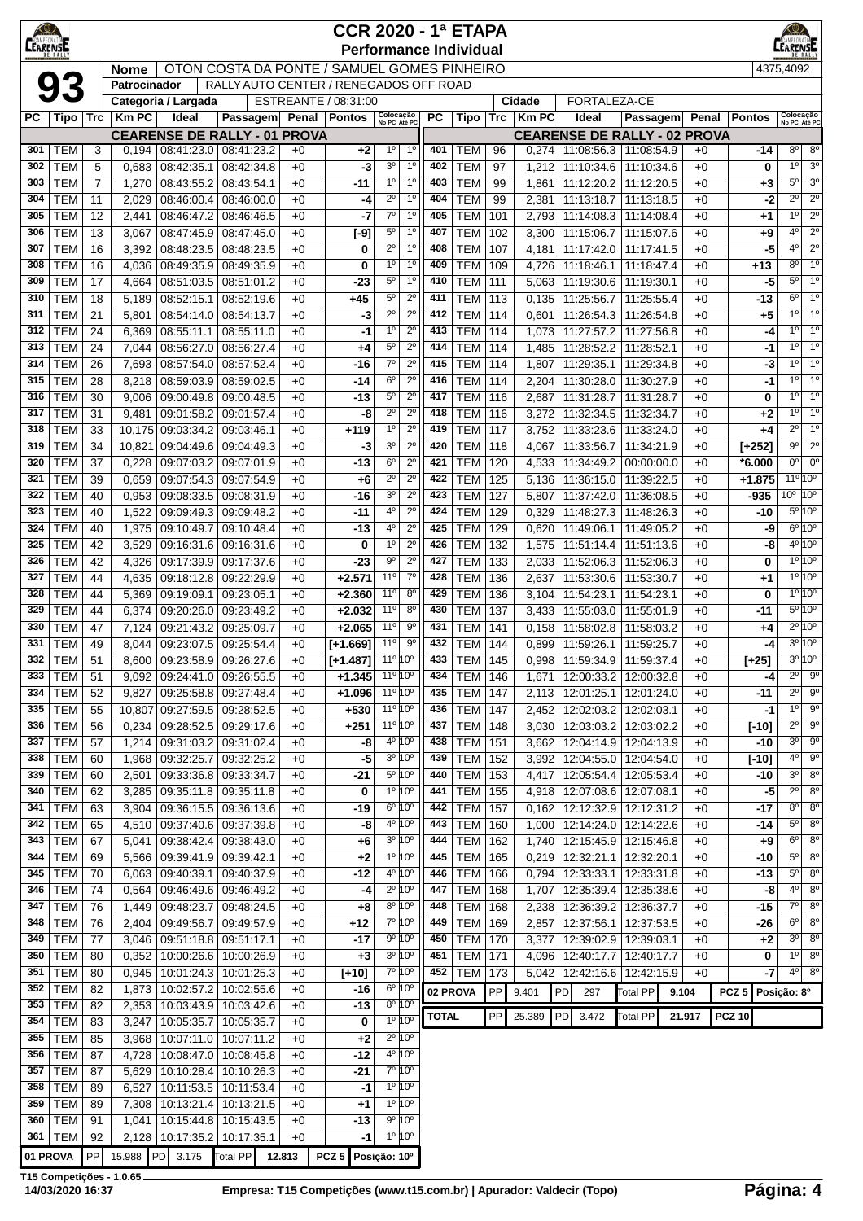| <b>CEARENSE</b> |                          |                |                 |                          |                                                   |              | <b>CCR 2020 - 1ª ETAPA</b>    |                                    |                                                          |              |                               |            |                |    |                                                                |                          |                                             |                    |               | $\bigcirc$<br>LEARENSE                                               |
|-----------------|--------------------------|----------------|-----------------|--------------------------|---------------------------------------------------|--------------|-------------------------------|------------------------------------|----------------------------------------------------------|--------------|-------------------------------|------------|----------------|----|----------------------------------------------------------------|--------------------------|---------------------------------------------|--------------------|---------------|----------------------------------------------------------------------|
|                 |                          |                | <b>Nome</b>     |                          | OTON COSTA DA PONTE / SAMUEL GOMES PINHEIRO       |              | <b>Performance Individual</b> |                                    |                                                          |              |                               |            |                |    |                                                                |                          |                                             |                    | 4375,4092     |                                                                      |
|                 | 93                       |                | Patrocinador    |                          | RALLY AUTO CENTER / RENEGADOS OFF ROAD            |              |                               |                                    |                                                          |              |                               |            |                |    |                                                                |                          |                                             |                    |               |                                                                      |
|                 |                          |                |                 | Categoria / Largada      |                                                   |              | ESTREANTE / 08:31:00          |                                    |                                                          |              |                               |            | Cidade         |    | FORTALEZA-CE                                                   |                          |                                             |                    |               |                                                                      |
|                 | $PC$   Tipo   Trc        |                | <b>Km PC</b>    | Ideal                    | <b>Passagem</b>                                   |              | Penal   Pontos                | Colocação<br>No PC Até PC          |                                                          | <b>PC</b>    | Tipo                          | Trc        | <b>Km PC</b>   |    | Ideal                                                          | Passagem                 | Penal                                       | <b>Pontos</b>      |               | Colocação<br>No PC Até PC                                            |
| 301             | <b>TEM</b>               | 3              | 0,194           | 08:41:23.0               | <b>CEARENSE DE RALLY - 01 PROVA</b><br>08:41:23.2 | $+0$         | $+2$                          | $1^{\circ}$                        | $1^{\circ}$                                              | 401          | TEM                           | 96         | 0,274          |    | 11:08:56.3   11:08:54.9                                        |                          | <b>CEARENSE DE RALLY - 02 PROVA</b><br>$+0$ |                    | -14           | $8^{\circ}$<br>$8^{\circ}$                                           |
| 302             | <b>TEM</b>               | 5              | 0,683           | 08:42:35.1               | 08:42:34.8                                        | $+0$         | -3                            | 3 <sup>o</sup>                     | 1 <sup>0</sup>                                           | 402          | <b>TEM</b>                    | 97         | 1,212          |    | 11:10:34.6                                                     | 11:10:34.6               | $+0$                                        |                    | 0             | 1 <sup>0</sup><br>3 <sup>o</sup>                                     |
| 303             | <b>TEM</b>               | $\overline{7}$ | 1,270           | 08:43:55.2               | 08:43:54.1                                        | $+0$         | -11                           | $1^{\circ}$                        | $1^{\circ}$                                              | 403          | <b>TEM</b>                    | 99         | 1,861          |    | 11:12:20.2 11:12:20.5                                          |                          | $+0$                                        |                    | +3            | $5^{\circ}$<br>3 <sup>o</sup>                                        |
| 304             | <b>TEM</b>               | 11             | 2,029           | 08:46:00.4               | 08:46:00.0                                        | $+0$         | -4                            | $2^{\circ}$                        | 1 <sup>0</sup>                                           | 404          | <b>TEM</b>                    | 99         | 2,381          |    | 11:13:18.7                                                     | 11:13:18.5               | $+0$                                        |                    | -2            | $2^{\circ}$<br>$2^{\circ}$                                           |
| 305             | <b>TEM</b>               | 12             | 2,441           | 08:46:47.2               | 08:46:46.5                                        | $+0$         | -7                            | $7^\circ$                          | 1 <sup>0</sup>                                           | 405          | <b>TEM</b>                    | 101        | 2,793          |    | 11:14:08.3 11:14:08.4                                          |                          | $+0$                                        |                    | +1            | $2^{\circ}$<br>1 <sup>0</sup>                                        |
| 306<br>307      | <b>TEM</b><br><b>TEM</b> | 13<br>16       | 3,067<br>3,392  | 08:47:45.9<br>08:48:23.5 | 08:47:45.0<br>08:48:23.5                          | $+0$<br>$+0$ | $[-9]$<br>0                   | $5^{\circ}$<br>$2^{\circ}$         | 1 <sup>0</sup><br>1 <sup>0</sup>                         | 407<br>408   | TEM<br><b>TEM</b>             | 102<br>107 | 3,300<br>4,181 |    | 11:15:06.7   11:15:07.6<br>11:17:42.0   11:17:41.5             |                          | $+0$<br>$+0$                                |                    | +9<br>-5      | $4^{\circ}$<br>$2^{\circ}$<br>$4^{\circ}$<br>$2^{\circ}$             |
| 308             | <b>TEM</b>               | 16             | 4,036           | 08:49:35.9               | 08:49:35.9                                        | $+0$         | 0                             | 1 <sup>0</sup>                     | 1 <sup>0</sup>                                           | 409          | <b>TEM</b>                    | 109        | 4,726          |    | 11:18:46.1                                                     | 11:18:47.4               | $+0$                                        | +13                |               | $8^{\circ}$<br>1 <sup>0</sup>                                        |
| 309             | <b>TEM</b>               | 17             | 4,664           | 08:51:03.5               | 08:51:01.2                                        | $+0$         | $-23$                         | $5^{\circ}$                        | 1 <sup>0</sup>                                           | 410          | <b>TEM</b>                    | 111        | 5,063          |    | 11:19:30.6                                                     | 11:19:30.1               | $+0$                                        |                    | -5            | 1 <sup>0</sup><br>$5^\circ$                                          |
| 310             | <b>TEM</b>               | 18             | 5,189           | 08:52:15.1               | 08:52:19.6                                        | $+0$         | $+45$                         | $5^{\circ}$                        | $2^{\circ}$                                              | 411          | <b>TEM</b>                    | 113        | 0,135          |    | 11:25:56.7                                                     | 11:25:55.4               | $+0$                                        |                    | -13           | $6^{\circ}$<br>1 <sup>0</sup>                                        |
| 311             | <b>TEM</b>               | 21             | 5,801           | 08:54:14.0               | 08:54:13.7                                        | $+0$         | -3                            | $2^{\circ}$                        | $2^{\circ}$                                              | 412          | <b>TEM</b>                    | 114        | 0,601          |    | 11:26:54.3                                                     | 11:26:54.8               | $+0$                                        |                    | $+5$          | 1 <sup>0</sup><br>1 <sup>0</sup>                                     |
| 312<br>313      | <b>TEM</b><br><b>TEM</b> | 24<br>24       | 6,369<br>7,044  | 08:55:11.1<br>08:56:27.0 | 08:55:11.0<br>08:56:27.4                          | $+0$<br>$+0$ | -1<br>+4                      | 1 <sup>0</sup><br>$5^{\circ}$      | $2^{\circ}$<br>$2^{\circ}$                               | 413<br>414   | <b>TEM</b><br><b>TEM</b>      | 114<br>114 | 1,073<br>1,485 |    | 11:27:57.2<br>11:28:52.2                                       | 11:27:56.8<br>11:28:52.1 | $+0$<br>$+0$                                |                    | $-4$<br>-1    | 1 <sup>0</sup><br>1 <sup>0</sup><br>1 <sup>0</sup><br>1 <sup>0</sup> |
| 314             | <b>TEM</b>               | 26             | 7,693           | 08:57:54.0               | 08:57:52.4                                        | $+0$         | -16                           | $7^\circ$                          | $2^{\circ}$                                              | 415          | <b>TEM</b>                    | 114        | 1,807          |    | 11:29:35.1                                                     | 11:29:34.8               | $+0$                                        |                    | -3            | $1^{\circ}$<br>1 <sup>0</sup>                                        |
| 315             | <b>TEM</b>               | 28             | 8,218           | 08:59:03.9               | 08:59:02.5                                        | $+0$         | -14                           | $6^{\circ}$                        | $2^{\circ}$                                              | 416          | <b>TEM</b>                    | 114        | 2,204          |    | 11:30:28.0                                                     | 11:30:27.9               | $+0$                                        |                    | $-1$          | 10 <sup>1</sup><br>1 <sup>0</sup>                                    |
| 316             | <b>TEM</b>               | 30             | 9,006           | 09:00:49.8               | 09:00:48.5                                        | $+0$         | $-13$                         | $5^{\circ}$                        | $2^{\circ}$                                              | 417          | <b>TEM</b>                    | 116        | 2,687          |    | 11:31:28.7   11:31:28.7                                        |                          | $+0$                                        |                    | 0             | $1^{\circ}$<br>1 <sup>0</sup>                                        |
| 317             | <b>TEM</b>               | 31             | 9,481           | 09:01:58.2               | 09:01:57.4                                        | $+0$         | -8                            | $2^{\circ}$                        | $2^{\circ}$                                              | 418          | <b>TEM</b>                    | 116        | 3,272          |    | 11:32:34.5                                                     | 11:32:34.7               | $+0$                                        |                    | +2            | 1 <sup>0</sup><br>1 <sup>0</sup>                                     |
| 318             | <b>TEM</b>               | 33             | 10,175          | 09:03:34.2               | 09:03:46.1                                        | $+0$         | $+119$                        | 1 <sup>0</sup>                     | $2^{\circ}$                                              | 419          | <b>TEM</b>                    | 117        | 3,752          |    | 11:33:23.6                                                     | 11:33:24.0               | $+0$                                        |                    | +4            | $2^{\circ}$<br>1 <sup>0</sup>                                        |
| 319<br>320      | <b>TEM</b><br><b>TEM</b> | 34<br>37       | 10,821<br>0,228 | 09:04:49.6<br>09:07:03.2 | 09:04:49.3<br>09:07:01.9                          | $+0$<br>$+0$ | -3<br>-13                     | 3 <sup>o</sup><br>$6^{\circ}$      | $2^{\circ}$<br>$2^{\circ}$                               | 420<br>421   | <b>TEM</b><br>TEM             | 118<br>120 | 4,067<br>4,533 |    | 11:33:56.7<br>11:34:49.2                                       | 11:34:21.9<br>00:00:00.0 | $+0$<br>$+0$                                | $[+252]$<br>*6.000 |               | $2^{\circ}$<br>$9^{\circ}$<br>$0^{\circ}$<br>$0^{\circ}$             |
| 321             | <b>TEM</b>               | 39             | 0,659           | 09:07:54.3               | 09:07:54.9                                        | $+0$         | +6                            | $2^{\circ}$                        | $2^{\circ}$                                              | 422          | <b>TEM</b>                    | 125        | 5,136          |    | 11:36:15.0                                                     | 11:39:22.5               | $+0$                                        | $+1.875$           |               | 11°10°                                                               |
| 322             | <b>TEM</b>               | 40             | 0,953           | 09:08:33.5               | 09:08:31.9                                        | $+0$         | -16                           | 3 <sup>o</sup>                     | $2^{\circ}$                                              | 423          | <b>TEM</b>                    | 127        | 5,807          |    | 11:37:42.0                                                     | 11:36:08.5               | $+0$                                        | -935               |               | $10^{\circ}$ $10^{\circ}$                                            |
| 323             | <b>TEM</b>               | 40             | 1,522           | 09:09:49.3               | 09:09:48.2                                        | $+0$         | -11                           | 4°                                 | $2^{\circ}$                                              | 424          | <b>TEM</b>                    | 129        | 0,329          |    | 11:48:27.3                                                     | 11:48:26.3               | $+0$                                        |                    | -10           | $5^{\circ}10^{\circ}$                                                |
| 324             | <b>TEM</b>               | 40             | 1,975           | 09:10:49.7               | 09:10:48.4                                        | $+0$         | -13                           | 4°                                 | $2^{\circ}$                                              | 425          | <b>TEM</b>                    | 129        | 0,620          |    | 11:49:06.1                                                     | 11:49:05.2               | $+0$                                        |                    | -9            | 6°10°                                                                |
| 325             | <b>TEM</b>               | 42             | 3,529           | 09:16:31.6               | 09:16:31.6                                        | $+0$         | 0                             | $1^{\circ}$                        | $2^{\circ}$                                              | 426          | <b>TEM</b>                    | 132        | 1,575          |    | 11:51:14.4 11:51:13.6                                          |                          | $+0$                                        |                    | -8            | $4^{\circ}10^{\circ}$<br>1°10°                                       |
| 326<br>327      | <b>TEM</b><br><b>TEM</b> | 42<br>44       | 4,326<br>4,635  | 09:17:39.9<br>09:18:12.8 | 09:17:37.6<br>09:22:29.9                          | $+0$<br>$+0$ | -23<br>$+2.571$               | $9^{\circ}$<br>$11^{\circ}$        | $2^{\circ}$<br>$7^\circ$                                 | 427<br>428   | <b>TEM</b><br><b>TEM</b>      | 133<br>136 | 2,033<br>2,637 |    | 11:52:06.3<br>11:53:30.6                                       | 11:52:06.3<br>11:53:30.7 | $+0$<br>$+0$                                |                    | 0<br>+1       | $10^{10}$                                                            |
| 328             | <b>TEM</b>               | 44             | 5,369           | 09:19:09.1               | 09:23:05.1                                        | $+0$         | $+2.360$                      | $11^{\circ}$                       | $8^{\circ}$                                              | 429          | <b>TEM</b>                    | 136        | 3,104          |    | 11:54:23.1                                                     | 11:54:23.1               | $+0$                                        |                    | 0             | 1°10°                                                                |
| 329             | <b>TEM</b>               | 44             | 6,374           | 09:20:26.0               | 09:23:49.2                                        | $+0$         | $+2.032$                      | $11^{\circ}$                       | $8^{\circ}$                                              | 430          | TEM                           | 137        | 3,433          |    | 11:55:03.0                                                     | 11:55:01.9               | $+0$                                        | -11                |               | 5º 10°                                                               |
| 330             | <b>TEM</b>               | 47             | 7,124           | 09:21:43.2               | 09:25:09.7                                        | $+0$         | $+2.065$                      | 11°                                | 90                                                       | 431          | <b>TEM</b>                    | 141        | 0,158          |    | 11:58:02.8                                                     | 11:58:03.2               | $+0$                                        |                    | +4            | 2º 10º                                                               |
| 331             | <b>TEM</b>               | 49             | 8,044           | 09:23:07.5               | 09:25:54.4                                        | $+0$         | $[+1.669]$                    | 11 <sup>°</sup>                    | $9^{\circ}$                                              | 432          | <b>TEM</b>                    | 144        | 0,899          |    | 11:59:26.1                                                     | 11:59:25.7               | $+0$                                        |                    | -4            | $3^{\circ}10^{\circ}$                                                |
| 332             | <b>TEM</b><br>333 TEM    | 51<br>51       | 8,600           | 09:23:58.9               | 09:26:27.6<br>9,092 09:24:41.0 09:26:55.5         | $+0$<br>$+0$ | $[+1.487]$<br>$+1.345$        | 11º 10º<br>$11^{\circ} 10^{\circ}$ |                                                          | 433          | <b>TEM 145</b><br>434 TEM 146 |            |                |    | 0,998   11:59:34.9   11:59:37.4<br>1,671 12:00:33.2 12:00:32.8 |                          | $+0$<br>$+0$                                | $[+25]$            |               | $3^{\circ}10^{\circ}$<br>$2^0$ $9^0$                                 |
| 334             | <b>TEM</b>               | 52             | 9,827           | 09:25:58.8               | 09:27:48.4                                        | $+0$         | $+1.096$                      | 11 <sup>o</sup> 10 <sup>o</sup>    |                                                          | 435          | <b>TEM 147</b>                |            | 2,113          |    | 12:01:25.1   12:01:24.0                                        |                          | $+0$                                        |                    | $-4$<br>$-11$ | $2^{\circ}$<br>9 <sup>o</sup>                                        |
| 335             | <b>TEM</b>               | 55             | 10,807          | 09:27:59.5               | 09:28:52.5                                        | $+0$         | $+530$                        | 11 <sup>o</sup> 10 <sup>o</sup>    |                                                          | 436          | TEM                           | 147        | 2,452          |    | 12:02:03.2 12:02:03.1                                          |                          | $+0$                                        |                    | $-1$          | 10<br>$9^{\circ}$                                                    |
| 336             | <b>TEM</b>               | 56             | 0,234           | 09:28:52.5               | 09:29:17.6                                        | $+0$         | $+251$                        | $11^{\circ} 10^{\circ}$            |                                                          | 437          | TEM                           | 148        | 3,030          |    | 12:03:03.2   12:03:02.2                                        |                          | $+0$                                        | $[-10]$            |               | $2^{\circ}$<br>$9^{\circ}$                                           |
| 337             | <b>TEM</b>               | 57             | 1,214           | 09:31:03.2               | 09:31:02.4                                        | $+0$         | -8                            |                                    | 4º 10º                                                   | 438          | <b>TEM</b>                    | 151        | 3,662          |    | 12:04:14.9 12:04:13.9                                          |                          | $+0$                                        |                    | -10           | $3^{\circ}$<br>$9^{\circ}$                                           |
| 338             | <b>TEM</b>               | 60             | 1,968           | 09:32:25.7               | 09:32:25.2                                        | $+0$         | $-5$                          |                                    | 3º 10°                                                   | 439          | TEM                           | 152        | 3,992          |    | 12:04:55.0                                                     | 12:04:54.0               | $+0$                                        | $[-10]$            |               | 4 <sup>0</sup><br>$9^{\circ}$                                        |
| 339<br>340      | <b>TEM</b><br><b>TEM</b> | 60<br>62       | 2,501<br>3,285  | 09:33:36.8<br>09:35:11.8 | 09:33:34.7<br>09:35:11.8                          | $+0$<br>$+0$ | $-21$<br>0                    |                                    | 5º 10°<br>1º 10°                                         | 440<br>441   | TEM<br>TEM                    | 153<br>155 | 4,417<br>4,918 |    | 12:05:54.4<br>12:07:08.6                                       | 12:05:53.4<br>12:07:08.1 | $+0$<br>$+0$                                |                    | -10<br>-5     | $3^{\circ}$<br>$8^{\circ}$<br>$2^{\circ}$<br>$8^{\circ}$             |
| 341             | <b>TEM</b>               | 63             | 3,904           | 09:36:15.5               | 09:36:13.6                                        | $+0$         | $-19$                         |                                    | 6º 10°                                                   | 442          | <b>TEM</b>                    | 157        | 0,162          |    | 12:12:32.9                                                     | 12:12:31.2               | $+0$                                        |                    | -17           | $8^{\circ}$<br>8 <sup>o</sup>                                        |
| 342             | <b>TEM</b>               | 65             | 4,510           | 09:37:40.6               | 09:37:39.8                                        | $+0$         | -8                            |                                    | 4 <sup>o</sup> 10 <sup>o</sup>                           | 443          | TEM                           | 160        | 1,000          |    | 12:14:24.0                                                     | 12:14:22.6               | $+0$                                        |                    | -14           | $5^{\circ}$<br>8 <sup>o</sup>                                        |
| 343             | <b>TEM</b>               | 67             | 5,041           | 09:38:42.4               | 09:38:43.0                                        | $+0$         | +6                            |                                    | 3º 10º                                                   | 444          | TEM                           | 162        | 1,740          |    | 12:15:45.9   12:15:46.8                                        |                          | $+0$                                        |                    | $+9$          | $6^{\circ}$<br>$8^{\circ}$                                           |
| 344             | <b>TEM</b>               | 69             | 5,566           | 09:39:41.9               | 09:39:42.1                                        | $+0$         | $+2$                          |                                    | 1º 10°                                                   | 445          | TEM                           | 165        | 0,219          |    | 12:32:21.1 12:32:20.1                                          |                          | $+0$                                        |                    | -10           | $5^{\circ}$<br>$8^{\circ}$                                           |
| 345<br>346      | <b>TEM</b><br><b>TEM</b> | 70<br>74       | 6,063<br>0,564  | 09:40:39.1<br>09:46:49.6 | 09:40:37.9<br>09:46:49.2                          | $+0$<br>$+0$ | $-12$<br>-4                   |                                    | 4 <sup>o</sup> 10 <sup>o</sup><br>$2^{\circ} 10^{\circ}$ | 446<br>447   | <b>TEM</b><br><b>TEM</b>      | 166<br>168 | 0,794<br>1,707 |    | 12:33:33.1   12:33:31.8<br>12:35:39.4                          | 12:35:38.6               | $+0$<br>$+0$                                |                    | -13<br>-8     | $5^{\circ}$<br>$8^{\circ}$<br>4 <sup>o</sup><br>8 <sup>o</sup>       |
| 347             | <b>TEM</b>               | 76             | 1,449           | 09:48:23.7               | 09:48:24.5                                        | $+0$         | +8                            |                                    | 8º 10°                                                   | 448          | <b>TEM</b>                    | 168        | 2,238          |    | 12:36:39.2                                                     | 12:36:37.7               | $+0$                                        |                    | $-15$         | $7^{\circ}$<br>$8^{\circ}$                                           |
| 348             | <b>TEM</b>               | 76             | 2,404           | 09:49:56.7               | 09:49:57.9                                        | $+0$         | $+12$                         |                                    | 7º 10°                                                   | 449          | TEM                           | 169        | 2,857          |    | 12:37:56.1                                                     | 12:37:53.5               | $+0$                                        |                    | $-26$         | $6^{\circ}$<br>$8^{\circ}$                                           |
| 349             | <b>TEM</b>               | 77             | 3,046           | 09:51:18.8               | 09:51:17.1                                        | $+0$         | $-17$                         |                                    | 9º 10°                                                   | 450          | <b>TEM</b>                    | 170        | 3,377          |    | 12:39:02.9                                                     | 12:39:03.1               | $+0$                                        |                    | +2            | $3^{\circ}$<br>$8^{\circ}$                                           |
| 350             | <b>TEM</b>               | 80             | 0,352           | 10:00:26.6               | 10:00:26.9                                        | $+0$         | $+3$                          |                                    | 3º 10º                                                   | 451          | TEM                           | 171        | 4,096          |    | 12:40:17.7                                                     | 12:40:17.7               | $+0$                                        |                    | 0             | 1 <sup>0</sup><br>$8^{\circ}$                                        |
| 351             | <b>TEM</b>               | 80             | 0,945           | 10:01:24.3               | 10:01:25.3                                        | $+0$         | $[+10]$                       |                                    | $7°$ 10 $°$                                              | 452          | <b>TEM 173</b>                |            | 5,042          |    | 12:42:16.6 12:42:15.9                                          |                          | $+0$                                        |                    | $-7$          | $4^{\circ}$ 8 <sup>°</sup>                                           |
| 352<br>353      | <b>TEM</b><br><b>TEM</b> | 82<br>82       | 1,873<br>2,353  | 10:02:57.2<br>10:03:43.9 | 10:02:55.6<br>10:03:42.6                          | $+0$<br>$+0$ | $-16$<br>$-13$                |                                    | $6^{\circ} 10^{\circ}$<br>8º 10°                         |              | 02 PROVA                      | PP         | 9.401          | PD | 297                                                            | <b>Total PP</b>          | 9.104                                       | PCZ <sub>5</sub>   | Posição: 8º   |                                                                      |
| 354             | <b>TEM</b>               | 83             | 3,247           | 10:05:35.7               | 10:05:35.7                                        | $+0$         | 0                             |                                    | 1°10°                                                    | <b>TOTAL</b> |                               | PP         | 25.389         | PD | 3.472                                                          | <b>Total PP</b>          | 21.917                                      | <b>PCZ 10</b>      |               |                                                                      |
| 355             | <b>TEM</b>               | 85             | 3,968           | 10:07:11.0               | 10:07:11.2                                        | $+0$         | $+2$                          |                                    | $2^{\circ} 10^{\circ}$                                   |              |                               |            |                |    |                                                                |                          |                                             |                    |               |                                                                      |
| 356             | <b>TEM</b>               | 87             | 4,728           | 10:08:47.0               | 10:08:45.8                                        | $+0$         | $-12$                         |                                    | 4 <sup>o</sup> 10 <sup>o</sup>                           |              |                               |            |                |    |                                                                |                          |                                             |                    |               |                                                                      |
| 357             | <b>TEM</b>               | 87             | 5,629           | 10:10:28.4               | 10:10:26.3                                        | $+0$         | $-21$                         |                                    | 7º 10°                                                   |              |                               |            |                |    |                                                                |                          |                                             |                    |               |                                                                      |
| 358<br>359      | <b>TEM</b><br><b>TEM</b> | 89<br>89       | 6,527<br>7,308  | 10:11:53.5<br>10:13:21.4 | 10:11:53.4<br>10:13:21.5                          | $+0$<br>$+0$ | -1<br>$+1$                    |                                    | 1°10°<br>$1°$ $10°$                                      |              |                               |            |                |    |                                                                |                          |                                             |                    |               |                                                                      |
| 360             | <b>TEM</b>               | 91             | 1,041           | 10:15:44.8               | 10:15:43.5                                        | $+0$         | $-13$                         |                                    | 9º 10°                                                   |              |                               |            |                |    |                                                                |                          |                                             |                    |               |                                                                      |
| 361             | <b>TEM</b>               | 92             | 2,128           | 10:17:35.2               | 10:17:35.1                                        | $+0$         | -1                            |                                    | 1º 10°                                                   |              |                               |            |                |    |                                                                |                          |                                             |                    |               |                                                                      |
| 01 PROVA        |                          | PP             |                 | 15.988 PD 3.175          | Total PP                                          | 12.813       | PCZ 5 Posição: 10°            |                                    |                                                          |              |                               |            |                |    |                                                                |                          |                                             |                    |               |                                                                      |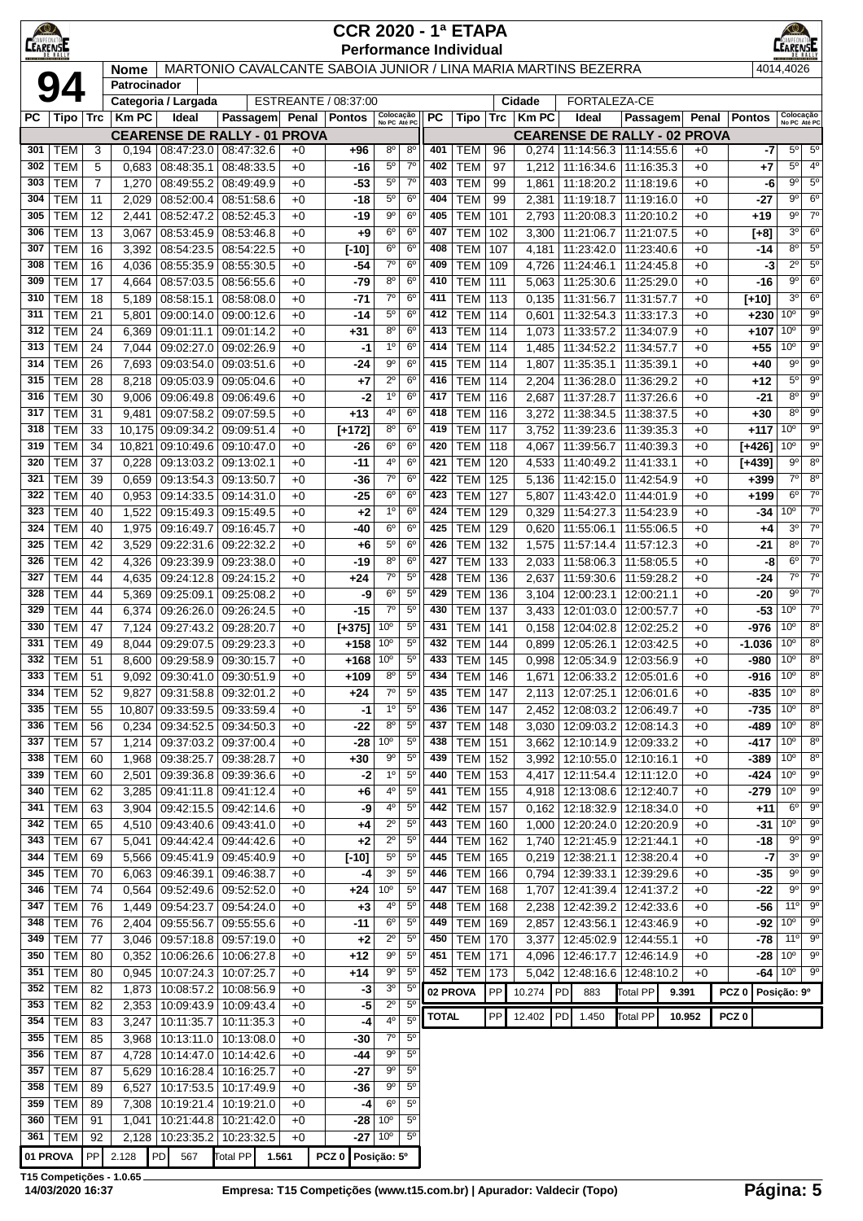| $\bigcirc$<br>AMPEON |                          |                |                             |                                       |                                                                |              | <b>CCR 2020 - 1ª ETAPA</b> |                               |                                  |              |                                  |            |                |                                 |                                                                    |              |                  |                                    |                               |
|----------------------|--------------------------|----------------|-----------------------------|---------------------------------------|----------------------------------------------------------------|--------------|----------------------------|-------------------------------|----------------------------------|--------------|----------------------------------|------------|----------------|---------------------------------|--------------------------------------------------------------------|--------------|------------------|------------------------------------|-------------------------------|
| <b>LEARENS</b>       |                          |                |                             |                                       | MARTONIO CAVALCANTE SABOIA JUNIOR / LINA MARIA MARTINS BEZERRA |              |                            |                               |                                  |              | <b>Performance Individual</b>    |            |                |                                 |                                                                    |              |                  | 4014,4026                          |                               |
|                      |                          |                | <b>Nome</b><br>Patrocinador |                                       |                                                                |              |                            |                               |                                  |              |                                  |            |                |                                 |                                                                    |              |                  |                                    |                               |
|                      |                          |                |                             | Categoria / Largada                   |                                                                |              | ESTREANTE / 08:37:00       |                               |                                  |              |                                  |            | Cidade         | FORTALEZA-CE                    |                                                                    |              |                  |                                    |                               |
| PС                   | Tipo   Trc               |                | <b>Km PC</b>                | Ideal                                 | <b>Passagem</b><br><b>CEARENSE DE RALLY - 01 PROVA</b>         |              | Penal   Pontos             | Colocação<br>No PC Até PC     |                                  | РC           | Tipo                             | Trc        | <b>Km PC</b>   | Ideal                           | Passagem<br><b>CEARENSE DE RALLY - 02 PROVA</b>                    | Penal        | <b>Pontos</b>    | Colocação<br>No PC Até PC          |                               |
| 301                  | <b>TEM</b>               | 3              | 0,194                       |                                       | 08:47:23.0 08:47:32.6                                          | $+0$         | +96                        | $8^{\circ}$                   | $8^{\circ}$                      | 401          | TEM                              | 96         | 0,274          |                                 | 11:14:56.3 11:14:55.6                                              | $+0$         | -7               | $5^{\circ}$                        | $5^{\circ}$                   |
| 302                  | <b>TEM</b>               | 5              | 0,683                       | 08:48:35.1                            | 08:48:33.5                                                     | $+0$         | $-16$                      | $5^{\circ}$                   | $7^\circ$                        | 402          | TEM                              | 97         | 1,212          | 11:16:34.6 11:16:35.3           |                                                                    | $+0$         | $+7$             | $5^{\circ}$                        | $4^{\circ}$                   |
| 303                  | <b>TEM</b>               | $\overline{7}$ | 1,270                       | 08:49:55.2                            | 08:49:49.9                                                     | $+0$         | $-53$                      | $5^{\circ}$                   | $7^{\circ}$                      | 403          | <b>TEM</b>                       | 99         | 1,861          |                                 | 11:18:20.2 11:18:19.6                                              | $+0$         | -6               | $9^{\circ}$                        | $5^{\circ}$                   |
| 304<br>305           | <b>TEM</b><br><b>TEM</b> | 11<br>12       | 2,029<br>2,441              | 08:52:00.4<br>08:52:47.2              | 08:51:58.6<br>08:52:45.3                                       | $+0$<br>$+0$ | $-18$<br>-19               | $5^{\circ}$<br>$9^{\circ}$    | 6 <sup>o</sup><br>6 <sup>o</sup> | 404<br>405   | <b>TEM</b><br>TEM                | 99<br>101  | 2,381<br>2,793 | 11:19:18.7                      | 11:19:16.0<br>11:20:08.3   11:20:10.2                              | $+0$<br>$+0$ | -27<br>$+19$     | 9º<br>9º                           | 6 <sup>o</sup><br>$7^\circ$   |
| 306                  | <b>TEM</b>               | 13             | 3,067                       | 08:53:45.9                            | 08:53:46.8                                                     | $+0$         | +9                         | $6^{\circ}$                   | $6^{\circ}$                      | 407          | <b>TEM</b>                       | 102        | 3,300          |                                 | 11:21:06.7   11:21:07.5                                            | $+0$         | $[+8]$           | $3^{\circ}$                        | 6 <sup>o</sup>                |
| 307                  | <b>TEM</b>               | 16             | 3,392                       | 08:54:23.5                            | 08:54:22.5                                                     | $+0$         | $[-10]$                    | $6^{\circ}$                   | 6 <sup>o</sup>                   | 408          | <b>TEM</b>                       | 107        | 4,181          | 11:23:42.0                      | 11:23:40.6                                                         | $+0$         | -14              | $8^{\circ}$                        | $5^{\circ}$                   |
| 308                  | <b>TEM</b>               | 16             | 4,036                       | 08:55:35.9                            | 08:55:30.5                                                     | $+0$         | -54                        | $7^\circ$<br>8 <sup>o</sup>   | 6 <sup>o</sup>                   | 409          | <b>TEM</b>                       | 109        | 4,726          | 11:24:46.1                      | 11:24:45.8                                                         | $+0$         | -3               | $2^{\circ}$<br>$9^{\circ}$         | $5^{\circ}$<br>6 <sup>o</sup> |
| 309<br>310           | <b>TEM</b><br><b>TEM</b> | 17<br>18       | 4,664<br>5,189              | 08:57:03.5<br>08:58:15.1              | 08:56:55.6<br>08:58:08.0                                       | $+0$<br>$+0$ | $-79$<br>$-71$             | $7^\circ$                     | 6 <sup>o</sup><br>6 <sup>o</sup> | 410<br>411   | TEM<br><b>TEM</b>                | 111<br>113 | 5,063<br>0,135 | 11:31:56.7                      | 11:25:30.6 11:25:29.0<br>11:31:57.7                                | $+0$<br>$+0$ | -16<br>$[+10]$   | 3 <sup>o</sup>                     | 6 <sup>o</sup>                |
| 311                  | <b>TEM</b>               | 21             | 5,801                       | 09:00:14.0                            | 09:00:12.6                                                     | $+0$         | -14                        | $5^{\circ}$                   | $6^{\circ}$                      | 412          | <b>TEM</b>                       | 114        | 0.601          | 11:32:54.3                      | 11:33:17.3                                                         | $+0$         | $+230$           | 10 <sup>o</sup>                    | $9^{\circ}$                   |
| 312                  | <b>TEM</b>               | 24             | 6,369                       | 09:01:11.1                            | 09:01:14.2                                                     | $+0$         | +31                        | $8^{\circ}$                   | 6 <sup>o</sup>                   | 413          | <b>TEM</b>                       | 114        | 1,073          | 11:33:57.2                      | 11:34:07.9                                                         | +0           | +107             | 10 <sup>o</sup>                    | $9^{\circ}$                   |
| 313                  | <b>TEM</b>               | 24             | 7,044                       | 09:02:27.0                            | 09:02:26.9                                                     | $+0$         | -1                         | 1 <sup>0</sup>                | 6 <sup>o</sup>                   | 414          | <b>TEM</b>                       | 114        | 1,485          | 11:34:52.2                      | 11:34:57.7                                                         | $+0$         | $+55$            | 10 <sup>o</sup>                    | $9^{\circ}$                   |
| 314<br>315           | <b>TEM</b><br><b>TEM</b> | 26<br>28       | 7,693<br>8,218              | 09:03:54.0<br>09:05:03.9              | 09:03:51.6<br>09:05:04.6                                       | $+0$<br>$+0$ | -24<br>$+7$                | $9^{\circ}$<br>$2^{\circ}$    | 6 <sup>o</sup><br>6 <sup>o</sup> | 415<br>416   | <b>TEM</b><br><b>TEM</b>         | 114<br>114 | 1,807<br>2,204 | 11:35:35.1<br>11:36:28.0        | 11:35:39.1<br>11:36:29.2                                           | $+0$<br>$+0$ | $+40$<br>+12     | 90<br>$5^{\circ}$                  | $9^{\circ}$<br>$9^{\circ}$    |
| 316                  | <b>TEM</b>               | 30             | 9,006                       | 09:06:49.8                            | 09:06:49.6                                                     | $+0$         | -2                         | 1 <sup>0</sup>                | $6^{\circ}$                      | 417          | <b>TEM</b>                       | 116        | 2,687          | 11:37:28.7                      | 11:37:26.6                                                         | $+0$         | -21              | $8^{\circ}$                        | $9^{\circ}$                   |
| 317                  | <b>TEM</b>               | 31             | 9,481                       | 09:07:58.2                            | 09:07:59.5                                                     | $+0$         | +13                        | 4 <sup>0</sup>                | 6 <sup>o</sup>                   | 418          | <b>TEM</b>                       | 116        | 3,272          |                                 | 11:38:34.5   11:38:37.5                                            | $+0$         | $+30$            | $8^{\circ}$                        | $9^{\circ}$                   |
| 318                  | <b>TEM</b>               | 33             | 10,175                      | 09:09:34.2                            | 09:09:51.4                                                     | $+0$         | $[+172]$                   | $8^{\circ}$                   | 6 <sup>o</sup>                   | 419          | <b>TEM</b>                       | 117        | 3,752          | 11:39:23.6                      | 11:39:35.3                                                         | $+0$         | +117             | 10 <sup>o</sup>                    | 9 <sup>o</sup>                |
| 319                  | <b>TEM</b>               | 34             | 10,821                      | 09:10:49.6                            | 09:10:47.0                                                     | $+0$         | -26                        | 6 <sup>o</sup>                | 6 <sup>o</sup>                   | 420          | <b>TEM</b>                       | 118        | 4,067          | 11:39:56.7                      | 11:40:39.3                                                         | $+0$         | $[+426]$         | 10 <sup>o</sup>                    | $9^{\circ}$                   |
| 320<br>321           | <b>TEM</b><br><b>TEM</b> | 37<br>39       | 0,228<br>0,659              | 09:13:03.2<br>09:13:54.3              | 09:13:02.1<br>09:13:50.7                                       | $+0$<br>$+0$ | -11<br>-36                 | 4°<br>$7^\circ$               | $6^{\circ}$<br>6 <sup>o</sup>    | 421<br>422   | <b>TEM</b><br><b>TEM</b>         | 120<br>125 | 4,533<br>5,136 | 11:42:15.0                      | 11:40:49.2 11:41:33.1<br>11:42:54.9                                | $+0$<br>$+0$ | $[+439]$<br>+399 | $9^{\circ}$<br>$7^\circ$           | 8 <sup>o</sup><br>$8^{\circ}$ |
| 322                  | <b>TEM</b>               | 40             | 0,953                       | 09:14:33.5                            | 09:14:31.0                                                     | $+0$         | $-25$                      | 6 <sup>o</sup>                | 6 <sup>o</sup>                   | 423          | <b>TEM</b>                       | 127        | 5,807          | 11:43:42.0                      | 11:44:01.9                                                         | $+0$         | $+199$           | $6^{\circ}$                        | 7 <sup>0</sup>                |
| 323                  | <b>TEM</b>               | 40             | 1,522                       | 09:15:49.3                            | 09:15:49.5                                                     | $+0$         | +2                         | 1 <sup>0</sup>                | 6 <sup>o</sup>                   | 424          | TEM                              | 129        | 0,329          |                                 | 11:54:27.3   11:54:23.9                                            | $+0$         | -34              | 10 <sup>o</sup>                    | $7^\circ$                     |
| 324                  | <b>TEM</b>               | 40             | 1,975                       | 09:16:49.7                            | 09:16:45.7                                                     | $+0$         | -40                        | $6^{\circ}$                   | $6^{\circ}$                      | 425          | <b>TEM</b>                       | 129        | 0,620          |                                 | 11:55:06.1   11:55:06.5                                            | $+0$         | +4               | $3^{\circ}$                        | $7^\circ$                     |
| 325                  | <b>TEM</b>               | 42             | 3,529                       | 09:22:31.6                            | 09:22:32.2                                                     | $+0$         | +6                         | $5^{\circ}$                   | 6 <sup>o</sup>                   | 426          | <b>TEM</b>                       | 132        | 1,575          |                                 | 11:57:14.4   11:57:12.3                                            | $+0$         | -21              | $8^{\circ}$                        | 7 <sup>0</sup>                |
| 326<br>327           | <b>TEM</b>               | 42             | 4,326                       | 09:23:39.9                            | 09:23:38.0                                                     | $+0$         | -19                        | $8^{\circ}$<br>$7^{\circ}$    | 6 <sup>o</sup><br>$5^{\circ}$    | 427<br>428   | <b>TEM</b><br><b>TEM</b>         | 133        | 2,033          | 11:58:06.3                      | 11:58:05.5                                                         | $+0$         | -8               | $6^{\circ}$<br>$7^\circ$           | $7^{\circ}$<br>$7^\circ$      |
| 328                  | <b>TEM</b><br><b>TEM</b> | 44<br>44       | 4,635<br>5,369              | 09:24:12.8<br>09:25:09.1              | 09:24:15.2<br>09:25:08.2                                       | $+0$<br>$+0$ | +24<br>-9                  | 6 <sup>o</sup>                | $5^{\circ}$                      | 429          | TEM                              | 136<br>136 | 2,637<br>3,104 |                                 | 11:59:30.6   11:59:28.2<br>12:00:23.1   12:00:21.1                 | $+0$<br>$+0$ | -24<br>-20       | 9º                                 | $7^{\circ}$                   |
| 329                  | <b>TEM</b>               | 44             | 6,374                       | 09:26:26.0                            | 09:26:24.5                                                     | $+0$         | $-15$                      | $7^\circ$                     | $5^{\circ}$                      | 430          | TEM                              | 137        | 3,433          |                                 | 12:01:03.0   12:00:57.7                                            | $+0$         | -53              | 10 <sup>o</sup>                    | $7^\circ$                     |
| 330                  | <b>TEM</b>               | 47             | 7,124                       | 09:27:43.2                            | 09:28:20.7                                                     | $+0$         | $[+375]$                   | 10 <sup>o</sup>               | $5^{\circ}$                      | 431          | <b>TEM</b>                       | 141        | 0,158          |                                 | 12:04:02.8   12:02:25.2                                            | $+0$         | -976             | 10 <sup>o</sup>                    | $8^{\circ}$                   |
| 331                  | <b>TEM</b>               | 49             | 8,044                       | 09:29:07.5                            | 09:29:23.3                                                     | $+0$         | $+158$                     | 10 <sup>o</sup>               | $5^{\circ}$                      | 432          | <b>TEM</b>                       | 144        | 0,899          | 12:05:26.1                      | 12:03:42.5                                                         | +0           | $-1.036$         | 10 <sup>o</sup>                    | 8 <sup>o</sup>                |
| 332                  | TEM                      | 51             | 8,600                       |                                       | 09:29:58.9 09:30:15.7                                          | $+0$         | $+168 10^{\circ}$          |                               | 5 <sup>0</sup>                   | 433          | <b>TEM</b>                       | 145        | 0.998          |                                 | 12:05:34.9   12:03:56.9                                            | $+0$         | -980             | 10 <sup>o</sup>                    | 8 <sup>0</sup>                |
| 333  <br>334         | TEM<br><b>TEM</b>        | 51<br>52       | 9,827                       | $9,092$   09:30:41.0   09:30:51.9     | 09:31:58.8 09:32:01.2                                          | $+0$<br>$+0$ | $+109$<br>+24              | $8^{\circ}$<br>$7^\circ$      | $5^{\circ}$<br>$5^{\circ}$       | 434<br>435   | <b>TEM 146</b><br>TEM            | 147        | 2,113          |                                 | 1,671   12:06:33.2   12:05:01.6<br>12:07:25.1   12:06:01.6         | +0<br>$+0$   | -916<br>-835     | 10 <sup>o</sup><br>10 <sup>o</sup> | $8^{\circ}$<br>$8^{\circ}$    |
| 335                  | <b>TEM</b>               | 55             | 10,807                      |                                       | 09:33:59.5 09:33:59.4                                          | $+0$         | -1                         | 1 <sup>0</sup>                | $5^{\circ}$                      | 436          | <b>TEM</b>                       | 147        | 2,452          |                                 | 12:08:03.2   12:06:49.7                                            | $+0$         | $-735$           | 10 <sup>o</sup>                    | $8^{\circ}$                   |
| 336                  | <b>TEM</b>               | 56             | 0,234                       |                                       | 09:34:52.5 09:34:50.3                                          | $+0$         | $-22$                      | $8^{\circ}$                   | $5^{\circ}$                      | 437          | <b>TEM 148</b>                   |            | 3,030          |                                 | 12:09:03.2   12:08:14.3                                            | $+0$         | -489             | 10 <sup>o</sup>                    | $8^{\circ}$                   |
| 337                  | <b>TEM</b>               | 57             | 1,214                       |                                       | 09:37:03.2 09:37:00.4                                          | $+0$         | $-28$                      | 10 <sup>o</sup>               | $5^{\circ}$                      | 438          | <b>TEM 151</b>                   |            |                |                                 | 3,662   12:10:14.9   12:09:33.2                                    | $+0$         | -417             | 10 <sup>o</sup>                    | $8^{\circ}$                   |
| 338                  | <b>TEM</b>               | 60             | 1,968                       |                                       | 09:38:25.7 09:38:28.7                                          | $+0$         | $+30$                      | 90                            | $5^{\circ}$                      | 439          | <b>TEM 152</b>                   |            |                | 3,992   12:10:55.0   12:10:16.1 |                                                                    | $+0$         | -389             | $10^{\circ}$                       | $8^{\circ}$<br>$9^{\circ}$    |
| 339<br>340           | <b>TEM</b><br><b>TEM</b> | 60<br>62       | 2,501<br>3,285              |                                       | 09:39:36.8 09:39:36.6<br>09:41:11.8 09:41:12.4                 | $+0$<br>$+0$ | -2<br>$+6$                 | $1^{\circ}$<br>$4^{\circ}$    | $5^{\circ}$<br>$5^{\rm o}$       | 440<br>441   | <b>TEM</b><br><b>TEM</b>         | 153<br>155 | 4,417<br>4,918 | 12:11:54.4   12:11:12.0         | 12:13:08.6   12:12:40.7                                            | $+0$<br>$+0$ | -424<br>-279     | $10^{\circ}$<br>$10^{\circ}$       | 9 <sup>o</sup>                |
| 341                  | <b>TEM</b>               | 63             | 3,904                       | $\vert$ 09:42:15.5 $\vert$ 09:42:14.6 |                                                                | $+0$         | -9                         | $4^{\circ}$                   | $5^{\circ}$                      | 442          | <b>TEM 157</b>                   |            |                |                                 | $0,162$   12:18:32.9   12:18:34.0                                  | $+0$         | $+11$            | $6^{\circ}$                        | $9^{\circ}$                   |
| 342                  | <b>TEM</b>               | 65             | 4,510                       |                                       | 09:43:40.6 09:43:41.0                                          | $+0$         | +4                         | $2^{\circ}$                   | 5 <sup>0</sup>                   | 443          | TEM                              | 160        |                |                                 | 1,000   12:20:24.0   12:20:20.9                                    | +0           | -31              | $10^{\circ}$                       | $9^{\circ}$                   |
| 343                  | <b>TEM</b>               | 67             | 5,041                       |                                       | 09:44:42.4 09:44:42.6                                          | $+0$         | +2                         | $2^{\circ}$                   | $5^{\circ}$                      | 444          | TEM                              | 162        | 1,740          | 12:21:45.9 12:21:44.1           |                                                                    | $+0$         | -18              | $9^{\circ}$                        | $9^{\circ}$                   |
| 344                  | <b>TEM</b>               | 69             | 5,566                       |                                       | 09:45:41.9 09:45:40.9                                          | $+0$         | $[-10]$                    | $5^{\circ}$<br>3 <sup>o</sup> | $5^{\circ}$<br>5 <sup>o</sup>    | 445          | TEM                              | 165        |                |                                 | 0,219   12:38:21.1   12:38:20.4                                    | $+0$         | -7               | $3^{\circ}$<br>$9^{\circ}$         | $9^{\circ}$<br>9 <sup>o</sup> |
| 345<br>346           | <b>TEM</b><br><b>TEM</b> | 70<br>74       | 6,063<br>0,564              |                                       | 09:46:39.1 09:46:38.7<br>09:52:49.6   09:52:52.0               | $+0$<br>$+0$ | -4<br>+24                  | 10 <sup>o</sup>               | 5 <sup>0</sup>                   | 446<br>447   | <b>TEM 166</b><br><b>TEM 168</b> |            |                |                                 | 0,794   12:39:33.1   12:39:29.6<br>1,707   12:41:39.4   12:41:37.2 | +0<br>+0     | -35<br>-22       | $9^{\circ}$                        | $9^{\circ}$                   |
| 347                  | <b>TEM</b>               | 76             | 1,449                       | 09:54:23.7 09:54:24.0                 |                                                                | $+0$         | $+3$                       | $4^{\circ}$                   | $5^{\circ}$                      | 448          | <b>TEM 168</b>                   |            |                |                                 | 2,238   12:42:39.2   12:42:33.6                                    | $+0$         | -56              | 11°                                | $9^{\circ}$                   |
| 348                  | <b>TEM</b>               | 76             | 2,404                       |                                       | 09:55:56.7 09:55:55.6                                          | $+0$         | $-11$                      | 6 <sup>o</sup>                | $5^{\circ}$                      | 449          | $TEM$ 169                        |            |                |                                 | 2,857   12:43:56.1   12:43:46.9                                    | $+0$         | -92              | 10 <sup>o</sup>                    | $9^{\circ}$                   |
| 349                  | <b>TEM</b>               | 77             | 3,046                       |                                       | 09:57:18.8 09:57:19.0                                          | $+0$         | $+2$                       | $2^{\circ}$                   | $5^{\circ}$                      | 450          | <b>TEM 170</b>                   |            | 3,377          |                                 | 12:45:02.9   12:44:55.1                                            | $+0$         | -78              | 11°                                | $9^{\circ}$                   |
| 350                  | <b>TEM</b>               | 80             | 0,352                       | 10:06:26.6                            | 10:06:27.8                                                     | $+0$         | $+12$                      | $9^{\circ}$                   | $5^{\circ}$                      | 451          | <b>TEM 171</b>                   |            | 4,096          |                                 | 12:46:17.7   12:46:14.9                                            | $+0$         | -28              | 10 <sup>o</sup>                    | $9^{\circ}$                   |
| 351<br>352           | <b>TEM</b><br><b>TEM</b> | 80<br>82       | 0,945<br>1,873              | 10:07:24.3                            | 10:07:25.7<br>10:08:57.2   10:08:56.9                          | $+0$<br>$+0$ | +14<br>-3                  | $9^{\circ}$<br>3 <sup>o</sup> | $5^{\circ}$<br>$5^{\circ}$       | 452          | <b>TEM</b>                       | 173        |                |                                 | 5,042   12:48:16.6   12:48:10.2                                    | $+0$         |                  | $-64 10^{\circ}$                   | $9^{\circ}$                   |
| 353                  | <b>TEM</b>               | 82             | 2,353                       |                                       | 10:09:43.9 10:09:43.4                                          | $+0$         | $-5$                       | $2^{\circ}$                   | 5 <sup>0</sup>                   | 02 PROVA     |                                  | PP         | 10.274 PD      | 883                             | <b>Total PP</b>                                                    | 9.391        | PCZ <sub>0</sub> | Posição: 9º                        |                               |
| 354                  | <b>TEM</b>               | 83             | 3,247                       | 10:11:35.7                            | 10:11:35.3                                                     | $+0$         | $-4$                       | 4 <sup>0</sup>                | $\overline{5^0}$                 | <b>TOTAL</b> |                                  | PP         | 12.402         | PD<br>1.450                     | <b>Total PP</b>                                                    | 10.952       | PCZ <sub>0</sub> |                                    |                               |
| 355                  | <b>TEM</b>               | 85             | 3,968                       | 10:13:11.0                            | 10:13:08.0                                                     | $+0$         | $-30$                      | $7^{\circ}$                   | $5^{\circ}$                      |              |                                  |            |                |                                 |                                                                    |              |                  |                                    |                               |
| 356                  | <b>TEM</b>               | 87             | 4,728                       |                                       | 10:14:47.0 10:14:42.6                                          | $+0$         | -44                        | $9^{\circ}$                   | $5^{\circ}$                      |              |                                  |            |                |                                 |                                                                    |              |                  |                                    |                               |
| 357<br>358           | <b>TEM</b><br><b>TEM</b> | 87<br>89       | 5,629<br>6,527              | 10:16:28.4<br>10:17:53.5              | 10:16:25.7<br>10:17:49.9                                       | $+0$<br>$+0$ | -27<br>$-36$               | $9^{\circ}$<br>$9^{\circ}$    | $5^{\circ}$<br>$5^{\circ}$       |              |                                  |            |                |                                 |                                                                    |              |                  |                                    |                               |
| 359                  | <b>TEM</b>               | 89             | 7,308                       | 10:19:21.4                            | 10:19:21.0                                                     | $+0$         | -4                         | 6 <sup>o</sup>                | $5^{\circ}$                      |              |                                  |            |                |                                 |                                                                    |              |                  |                                    |                               |
| 360                  | <b>TEM</b>               | 91             | 1,041                       | 10:21:44.8                            | 10:21:42.0                                                     | $+0$         |                            | $-28$ 10 <sup>°</sup>         | $5^{\circ}$                      |              |                                  |            |                |                                 |                                                                    |              |                  |                                    |                               |
| 361                  | <b>TEM</b>               | 92             | 2,128                       | 10:23:35.2                            | 10:23:32.5                                                     | $+0$         |                            | $-27$ 10 <sup>o</sup>         | $5^{\circ}$                      |              |                                  |            |                |                                 |                                                                    |              |                  |                                    |                               |
| 01 PROVA             |                          | PP             | 2.128                       | P <sub>D</sub>  <br>567               | Total PP 1.561                                                 |              | PCZ 0 Posição: 5°          |                               |                                  |              |                                  |            |                |                                 |                                                                    |              |                  |                                    |                               |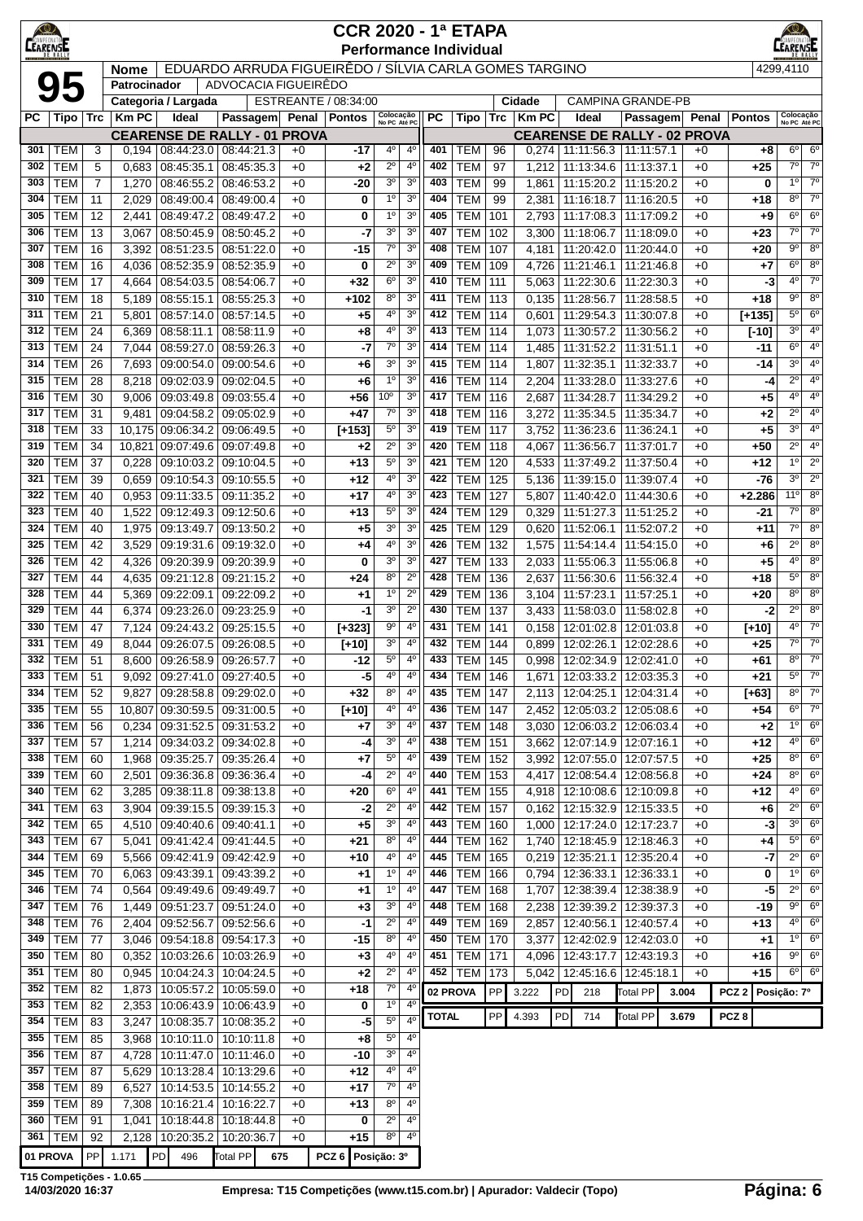| $\bigcirc$      |                          |                |                |                                 |                                                        |              | <b>CCR 2020 - 1ª ETAPA</b> |                                   |                                  |              |                               |            |                        |                          |                                                    |              |                          | $\circledcirc$                |                               |
|-----------------|--------------------------|----------------|----------------|---------------------------------|--------------------------------------------------------|--------------|----------------------------|-----------------------------------|----------------------------------|--------------|-------------------------------|------------|------------------------|--------------------------|----------------------------------------------------|--------------|--------------------------|-------------------------------|-------------------------------|
| <b>CEARENSE</b> |                          |                |                |                                 |                                                        |              |                            |                                   |                                  |              | <b>Performance Individual</b> |            |                        |                          |                                                    |              |                          | EARENSE                       |                               |
|                 |                          |                | <b>Nome</b>    |                                 | EDUARDO ARRUDA FIGUEIRÊDO / SÍLVIA CARLA GOMES TARGINO |              |                            |                                   |                                  |              |                               |            |                        |                          |                                                    |              |                          | 4299,4110                     |                               |
|                 | 95                       |                | Patrocinador   |                                 | ADVOCACIA FIGUEIRÊDO                                   |              |                            |                                   |                                  |              |                               |            |                        |                          |                                                    |              |                          |                               |                               |
| РC              | Tipo                     | <b>Trc</b>     | <b>Km PC</b>   | Categoria / Largada<br>Ideal    | Passagem Penal Pontos                                  |              | ESTREANTE / 08:34:00       | Colocação<br>No PC Até PC         |                                  | РC           | <b>Tipo</b>                   | Trc        | Cidade<br><b>Km PC</b> | Ideal                    | <b>CAMPINA GRANDE-PB</b><br>Passagem Penal         |              | <b>Pontos</b>            | Colocação<br>No PC Até PC     |                               |
|                 |                          |                |                |                                 | <b>CEARENSE DE RALLY - 01 PROVA</b>                    |              |                            |                                   |                                  |              |                               |            |                        |                          | <b>CEARENSE DE RALLY - 02 PROVA</b>                |              |                          |                               |                               |
| 301             | TEM                      | 3              | 0.194          |                                 | 08:44:23.0   08:44:21.3                                | $+0$         | -17                        | 4°                                | $4^{\circ}$                      | 401          | TEM                           | 96         | 0,274                  |                          | 11:11:56.3   11:11:57.1                            | $+0$         | +8                       | $6^{\circ}$                   | $6^{\circ}$                   |
| 302             | <b>TEM</b>               | 5              | 0,683          | 08:45:35.1                      | 08:45:35.3                                             | $+0$         | $+2$                       | $2^{\circ}$                       | 4 <sup>0</sup>                   | 402          | <b>TEM</b>                    | 97         | 1,212                  |                          | 11:13:34.6   11:13:37.1                            | $+0$         | $+25$                    | $7^\circ$                     | $7^\circ$                     |
| 303             | <b>TEM</b>               | $\overline{7}$ | 1,270          |                                 | 08:46:55.2 08:46:53.2                                  | $+0$         | -20                        | 3 <sup>o</sup>                    | 3 <sup>o</sup>                   | 403          | <b>TEM</b>                    | 99         | 1,861                  |                          | 11:15:20.2   11:15:20.2                            | $+0$         | 0                        | 1 <sup>0</sup>                | $7^\circ$                     |
| 304             | <b>TEM</b>               | 11             | 2,029          |                                 | 08:49:00.4   08:49:00.4                                | $+0$         | 0                          | 1 <sup>0</sup>                    | 3 <sup>o</sup>                   | 404          | <b>TEM</b>                    | 99         | 2,381                  |                          | 11:16:18.7   11:16:20.5                            | $+0$         | +18                      | $8^{\circ}$                   | $7^\circ$                     |
| 305             | <b>TEM</b>               | 12             | 2,441          | 08:49:47.2                      | 08:49:47.2                                             | $+0$         | 0                          | 1 <sup>0</sup>                    | 3 <sup>o</sup>                   | 405          | <b>TEM</b>                    | 101        | 2,793                  | 11:17:08.3               | 11:17:09.2                                         | $+0$         | +9                       | $6^{\circ}$                   | $6^{\circ}$                   |
| 306<br>307      | <b>TEM</b><br><b>TEM</b> | 13<br>16       | 3,067<br>3,392 | 08:50:45.9<br>08:51:23.5        | 08:50:45.2<br>08:51:22.0                               | $+0$<br>$+0$ | -7<br>$-15$                | 3 <sup>o</sup><br>$7^\circ$       | 3 <sup>o</sup><br>3 <sup>o</sup> | 407<br>408   | <b>TEM</b><br><b>TEM</b>      | 102<br>107 | 3,300                  | 11:18:06.7<br>11:20:42.0 | 11:18:09.0<br>11:20:44.0                           | $+0$<br>$+0$ | $+23$<br>+20             | 7°<br>$9^{\circ}$             | $7^\circ$<br>$8^{\circ}$      |
| 308             | <b>TEM</b>               | 16             | 4,036          | 08:52:35.9                      | 08:52:35.9                                             | $+0$         | 0                          | 2º                                | 3 <sup>o</sup>                   | 409          | <b>TEM</b>                    | 109        | 4,181<br>4,726         | 11:21:46.1               | 11:21:46.8                                         | $+0$         | +7                       | $6^{\circ}$                   | $8^{\circ}$                   |
| 309             | <b>TEM</b>               | 17             | 4,664          | 08:54:03.5                      | 08:54:06.7                                             | +0           | $+32$                      | $6^{\circ}$                       | 3 <sup>o</sup>                   | 410          | <b>TEM</b>                    | 111        | 5,063                  | 11:22:30.6               | 11:22:30.3                                         | $+0$         | -3                       | $4^{\circ}$                   | $7^\circ$                     |
| 310             | <b>TEM</b>               | 18             | 5,189          | 08:55:15.1                      | 08:55:25.3                                             | +0           | +102                       | $8^{\circ}$                       | 3 <sup>o</sup>                   | 411          | <b>TEM</b>                    | 113        | 0,135                  | 11:28:56.7               | 11:28:58.5                                         | $+0$         | +18                      | $9^{\circ}$                   | $8^{\circ}$                   |
| 311             | <b>TEM</b>               | 21             | 5,801          |                                 | 08:57:14.0 08:57:14.5                                  | $+0$         | $+5$                       | $4^{\circ}$                       | 3 <sup>o</sup>                   | 412          | <b>TEM</b>                    | 114        | 0,601                  |                          | 11:29:54.3   11:30:07.8                            | $+0$         | $[+135]$                 | $5^{\circ}$                   | $6^{\circ}$                   |
| 312             | <b>TEM</b>               | 24             | 6,369          | 08:58:11.1                      | 08:58:11.9                                             | $+0$         | $+8$                       | 4º                                | 3 <sup>o</sup>                   | 413          | <b>TEM</b>                    | 114        | 1,073                  |                          | 11:30:57.2 11:30:56.2                              | $+0$         | $[-10]$                  | 3 <sup>o</sup>                | $4^{\circ}$                   |
| 313             | <b>TEM</b>               | 24             | 7,044          | 08:59:27.0                      | 08:59:26.3                                             | $+0$         | -7                         | $7^\circ$                         | 3 <sup>o</sup>                   | 414          | <b>TEM</b>                    | 114        | 1,485                  |                          | 11:31:52.2 11:31:51.1                              | $+0$         | -11                      | 6 <sup>o</sup>                | $4^{\circ}$                   |
| 314             | <b>TEM</b>               | 26             | 7,693          | 09:00:54.0                      | 09:00:54.6                                             | $+0$         | $+6$                       | 3 <sup>o</sup>                    | 3 <sup>o</sup>                   | 415          | <b>TEM</b>                    | 114        | 1,807                  | 11:32:35.1               | 11:32:33.7                                         | $+0$         | -14                      | 3 <sup>o</sup>                | 4°                            |
| 315<br>316      | <b>TEM</b><br><b>TEM</b> | 28<br>30       | 8,218<br>9,006 | 09:02:03.9<br>09:03:49.8        | 09:02:04.5<br>09:03:55.4                               | $+0$<br>$+0$ | $+6$<br>$+56$              | 1 <sup>0</sup><br>10 <sup>o</sup> | 3 <sup>o</sup><br>3 <sup>o</sup> | 416<br>417   | <b>TEM</b><br><b>TEM</b>      | 114<br>116 | 2,204<br>2,687         | 11:33:28.0<br>11:34:28.7 | 11:33:27.6<br>11:34:29.2                           | $+0$<br>$+0$ | -4<br>+5                 | $2^{\circ}$<br>$4^{\circ}$    | $4^{\circ}$<br>4º             |
| 317             | <b>TEM</b>               | 31             | 9,481          | 09:04:58.2                      | 09:05:02.9                                             | $+0$         | $+47$                      | $7^{\circ}$                       | 3 <sup>o</sup>                   | 418          | <b>TEM</b>                    | 116        | 3,272                  | 11:35:34.5               | 11:35:34.7                                         | $+0$         | +2                       | $2^{\circ}$                   | $4^{\circ}$                   |
| 318             | <b>TEM</b>               | 33             |                | 10,175 09:06:34.2               | 09:06:49.5                                             | +0           | $[+153]$                   | $5^{\circ}$                       | 3 <sup>o</sup>                   | 419          | <b>TEM</b>                    | 117        | 3,752                  | 11:36:23.6               | 11:36:24.1                                         | $+0$         | +5                       | $3^{\circ}$                   | 4 <sup>o</sup>                |
| 319             | <b>TEM</b>               | 34             | 10,821         | 09:07:49.6                      | 09:07:49.8                                             | $+0$         | $+2$                       | $2^{\circ}$                       | 3 <sup>o</sup>                   | 420          | <b>TEM</b>                    | 118        | 4,067                  | 11:36:56.7               | 11:37:01.7                                         | $+0$         | +50                      | $2^{\circ}$                   | $4^{\circ}$                   |
| 320             | <b>TEM</b>               | 37             | 0,228          | 09:10:03.2                      | 09:10:04.5                                             | $+0$         | $+13$                      | $5^{\circ}$                       | 3 <sup>o</sup>                   | 421          | <b>TEM</b>                    | 120        | 4,533                  |                          | 11:37:49.2   11:37:50.4                            | $+0$         | +12                      | $1^{\circ}$                   | $2^{\circ}$                   |
| 321             | <b>TEM</b>               | 39             | 0,659          |                                 | 09:10:54.3 09:10:55.5                                  | $+0$         | $+12$                      | 4°                                | 3 <sup>o</sup>                   | 422          | <b>TEM</b>                    | 125        | 5,136                  |                          | 11:39:15.0   11:39:07.4                            | $+0$         | $-76$                    | $3^{\circ}$                   | $2^{\circ}$                   |
| 322             | <b>TEM</b>               | 40             | 0,953          | 09:11:33.5                      | 09:11:35.2                                             | $+0$         | $+17$                      | 4º                                | 3 <sup>o</sup>                   | 423          | <b>TEM</b>                    | 127        | 5,807                  |                          | 11:40:42.0   11:44:30.6                            | $+0$         | $+2.286$                 | 11°                           | $8^{\circ}$                   |
| 323             | <b>TEM</b>               | 40             | 1,522          | 09:12:49.3                      | 09:12:50.6                                             | $+0$         | $+13$                      | $5^{\circ}$                       | 3 <sup>o</sup>                   | 424          | <b>TEM</b>                    | 129        | 0,329                  | 11:51:27.3               | 11:51:25.2                                         | $+0$         | -21                      | $7^\circ$<br>$7^{\circ}$      | $8^{\circ}$                   |
| 324<br>325      | <b>TEM</b><br><b>TEM</b> | 40<br>42       | 1,975          | 09:13:49.7<br>09:19:31.6        | 09:13:50.2<br>09:19:32.0                               | $+0$<br>$+0$ | $+5$<br>$+4$               | 3 <sup>o</sup><br>4°              | 3 <sup>o</sup><br>3 <sup>o</sup> | 425<br>426   | <b>TEM</b><br><b>TEM</b>      | 129<br>132 | 0,620                  | 11:52:06.1<br>11:54:14.4 | 11:52:07.2<br>11:54:15.0                           | $+0$<br>$+0$ | $+11$<br>$+6$            | $2^{\circ}$                   | $8^{\circ}$<br>8 <sup>o</sup> |
| 326             | <b>TEM</b>               | 42             | 3,529<br>4,326 | 09:20:39.9                      | 09:20:39.9                                             | $+0$         | 0                          | 30                                | 3 <sup>o</sup>                   | 427          | <b>TEM</b>                    | 133        | 1,575<br>2,033         | 11:55:06.3               | 11:55:06.8                                         | $+0$         | +5                       | $4^{\circ}$                   | $8^{\circ}$                   |
| 327             | <b>TEM</b>               | 44             | 4,635          | 09:21:12.8                      | 09:21:15.2                                             | $+0$         | $+24$                      | $8^{\circ}$                       | $2^{\circ}$                      | 428          | <b>TEM</b>                    | 136        | 2,637                  | 11:56:30.6               | 11:56:32.4                                         | $+0$         | +18                      | $5^{\circ}$                   | $8^{\circ}$                   |
| 328             | <b>TEM</b>               | 44             | 5,369          | 09:22:09.1                      | 09:22:09.2                                             | +0           | $+1$                       | 1 <sup>0</sup>                    | $2^{\circ}$                      | 429          | <b>TEM</b>                    | 136        | 3,104                  | 11:57:23.1               | 11:57:25.1                                         | $+0$         | +20                      | $8^{\circ}$                   | $8^{\circ}$                   |
| 329             | <b>TEM</b>               | 44             | 6,374          | 09:23:26.0                      | 09:23:25.9                                             | $+0$         | -1                         | 3 <sup>o</sup>                    | $2^{\circ}$                      | 430          | <b>TEM</b>                    | 137        | 3,433                  |                          | 11:58:03.0   11:58:02.8                            | $+0$         | -2                       | $2^{\circ}$                   | $8^{\circ}$                   |
| 330             | <b>TEM</b>               | 47             | 7,124          | 09:24:43.2                      | 09:25:15.5                                             | $+0$         | $[+323]$                   | $9^{\circ}$                       | 4 <sup>0</sup>                   | 431          | <b>TEM</b>                    | 141        | 0,158                  |                          | 12:01:02.8   12:01:03.8                            | $+0$         | $[+10]$                  | $4^{\circ}$                   | $7^\circ$                     |
| 331             | <b>TEM</b>               | 49             | 8,044          | 09:26:07.5                      | 09:26:08.5                                             | $+0$         | $[+10]$                    | 30                                | $4^{\circ}$                      | 432          | <b>TEM</b>                    | 144        | 0,899                  | 12:02:26.1               | 12:02:28.6                                         | $+0$         | $+25$                    | 7°                            | $7^\circ$                     |
| 332             | <b>TEM</b>               | 51             | 8,600          |                                 | 09:26:58.9 09:26:57.7                                  | $+0$         | $-12$                      | $5^{\circ}$                       | $4^{\circ}$                      | 433          | <b>TEM</b>                    | 145        | 0,998                  |                          | 12:02:34.9   12:02:41.0                            | $+0$         | $+61$                    | $8^{\circ}$                   | $7^\circ$                     |
| 333<br>334      | TEM  <br><b>TEM</b>      | 51<br>52       | 9,827          | 9,092 09:27:41.0 09:27:40.5     | 09:28:58.8 09:29:02.0                                  | $+0$<br>$+0$ | -5<br>$+32$                | 4°<br>8 <sup>o</sup>              | 4°<br>4 <sup>0</sup>             | 434<br>435   | <b>TEM   146</b><br>TEM       | 147        | 1,671<br>2,113         |                          | 12:03:33.2   12:03:35.3<br>12:04:25.1   12:04:31.4 | +0<br>+0     | +21<br>$[+63]$           | $5^{\circ}$<br>$8^{\circ}$    | $7^\circ$<br>$7^\circ$        |
| 335             | <b>TEM</b>               | 55             |                |                                 | 10,807 09:30:59.5 09:31:00.5                           | $+0$         | $[+10]$                    | 4°                                | $4^{\circ}$                      | 436          | <b>TEM</b>                    | 147        |                        |                          | 2,452   12:05:03.2   12:05:08.6                    | $+0$         | +54                      | $6^{\circ}$                   | $7^\circ$                     |
| 336             | <b>TEM</b>               | 56             | 0,234          |                                 | 09:31:52.5 09:31:53.2                                  | $+0$         | +7                         | 3 <sup>o</sup>                    | $4^{\circ}$                      | 437          | <b>TEM</b>                    | 148        | 3,030                  |                          | 12:06:03.2   12:06:03.4                            | $+0$         | $+2$                     | 1 <sup>0</sup>                | $6^{\circ}$                   |
| 337             | <b>TEM</b>               | 57             | 1,214          |                                 | 09:34:03.2 09:34:02.8                                  | +0           | -4                         | 3 <sup>o</sup>                    | $4^{\circ}$                      | 438          | <b>TEM</b>                    | 151        | 3,662                  |                          | 12:07:14.9   12:07:16.1                            | $+0$         | +12                      | $4^{\circ}$                   | $6^{\circ}$                   |
| 338             | <b>TEM</b>               | 60             | 1,968          |                                 | 09:35:25.7 09:35:26.4                                  | +0           | $+7$                       | $5^{\circ}$                       | $4^{\circ}$                      | 439          | <b>TEM</b>                    | 152        | 3,992                  |                          | 12:07:55.0   12:07:57.5                            | $+0$         | +25                      | $8^{\circ}$                   | $6^{\circ}$                   |
| 339             | <b>TEM</b>               | 60             | 2,501          |                                 | 09:36:36.8 09:36:36.4                                  | $+0$         | -4                         | $2^{\circ}$                       | $4^{\circ}$                      | 440          | <b>TEM</b>                    | 153        | 4,417                  |                          | 12:08:54.4   12:08:56.8                            | $+0$         | $+24$                    | $8^{\circ}$                   | $6^{\circ}$                   |
| 340             | <b>TEM</b>               | 62             | 3,285          |                                 | 09:38:11.8 09:38:13.8                                  | $+0$         | $+20$                      | $6^{\circ}$                       | $4^{\circ}$                      | 441          | <b>TEM</b>                    | 155        |                        |                          | 4,918   12:10:08.6   12:10:09.8                    | $+0$         | +12                      | $4^{\circ}$                   | $6^{\circ}$                   |
| 341<br>342      | <b>TEM</b><br><b>TEM</b> | 63<br>65       | 3,904<br>4,510 |                                 | $09:39:15.5$ 09:39:15.3<br>09:40:40.6 09:40:41.1       | $+0$         | -2<br>$+5$                 | $2^{\circ}$<br>$3o$               | $4^{\circ}$<br>4 <sup>0</sup>    | 442<br>443   | <b>TEM</b><br><b>TEM</b>      | 157<br>160 | 0,162                  |                          | 12:15:32.9 12:15:33.5<br>12:17:24.0   12:17:23.7   | $+0$<br>+0   | +6<br>$-3$               | $2^{\circ}$<br>3 <sup>0</sup> | $6^{\circ}$<br>$6^{\circ}$    |
| 343             | <b>TEM</b>               | 67             | 5,041          |                                 | 09:41:42.4 09:41:44.5                                  | $+0$<br>$+0$ | +21                        | $8^{\circ}$                       | $4^{\circ}$                      | 444          | TEM                           | 162        | 1,000<br>1,740         |                          | 12:18:45.9   12:18:46.3                            | +0           | +4                       | $5^{\circ}$                   | $6^{\circ}$                   |
| 344             | <b>TEM</b>               | 69             |                |                                 | 5,566   09:42:41.9   09:42:42.9                        | $+0$         | $+10$                      | 4°                                | $4^{\circ}$                      | 445          | <b>TEM</b>                    | 165        |                        |                          | $0,219$   12:35:21.1   12:35:20.4                  | $+0$         | $-7$                     | $2^{\circ}$                   | $6^{\circ}$                   |
| 345             | <b>TEM</b>               | 70             | 6,063          |                                 | 09:43:39.1   09:43:39.2                                | $+0$         | +1                         | $1^{\circ}$                       | 4 <sup>0</sup>                   | 446          | TEM                           | 166        | 0,794                  |                          | 12:36:33.1   12:36:33.1                            | +0           | 0                        | $1^{\circ}$                   | 6 <sup>o</sup>                |
| 346             | <b>TEM</b>               | 74             | 0.564          |                                 | 09:49:49.6 09:49:49.7                                  | +0           | $+1$                       | 1 <sup>0</sup>                    | $4^{\circ}$                      | 447          | <b>TEM</b>                    | 168        | 1,707                  |                          | 12:38:39.4   12:38:38.9                            | $+0$         | $-5$                     | $2^{\circ}$                   | $6^{\circ}$                   |
| 347             | <b>TEM</b>               | 76             | 1,449          |                                 | 09:51:23.7 09:51:24.0                                  | +0           | $+3$                       | 3 <sup>o</sup>                    | $4^{\circ}$                      | 448          | <b>TEM</b>                    | 168        | 2,238                  |                          | 12:39:39.2   12:39:37.3                            | +0           | -19                      | 9°                            | $6^{\circ}$                   |
| 348             | <b>TEM</b>               | 76             | 2,404          |                                 | 09:52:56.7 09:52:56.6                                  | $+0$         | -1                         | $2^{\circ}$                       | $4^{\circ}$                      | 449          | <b>TEM</b>                    | 169        | 2,857                  |                          | 12:40:56.1   12:40:57.4                            | $+0$         | $+13$                    | $4^{\circ}$                   | $6^{\circ}$                   |
| 349             | <b>TEM</b>               | 77             | 3,046          |                                 | 09:54:18.8 09:54:17.3                                  | $+0$         | $-15$                      | 80                                | $4^{\circ}$                      | 450          | <b>TEM</b>                    | 170        | 3,377                  |                          | 12:42:02.9   12:42:03.0                            | $+0$         | $+1$                     | $1^{\circ}$<br>$9^{\circ}$    | $6^{\circ}$                   |
| 350<br>351      | <b>TEM</b>               | 80             | 0,352          |                                 | 10:03:26.6   10:03:26.9                                | $+0$         | $+3$                       | $4^{\circ}$<br>$2^{\circ}$        | 4 <sup>0</sup><br>$4^{\circ}$    | 451          | <b>TEM</b><br><b>452 TEM</b>  | 171        | 4,096                  |                          | 12:43:17.7   12:43:19.3                            | $+0$         | $+16$                    | $6^{\circ}$                   | $6^{\circ}$<br>$6^{\circ}$    |
| 352             | <b>TEM</b><br><b>TEM</b> | 80<br>82       | 0,945<br>1,873 |                                 | 10:04:24.3 10:04:24.5<br>10:05:57.2   10:05:59.0       | $+0$<br>$+0$ | $+2$<br>+18                | $7^\circ$                         | $4^{\circ}$                      |              | 02 PROVA                      | 173<br>PP  | 3.222                  |                          | 5,042   12:45:16.6   12:45:18.1<br><b>Total PP</b> | $+0$         | +15<br>PCZ 2 Posição: 7º |                               |                               |
| 353             | <b>TEM</b>               | 82             | 2,353          |                                 | 10:06:43.9 10:06:43.9                                  | $+0$         | 0                          | 1 <sup>0</sup>                    | $4^{\circ}$                      |              |                               |            |                        | PD<br>218                |                                                    | 3.004        |                          |                               |                               |
| 354             | <b>TEM</b>               | 83             | 3,247          |                                 | 10:08:35.7   10:08:35.2                                | $+0$         | -5                         | $5^{\circ}$                       | 4 <sup>0</sup>                   | <b>TOTAL</b> |                               | PP         | 4.393                  | PD<br>714                | <b>Total PP</b>                                    | 3.679        | PCZ <sub>8</sub>         |                               |                               |
| 355             | <b>TEM</b>               | 85             | 3,968          |                                 | 10:10:11.0   10:10:11.8                                | +0           | $+8$                       | $5^{\circ}$                       | $4^{\circ}$                      |              |                               |            |                        |                          |                                                    |              |                          |                               |                               |
| 356             | <b>TEM</b>               | 87             | 4,728          |                                 | 10:11:47.0   10:11:46.0                                | +0           | -10                        | 3 <sup>o</sup>                    | 4 <sup>0</sup>                   |              |                               |            |                        |                          |                                                    |              |                          |                               |                               |
| 357             | <b>TEM</b>               | 87             | 5,629          |                                 | 10:13:28.4   10:13:29.6                                | $+0$         | +12                        | 4°                                | $4^{\circ}$                      |              |                               |            |                        |                          |                                                    |              |                          |                               |                               |
| 358             | <b>TEM</b>               | 89             | 6,527          |                                 | 10:14:53.5   10:14:55.2                                | $+0$         | $+17$                      | $7^\circ$<br>$8^{\circ}$          | $4^{\circ}$<br>$4^{\circ}$       |              |                               |            |                        |                          |                                                    |              |                          |                               |                               |
| 359<br>360      | <b>TEM</b><br><b>TEM</b> | 89<br>91       | 7,308<br>1,041 |                                 | 10:16:21.4   10:16:22.7<br>10:18:44.8 10:18:44.8       | $+0$<br>$+0$ | $+13$<br>0                 | $2^{\circ}$                       | $4^{\circ}$                      |              |                               |            |                        |                          |                                                    |              |                          |                               |                               |
| 361             | <b>TEM</b>               | 92             |                | 2,128   10:20:35.2   10:20:36.7 |                                                        | $+0$         | $+15$                      | $8^{\circ}$                       | $4^{\circ}$                      |              |                               |            |                        |                          |                                                    |              |                          |                               |                               |
| 01 PROVA        |                          | PP             | 1.171          | 496<br>PD                       | Total PP<br>675                                        |              | PCZ 6 Posição: 3º          |                                   |                                  |              |                               |            |                        |                          |                                                    |              |                          |                               |                               |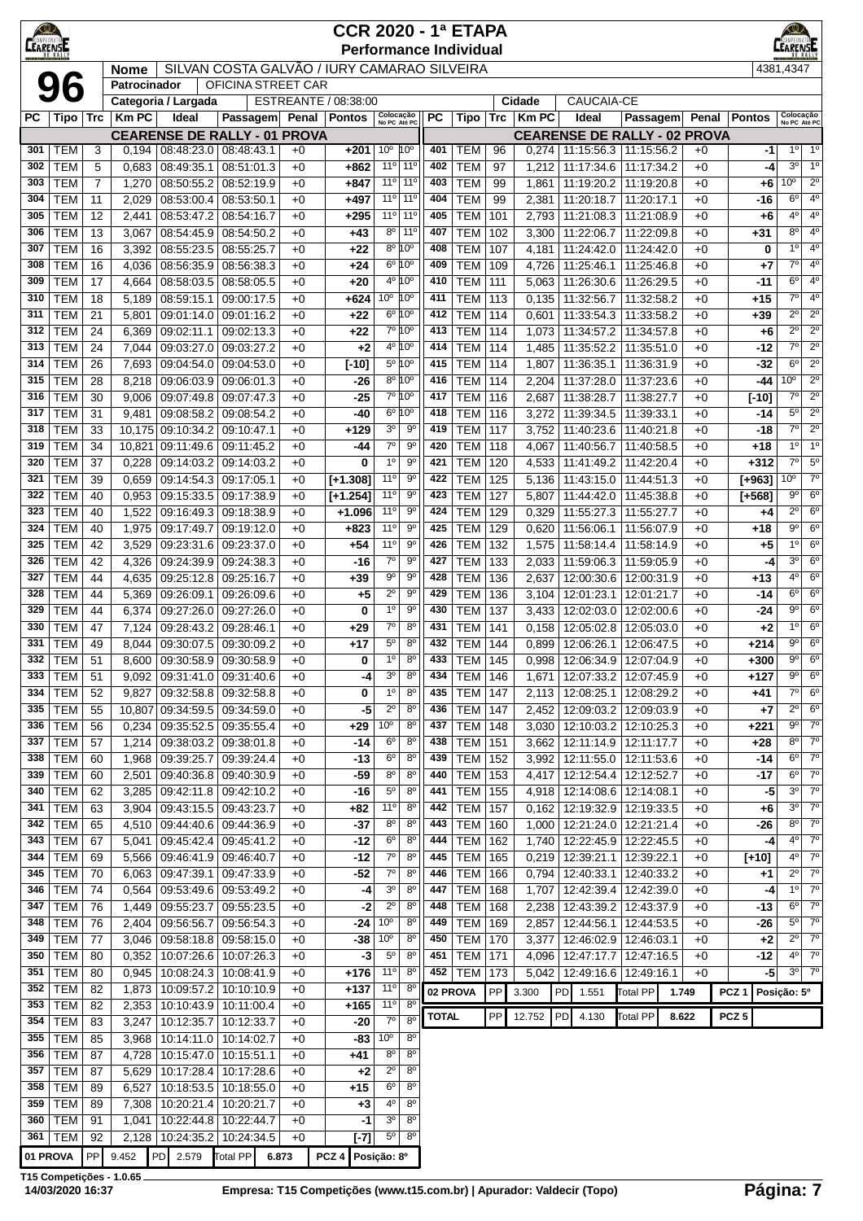| <b>KO</b><br>LEARENSE |                          |                                                                                                                                                                                                                                                                                                                                                                                                                                                                                                                                                                                                                                                                                                                                                                 |                                                                                                                                                                                                           |                                  |                                                                    |              | <b>CCR 2020 - 1ª ETAPA</b> |                                 |                                  |              | <b>Performance Individual</b> |            |                |                          |                                                                    |              |                  | EARENSE                                                     |
|-----------------------|--------------------------|-----------------------------------------------------------------------------------------------------------------------------------------------------------------------------------------------------------------------------------------------------------------------------------------------------------------------------------------------------------------------------------------------------------------------------------------------------------------------------------------------------------------------------------------------------------------------------------------------------------------------------------------------------------------------------------------------------------------------------------------------------------------|-----------------------------------------------------------------------------------------------------------------------------------------------------------------------------------------------------------|----------------------------------|--------------------------------------------------------------------|--------------|----------------------------|---------------------------------|----------------------------------|--------------|-------------------------------|------------|----------------|--------------------------|--------------------------------------------------------------------|--------------|------------------|-------------------------------------------------------------|
|                       |                          |                                                                                                                                                                                                                                                                                                                                                                                                                                                                                                                                                                                                                                                                                                                                                                 | <b>Nome</b>                                                                                                                                                                                               |                                  | SILVAN COSTA GALVÃO / IURY CAMARAO SILVEIRA                        |              |                            |                                 |                                  |              |                               |            |                |                          |                                                                    |              |                  | 4381,4347                                                   |
|                       | 96                       |                                                                                                                                                                                                                                                                                                                                                                                                                                                                                                                                                                                                                                                                                                                                                                 | Patrocinador                                                                                                                                                                                              |                                  | <b>OFICINA STREET CAR</b>                                          |              |                            |                                 |                                  |              |                               |            |                |                          |                                                                    |              |                  |                                                             |
|                       |                          |                                                                                                                                                                                                                                                                                                                                                                                                                                                                                                                                                                                                                                                                                                                                                                 |                                                                                                                                                                                                           | Categoria / Largada              |                                                                    |              | ESTREANTE / 08:38:00       |                                 |                                  |              |                               |            | Cidade         | CAUCAIA-CE               |                                                                    |              |                  | Colocação                                                   |
| РC                    | Tipo                     | <b>Trc</b>                                                                                                                                                                                                                                                                                                                                                                                                                                                                                                                                                                                                                                                                                                                                                      | <b>Km PC</b>                                                                                                                                                                                              | Ideal                            | Passagem<br><b>CEARENSE DE RALLY - 01 PROVA</b>                    |              | Penal   Pontos             | Colocação<br>No PC Até PC       |                                  | РC           | Tipo                          |            | Trc   Km PC    | Ideal                    | Passagem Penal<br><b>CEARENSE DE RALLY - 02 PROVA</b>              |              | <b>Pontos</b>    | No PC Até PC                                                |
| 301                   | TEM                      | 3                                                                                                                                                                                                                                                                                                                                                                                                                                                                                                                                                                                                                                                                                                                                                               | 0.194                                                                                                                                                                                                     |                                  | 08:48:23.0 08:48:43.1                                              | $+0$         | $+201$                     | 10 <sup>o</sup>                 | 10 <sup>o</sup>                  | 401          | TEM                           | 96         | 0,274          |                          | 11:15:56.3   11:15:56.2                                            | $+0$         | -1               | $1^{\circ}$<br>$1^{\circ}$                                  |
| 302                   | <b>TEM</b>               | 5                                                                                                                                                                                                                                                                                                                                                                                                                                                                                                                                                                                                                                                                                                                                                               | 0,683                                                                                                                                                                                                     | 08:49:35.1                       | 08:51:01.3                                                         | $+0$         | +862                       | $11^{\circ}$                    | 11 <sup>0</sup>                  | 402          | <b>TEM</b>                    | 97         | 1,212          | 11:17:34.6               | 11:17:34.2                                                         | $+0$         | -4               | 3 <sup>o</sup><br>1 <sup>0</sup>                            |
| 303                   | <b>TEM</b>               | 7                                                                                                                                                                                                                                                                                                                                                                                                                                                                                                                                                                                                                                                                                                                                                               | 1,270                                                                                                                                                                                                     | 08:50:55.2                       | 08:52:19.9                                                         | $+0$         | $+847$                     |                                 | 11° 11°                          | 403          | <b>TEM</b>                    | 99         | 1,861          | 11:19:20.2               | 11:19:20.8                                                         | $+0$         | +6               | $2^{\circ}$<br>10 <sup>o</sup>                              |
| 304<br>305            | <b>TEM</b><br><b>TEM</b> | 11<br>12                                                                                                                                                                                                                                                                                                                                                                                                                                                                                                                                                                                                                                                                                                                                                        | 2,029<br>2,441                                                                                                                                                                                            | 08:53:47.2                       | 08:53:00.4 08:53:50.1<br>08:54:16.7                                | $+0$<br>$+0$ | +497<br>$+295$             |                                 | $11°$ 11 <sup>°</sup><br>11° 11° | 404<br>405   | <b>TEM</b><br><b>TEM</b>      | 99<br>101  | 2,381<br>2,793 | 11:20:18.7               | 11:20:17.1<br>11:21:08.3 11:21:08.9                                | $+0$<br>$+0$ | -16<br>+6        | $4^{\circ}$<br>6 <sup>o</sup><br>$4^{\circ}$<br>$4^{\circ}$ |
| 306                   | <b>TEM</b>               | 13                                                                                                                                                                                                                                                                                                                                                                                                                                                                                                                                                                                                                                                                                                                                                              | 3,067                                                                                                                                                                                                     | 08:54:45.9                       | 08:54:50.2                                                         | $+0$         | $+43$                      | $8^{\circ}$                     | $11^{\circ}$                     | 407          | <b>TEM</b>                    | 102        | 3,300          | 11:22:06.7               | 11:22:09.8                                                         | $+0$         | $+31$            | $8^{\circ}$<br>$4^{\circ}$                                  |
| 307                   | <b>TEM</b>               | 16                                                                                                                                                                                                                                                                                                                                                                                                                                                                                                                                                                                                                                                                                                                                                              | 3,392                                                                                                                                                                                                     | 08:55:23.5                       | 08:55:25.7                                                         | $+0$         | $+22$                      |                                 | 8º 10°                           | 408          | TEM                           | 107        | 4,181          | 11:24:42.0               | 11:24:42.0                                                         | $+0$         | 0                | 1 <sup>0</sup><br>$4^{\circ}$                               |
| 308                   | <b>TEM</b>               | 16                                                                                                                                                                                                                                                                                                                                                                                                                                                                                                                                                                                                                                                                                                                                                              | 4,036                                                                                                                                                                                                     | 08:56:35.9                       | 08:56:38.3                                                         | $+0$         | $+24$                      |                                 | $6^{\circ} 10^{\circ}$           | 409          | TEM                           | 109        | 4,726          | 11:25:46.1               | 11:25:46.8                                                         | $+0$         | +7               | 7°<br>$4^{\circ}$                                           |
| 309                   | <b>TEM</b>               | 17                                                                                                                                                                                                                                                                                                                                                                                                                                                                                                                                                                                                                                                                                                                                                              | 4,664                                                                                                                                                                                                     | 08:58:03.5                       | 08:58:05.5                                                         | $+0$         | $+20$                      |                                 | 4º 10°                           | 410          | <b>TEM</b>                    | 111        | 5,063          | 11:26:30.6               | 11:26:29.5                                                         | $+0$         | $-11$            | $4^{\circ}$<br>$6^{\circ}$                                  |
| 310<br>311            | <b>TEM</b><br><b>TEM</b> | 18<br>21                                                                                                                                                                                                                                                                                                                                                                                                                                                                                                                                                                                                                                                                                                                                                        | 5,189<br>5,801                                                                                                                                                                                            | 08:59:15.1<br>09:01:14.0         | 09:00:17.5<br>09:01:16.2                                           | $+0$<br>$+0$ | $+624$<br>+22              | 10 <sup>o</sup> 10 <sup>o</sup> | $6^{\circ} 10^{\circ}$           | 411<br>412   | <b>TEM</b><br><b>TEM</b>      | 113<br>114 | 0,135<br>0,601 | 11:32:56.7<br>11:33:54.3 | 11:32:58.2<br>11:33:58.2                                           | $+0$<br>$+0$ | +15<br>+39       | $4^{\circ}$<br>7° l<br>$2^{\circ}$<br>$2^{\circ}$           |
| 312                   | <b>TEM</b>               | 24                                                                                                                                                                                                                                                                                                                                                                                                                                                                                                                                                                                                                                                                                                                                                              | 6,369                                                                                                                                                                                                     | 09:02:11.1                       | 09:02:13.3                                                         | $+0$         | $+22$                      |                                 | 7º 10°                           | 413          | <b>TEM</b>                    | 114        | 1,073          | 11:34:57.2               | 11:34:57.8                                                         | $+0$         | +6               | $2^{\circ}$<br>$2^{\circ}$                                  |
| 313                   | <b>TEM</b>               | 24                                                                                                                                                                                                                                                                                                                                                                                                                                                                                                                                                                                                                                                                                                                                                              | 7,044                                                                                                                                                                                                     | 09:03:27.0                       | 09:03:27.2                                                         | $+0$         | $+2$                       |                                 | 4 <sup>o</sup> 10 <sup>o</sup>   | 414          | TEM                           | 114        | 1,485          | 11:35:52.2               | 11:35:51.0                                                         | $+0$         | -12              | $2^{\circ}$<br>$7^\circ$                                    |
| 314                   | <b>TEM</b>               | 5º 10°<br>6 <sup>o</sup><br>$2^{\circ}$<br>26<br>09:04:54.0<br>415<br><b>TEM</b><br>114<br>7,693<br>09:04:53.0<br>$+0$<br>$[-10]$<br>1,807<br>11:36:35.1<br>11:36:31.9<br>$+0$<br>$-32$<br>$2^{\circ}$<br>$-26$<br>8º 10°<br><b>TEM</b><br>114<br>10 <sup>o</sup><br>28<br>8,218<br>09:06:03.9<br>09:06:01.3<br>$+0$<br>416<br>2,204<br>11:37:28.0<br>11:37:23.6<br>$+0$<br>-44<br>7º 10°<br>$7^{\circ}$<br>$2^{\circ}$<br>$-25$<br>417<br>TEM<br>30<br>9,006<br>09:07:49.8<br>09:07:47.3<br>116<br>2,687<br>11:38:28.7<br>11:38:27.7<br>$+0$<br>$[-10]$<br>$+0$<br>$2^{\circ}$<br>$5^{\circ}$<br>$-40$<br>$6^{\circ} 10^{\circ}$<br>418<br>TEM<br>116<br>31<br>9,481<br>09:08:58.2<br>09:08:54.2<br>$+0$<br>3,272<br>11:39:34.5<br>11:39:33.1<br>$+0$<br>$-14$ |                                                                                                                                                                                                           |                                  |                                                                    |              |                            |                                 |                                  |              |                               |            |                |                          |                                                                    |              |                  |                                                             |
| 315                   | <b>TEM</b>               | $7^\circ$<br>$2^{\circ}$<br>3 <sup>o</sup><br>$9^{\circ}$<br>419<br>TEM<br>09:10:34.2<br>$+129$<br>117<br>11:40:23.6<br>11:40:21.8<br>33<br>10,175<br>09:10:47.1<br>$+0$<br>3,752<br>$+0$<br>-18                                                                                                                                                                                                                                                                                                                                                                                                                                                                                                                                                                |                                                                                                                                                                                                           |                                  |                                                                    |              |                            |                                 |                                  |              |                               |            |                |                          |                                                                    |              |                  |                                                             |
| 316<br>317            | <b>TEM</b><br><b>TEM</b> | 1 <sup>0</sup><br>$7^\circ$<br>90<br>420<br><b>TEM</b><br>$1^{\circ}$<br>34<br>10,821<br>09:11:49.6<br>09:11:45.2<br>$+0$<br>-44<br>118<br>4,067<br>11:40:56.7<br>11:40:58.5<br>$+0$<br>+18                                                                                                                                                                                                                                                                                                                                                                                                                                                                                                                                                                     |                                                                                                                                                                                                           |                                  |                                                                    |              |                            |                                 |                                  |              |                               |            |                |                          |                                                                    |              |                  |                                                             |
| 318                   | TEM                      | 1 <sup>0</sup><br>$9^{\circ}$<br>$7^{\circ}$<br>$5^{\circ}$<br>421<br><b>TEM</b><br>120<br>09:14:03.2<br>09:14:03.2<br>0<br>11:41:49.2<br>11:42:20.4<br>$+0$<br>+312<br>37<br>0,228<br>$+0$<br>4,533                                                                                                                                                                                                                                                                                                                                                                                                                                                                                                                                                            |                                                                                                                                                                                                           |                                  |                                                                    |              |                            |                                 |                                  |              |                               |            |                |                          |                                                                    |              |                  |                                                             |
| 319                   | <b>TEM</b>               | $7^\circ$<br>11 <sup>o</sup><br>10 <sup>o</sup><br>90<br>422                                                                                                                                                                                                                                                                                                                                                                                                                                                                                                                                                                                                                                                                                                    |                                                                                                                                                                                                           |                                  |                                                                    |              |                            |                                 |                                  |              |                               |            |                |                          |                                                                    |              |                  |                                                             |
| 320                   | <b>TEM</b>               | 39<br>$[+1.308]$<br>TEM<br>125<br>0,659<br>09:14:54.3<br>09:17:05.1<br>$+0$<br>5,136<br>11:43:15.0<br>11:44:51.3<br>$+0$<br>$[+963]$                                                                                                                                                                                                                                                                                                                                                                                                                                                                                                                                                                                                                            |                                                                                                                                                                                                           |                                  |                                                                    |              |                            |                                 |                                  |              |                               |            |                |                          |                                                                    |              |                  |                                                             |
| 321                   | <b>TEM</b>               |                                                                                                                                                                                                                                                                                                                                                                                                                                                                                                                                                                                                                                                                                                                                                                 | 11 <sup>o</sup><br>$9^{\circ}$<br>$6^{\circ}$<br>90<br><b>TEM</b><br>423<br>127<br>40<br>0,953<br>09:15:33.5<br>09:17:38.9<br>$[+1.254]$<br>5,807<br>11:44:42.0<br>11:45:38.8<br>$[+568]$<br>$+0$<br>$+0$ |                                  |                                                                    |              |                            |                                 |                                  |              |                               |            |                |                          |                                                                    |              |                  |                                                             |
| 322<br>323            | <b>TEM</b><br><b>TEM</b> |                                                                                                                                                                                                                                                                                                                                                                                                                                                                                                                                                                                                                                                                                                                                                                 | $2^{\circ}$<br>$6^{\circ}$<br>11°<br>90<br>424<br><b>TEM</b><br>129<br>11:55:27.3<br>40<br>1,522<br>09:16:49.3<br>09:18:38.9<br>$+0$<br>$+1.096$<br>0,329<br>11:55:27.7<br>$+0$<br>+4                     |                                  |                                                                    |              |                            |                                 |                                  |              |                               |            |                |                          |                                                                    |              |                  |                                                             |
| 324                   | <b>TEM</b>               | 40                                                                                                                                                                                                                                                                                                                                                                                                                                                                                                                                                                                                                                                                                                                                                              | 1,975                                                                                                                                                                                                     | 09:17:49.7                       | 09:19:12.0                                                         | $+0$         | $+823$                     | 11°                             | 90                               | 425          | <b>TEM</b>                    | 129        | 0,620          | 11:56:06.1               | 11:56:07.9                                                         | $+0$         | $+18$            | 9º<br>$6^{\circ}$                                           |
| 325                   | <b>TEM</b>               | 42                                                                                                                                                                                                                                                                                                                                                                                                                                                                                                                                                                                                                                                                                                                                                              | 3,529                                                                                                                                                                                                     | 09:23:31.6                       | 09:23:37.0                                                         | $+0$         | $+54$                      | 11 <sup>0</sup>                 | 90                               | 426          | TEM                           | 132        | 1,575          | 11:58:14.4               | 11:58:14.9                                                         | $+0$         | +5               | 1 <sup>0</sup><br>6 <sup>o</sup>                            |
| 326                   | <b>TEM</b>               | 42                                                                                                                                                                                                                                                                                                                                                                                                                                                                                                                                                                                                                                                                                                                                                              | 4,326                                                                                                                                                                                                     | 09:24:39.9                       | 09:24:38.3                                                         | $+0$         | -16                        | $7^{\circ}$                     | $9^{\circ}$                      | 427          | TEM                           | 133        | 2,033          | 11:59:06.3               | 11:59:05.9                                                         | $+0$         | -4               | 3 <sup>0</sup><br>$6^{\circ}$                               |
| 327                   | <b>TEM</b>               | 44                                                                                                                                                                                                                                                                                                                                                                                                                                                                                                                                                                                                                                                                                                                                                              | 4,635                                                                                                                                                                                                     | 09:25:12.8                       | 09:25:16.7                                                         | $+0$         | +39                        | $9^{\rm o}$                     | $9^{\circ}$                      | 428          | <b>TEM</b>                    | 136        | 2,637          | 12:00:30.6               | 12:00:31.9                                                         | $+0$         | $+13$            | $6^{\circ}$<br>$4^{\circ}$                                  |
| 328<br>329            | <b>TEM</b><br><b>TEM</b> | 44<br>44                                                                                                                                                                                                                                                                                                                                                                                                                                                                                                                                                                                                                                                                                                                                                        | 5,369<br>6,374                                                                                                                                                                                            | 09:26:09.1<br>09:27:26.0         | 09:26:09.6<br>09:27:26.0                                           | $+0$<br>$+0$ | +5<br>0                    | $2^{\circ}$<br>1 <sup>0</sup>   | $9^{\circ}$<br>9 <sup>o</sup>    | 429<br>430   | <b>TEM</b><br><b>TEM</b>      | 136<br>137 | 3,104<br>3,433 | 12:01:23.1               | 12:01:21.7<br>12:02:03.0 12:02:00.6                                | $+0$<br>$+0$ | $-14$<br>-24     | $6^{\circ}$<br>$6^{\circ}$<br>$9^{\circ}$<br>6 <sup>o</sup> |
| 330                   | <b>TEM</b>               | 47                                                                                                                                                                                                                                                                                                                                                                                                                                                                                                                                                                                                                                                                                                                                                              | 7,124                                                                                                                                                                                                     | 09:28:43.2                       | 09:28:46.1                                                         | $+0$         | $+29$                      | $7^\circ$                       | $8^{\circ}$                      | 431          | TEM                           | 141        | 0,158          | 12:05:02.8               | 12:05:03.0                                                         | $+0$         | +2               | 1 <sup>0</sup><br>$6^{\circ}$                               |
| 331                   | <b>TEM</b>               | 49                                                                                                                                                                                                                                                                                                                                                                                                                                                                                                                                                                                                                                                                                                                                                              | 8,044                                                                                                                                                                                                     | 09:30:07.5                       | 09:30:09.2                                                         | $+0$         | $+17$                      | $5^{\circ}$                     | $8^{\circ}$                      | 432          | <b>TEM</b>                    | 144        | 0,899          | 12:06:26.1               | 12:06:47.5                                                         | $+0$         | $+214$           | $9^{\circ}$<br>$6^{\circ}$                                  |
| 332                   | <b>TEM</b>               | 51                                                                                                                                                                                                                                                                                                                                                                                                                                                                                                                                                                                                                                                                                                                                                              | 8,600                                                                                                                                                                                                     |                                  | 09:30:58.9 09:30:58.9                                              | $+0$         | 0                          | 1 <sup>0</sup>                  | $8^{\circ}$                      | 433          | TEM                           | 145        | 0,998          |                          | 12:06:34.9   12:07:04.9                                            | $+0$         | $+300$           | $9^{\circ}$<br>6 <sup>o</sup>                               |
| 333                   | <b>TEM</b>               | 51                                                                                                                                                                                                                                                                                                                                                                                                                                                                                                                                                                                                                                                                                                                                                              |                                                                                                                                                                                                           |                                  | $9,092$   09:31:41.0   09:31:40.6                                  | $+0$         | -4                         | $3^{\rm o}$                     | $8^{\circ}$                      | 434          | <b>TEM 146</b>                |            |                |                          | 1,671   12:07:33.2   12:07:45.9                                    | $+0$         | +127             | $6^{\circ}$<br>$9^{\circ}$                                  |
| 334<br>335            | <b>TEM</b><br><b>TEM</b> | 52<br>55                                                                                                                                                                                                                                                                                                                                                                                                                                                                                                                                                                                                                                                                                                                                                        | 9,827                                                                                                                                                                                                     |                                  | 09:32:58.8 09:32:58.8<br>10,807 09:34:59.5 09:34:59.0              | $+0$<br>$+0$ | 0<br>$-5$                  | 1 <sup>0</sup><br>$2^{\circ}$   | $8^{\circ}$<br>$8^{\circ}$       | 435<br>436   | <b>TEM</b><br><b>TEM</b>      | 147<br>147 | 2,113<br>2,452 |                          | 12:08:25.1   12:08:29.2<br>  12:09:03.2   12:09:03.9               | $+0$<br>$+0$ | $+41$<br>$+7$    | $6^{\circ}$<br>$7^{\circ}$<br>$6^{\circ}$<br>$2^{\circ}$    |
| 336                   | <b>TEM</b>               | 56                                                                                                                                                                                                                                                                                                                                                                                                                                                                                                                                                                                                                                                                                                                                                              | 0,234                                                                                                                                                                                                     |                                  | 09:35:52.5 09:35:55.4                                              | $+0$         | $+29$                      | 10 <sup>o</sup>                 | $8^{\circ}$                      | 437          | TEM                           | 148        | 3,030          |                          | 12:10:03.2 12:10:25.3                                              | $+0$         | +221             | $7^\circ$<br>$9^{\circ}$                                    |
| 337                   | <b>TEM</b>               | 57                                                                                                                                                                                                                                                                                                                                                                                                                                                                                                                                                                                                                                                                                                                                                              | 1,214                                                                                                                                                                                                     |                                  | 09:38:03.2 09:38:01.8                                              | $+0$         | -14                        | $6^{\circ}$                     | 8 <sup>o</sup>                   | 438          | <b>TEM</b>                    | 151        |                |                          | 3,662   12:11:14.9   12:11:17.7                                    | $+0$         | +28              | $7^\circ$<br>$8^{\circ}$                                    |
| 338                   | <b>TEM</b>               | 60                                                                                                                                                                                                                                                                                                                                                                                                                                                                                                                                                                                                                                                                                                                                                              | 1,968                                                                                                                                                                                                     | 09:39:25.7                       | 09:39:24.4                                                         | $+0$         | $-13$                      | $6^{\circ}$                     | $8^{\circ}$                      | 439          | <b>TEM</b>                    | 152        | 3,992          |                          | 12:11:55.0   12:11:53.6                                            | $+0$         | $-14$            | $7^\circ$<br>$6^{\circ}$                                    |
| 339                   | <b>TEM</b>               | 60                                                                                                                                                                                                                                                                                                                                                                                                                                                                                                                                                                                                                                                                                                                                                              | 2,501                                                                                                                                                                                                     |                                  | 09:40:36.8 09:40:30.9                                              | $+0$         | $-59$                      | $8^{\circ}$                     | $8^{\circ}$                      | 440          | <b>TEM</b>                    | 153        | 4,417          |                          | 12:12:54.4   12:12:52.7                                            | $+0$         | $-17$            | $6^{\circ}$<br>$7^\circ$                                    |
| 340<br>341            | <b>TEM</b><br><b>TEM</b> | 62<br>63                                                                                                                                                                                                                                                                                                                                                                                                                                                                                                                                                                                                                                                                                                                                                        | 3,285<br>3,904                                                                                                                                                                                            |                                  | 09:42:11.8 09:42:10.2<br>09:43:15.5 09:43:23.7                     | $+0$<br>$+0$ | $-16$<br>$+82$             | $5^{\circ}$<br>11 <sup>o</sup>  | $8^{\circ}$<br>$8^{\circ}$       | 441<br>442   | <b>TEM</b><br><b>TEM</b>      | 155<br>157 |                |                          | 4,918   12:14:08.6   12:14:08.1<br>0,162   12:19:32.9   12:19:33.5 | $+0$<br>$+0$ | -5<br>+6         | $3^{\circ}$<br>$7^\circ$<br>$3^0$ 7 <sup>o</sup>            |
| 342                   | <b>TEM</b>               | 65                                                                                                                                                                                                                                                                                                                                                                                                                                                                                                                                                                                                                                                                                                                                                              |                                                                                                                                                                                                           |                                  | 4,510   09:44:40.6   09:44:36.9                                    | $+0$         | $-37$                      | $8^{\circ}$                     | $8^{\circ}$                      | 443          | <b>TEM</b>                    | 160        | 1,000          |                          | 12:21:24.0   12:21:21.4                                            | $+0$         | -26              | $8^{\circ}$ 7°                                              |
| 343                   | <b>TEM</b>               | 67                                                                                                                                                                                                                                                                                                                                                                                                                                                                                                                                                                                                                                                                                                                                                              | 5,041                                                                                                                                                                                                     |                                  | 09:45:42.4 09:45:41.2                                              | $+0$         | $-12$                      | $6^{\circ}$                     | $8^{\circ}$                      | 444          | <b>TEM</b>                    | 162        | 1,740          |                          | 12:22:45.9 12:22:45.5                                              | $+0$         | $-4$             | $7^\circ$<br>$4^{\circ}$                                    |
| 344                   | <b>TEM</b>               | 69                                                                                                                                                                                                                                                                                                                                                                                                                                                                                                                                                                                                                                                                                                                                                              |                                                                                                                                                                                                           |                                  | 5,566 09:46:41.9 09:46:40.7                                        | $+0$         | $-12$                      | 7 <sup>o</sup>                  | $8^{\circ}$                      | 445          | <b>TEM</b>                    | 165        | 0,219          |                          | 12:39:21.1   12:39:22.1                                            | $+0$         | $[+10]$          | $7^\circ$<br>$4^{\circ}$                                    |
| 345                   | <b>TEM</b>               | 70                                                                                                                                                                                                                                                                                                                                                                                                                                                                                                                                                                                                                                                                                                                                                              | 6,063                                                                                                                                                                                                     |                                  | 09:47:39.1 09:47:33.9                                              | $+0$         | $-52$                      | $7^\circ$                       | $8^{\circ}$                      | 446          | <b>TEM</b>                    | 166        |                |                          | $0,794$   12:40:33.1   12:40:33.2                                  | $+0$         | +1               | $2^{\circ}$<br>$7^\circ$                                    |
| 346<br>347            | <b>TEM</b><br><b>TEM</b> | 74<br>76                                                                                                                                                                                                                                                                                                                                                                                                                                                                                                                                                                                                                                                                                                                                                        | 0,564<br>1,449                                                                                                                                                                                            |                                  | 09:53:49.6 09:53:49.2<br>09:55:23.7 09:55:23.5                     | $+0$<br>$+0$ | -4<br>$-2$                 | 3 <sup>o</sup><br>$2^{\circ}$   | 8 <sup>o</sup><br>$8^{\circ}$    | 447<br>448   | <b>TEM</b><br><b>TEM</b>      | 168<br>168 | 1,707<br>2,238 |                          | 12:42:39.4   12:42:39.0<br>12:43:39.2 12:43:37.9                   | $+0$<br>$+0$ | $-4$<br>-13      | $1^\circ$ 7°<br>$6^{\circ}$ 7°                              |
| 348                   | <b>TEM</b>               | 76                                                                                                                                                                                                                                                                                                                                                                                                                                                                                                                                                                                                                                                                                                                                                              | 2,404                                                                                                                                                                                                     | 09:56:56.7                       | 09:56:54.3                                                         | $+0$         | -24                        | 10 <sup>o</sup>                 | $8^{\circ}$                      | 449          | <b>TEM</b>                    | 169        | 2,857          |                          | 12:44:56.1   12:44:53.5                                            | $+0$         | -26              | $5^{\circ}$<br>$7^\circ$                                    |
| 349                   | <b>TEM</b>               | 77                                                                                                                                                                                                                                                                                                                                                                                                                                                                                                                                                                                                                                                                                                                                                              | 3,046                                                                                                                                                                                                     |                                  | 09:58:18.8 09:58:15.0                                              | $+0$         | $-38$                      | 10 <sup>o</sup>                 | $8^{\circ}$                      | 450          | <b>TEM</b>                    | 170        | 3,377          |                          | 12:46:02.9   12:46:03.1                                            | $+0$         | $+2$             | $2^{\circ}$ 7 <sup>°</sup>                                  |
| 350                   | <b>TEM</b>               | 80                                                                                                                                                                                                                                                                                                                                                                                                                                                                                                                                                                                                                                                                                                                                                              |                                                                                                                                                                                                           |                                  | $0,352$   10:07:26.6   10:07:26.3                                  | $+0$         | $-3$                       | $5^{\circ}$                     | $8^{\circ}$                      | 451          | <b>TEM</b>                    | 171        |                |                          | 4,096   12:47:17.7   12:47:16.5                                    | $+0$         | -12              | $4^{\circ}$ 7°                                              |
| 351                   | <b>TEM</b>               | 80                                                                                                                                                                                                                                                                                                                                                                                                                                                                                                                                                                                                                                                                                                                                                              |                                                                                                                                                                                                           |                                  | $0,945$   10:08:24.3   10:08:41.9                                  | $+0$         | $+176$                     | 11°                             | $8^{\circ}$                      | 452          | <b>TEM</b>                    | 173        |                |                          | 5,042   12:49:16.6   12:49:16.1                                    | $+0$         | -5               | $3^0$ $7^0$                                                 |
| 352<br>353            | <b>TEM</b><br><b>TEM</b> | 82<br>82                                                                                                                                                                                                                                                                                                                                                                                                                                                                                                                                                                                                                                                                                                                                                        |                                                                                                                                                                                                           |                                  | 1,873   10:09:57.2   10:10:10.9<br>2,353   10:10:43.9   10:11:00.4 | $+0$<br>$+0$ | $+137$<br>$+165$           | 11 <sup>0</sup><br>$11^{\circ}$ | $8^{\circ}$<br>8 <sup>o</sup>    |              | 02 PROVA                      | PP         | 3.300          | PD<br>1.551              | Total PP<br>1.749                                                  |              | PCZ <sub>1</sub> | Posição: 5º                                                 |
| 354                   | <b>TEM</b>               | 83                                                                                                                                                                                                                                                                                                                                                                                                                                                                                                                                                                                                                                                                                                                                                              | 3,247                                                                                                                                                                                                     |                                  | 10:12:35.7   10:12:33.7                                            | $+0$         | $-20$                      | 7 <sup>0</sup>                  | 8 <sup>o</sup>                   | <b>TOTAL</b> |                               | ${\sf PP}$ | 12.752         | PD<br>4.130              | <b>Total PP</b><br>8.622                                           |              | PCZ <sub>5</sub> |                                                             |
| 355                   | <b>TEM</b>               | 85                                                                                                                                                                                                                                                                                                                                                                                                                                                                                                                                                                                                                                                                                                                                                              | 3,968                                                                                                                                                                                                     |                                  | 10:14:11.0   10:14:02.7                                            | $+0$         | $-83$                      | 10 <sup>o</sup>                 | $8^{\circ}$                      |              |                               |            |                |                          |                                                                    |              |                  |                                                             |
| 356                   | <b>TEM</b>               | 87                                                                                                                                                                                                                                                                                                                                                                                                                                                                                                                                                                                                                                                                                                                                                              | 4,728                                                                                                                                                                                                     |                                  | 10:15:47.0 10:15:51.1                                              | $+0$         | +41                        | 8 <sup>o</sup>                  | $8^{\circ}$                      |              |                               |            |                |                          |                                                                    |              |                  |                                                             |
| 357                   | <b>TEM</b><br><b>TEM</b> | 87                                                                                                                                                                                                                                                                                                                                                                                                                                                                                                                                                                                                                                                                                                                                                              | 5,629                                                                                                                                                                                                     | 10:17:28.4                       | 10:17:28.6                                                         | $+0$         | $+2$<br>$+15$              | $2^{\circ}$<br>$6^{\circ}$      | $8^{\circ}$<br>8 <sup>o</sup>    |              |                               |            |                |                          |                                                                    |              |                  |                                                             |
| 358<br>359            | <b>TEM</b>               | 89<br>89                                                                                                                                                                                                                                                                                                                                                                                                                                                                                                                                                                                                                                                                                                                                                        | 6,527                                                                                                                                                                                                     | 10:18:53.5<br>7,308   10:20:21.4 | 10:18:55.0<br>10:20:21.7                                           | $+0$<br>$+0$ | $+3$                       | $4^{\rm o}$                     | $8^{\circ}$                      |              |                               |            |                |                          |                                                                    |              |                  |                                                             |
| 360                   | <b>TEM</b>               | 91                                                                                                                                                                                                                                                                                                                                                                                                                                                                                                                                                                                                                                                                                                                                                              |                                                                                                                                                                                                           |                                  | 1,041   10:22:44.8   10:22:44.7                                    | $+0$         | $-1$                       | 3 <sup>o</sup>                  | $8^{\circ}$                      |              |                               |            |                |                          |                                                                    |              |                  |                                                             |
|                       | 361 TEM                  | 92                                                                                                                                                                                                                                                                                                                                                                                                                                                                                                                                                                                                                                                                                                                                                              |                                                                                                                                                                                                           | 2,128 10:24:35.2                 | 10:24:34.5                                                         | $+0$         | $[-7]$                     | 5 <sup>°</sup>                  | $8^{\circ}$                      |              |                               |            |                |                          |                                                                    |              |                  |                                                             |
| 01 PROVA              |                          | <b>PP</b>                                                                                                                                                                                                                                                                                                                                                                                                                                                                                                                                                                                                                                                                                                                                                       | 9.452                                                                                                                                                                                                     | PD 2.579                         | <b>Total PP</b>                                                    | 6.873        | PCZ <sub>4</sub>           | Posição: 8º                     |                                  |              |                               |            |                |                          |                                                                    |              |                  |                                                             |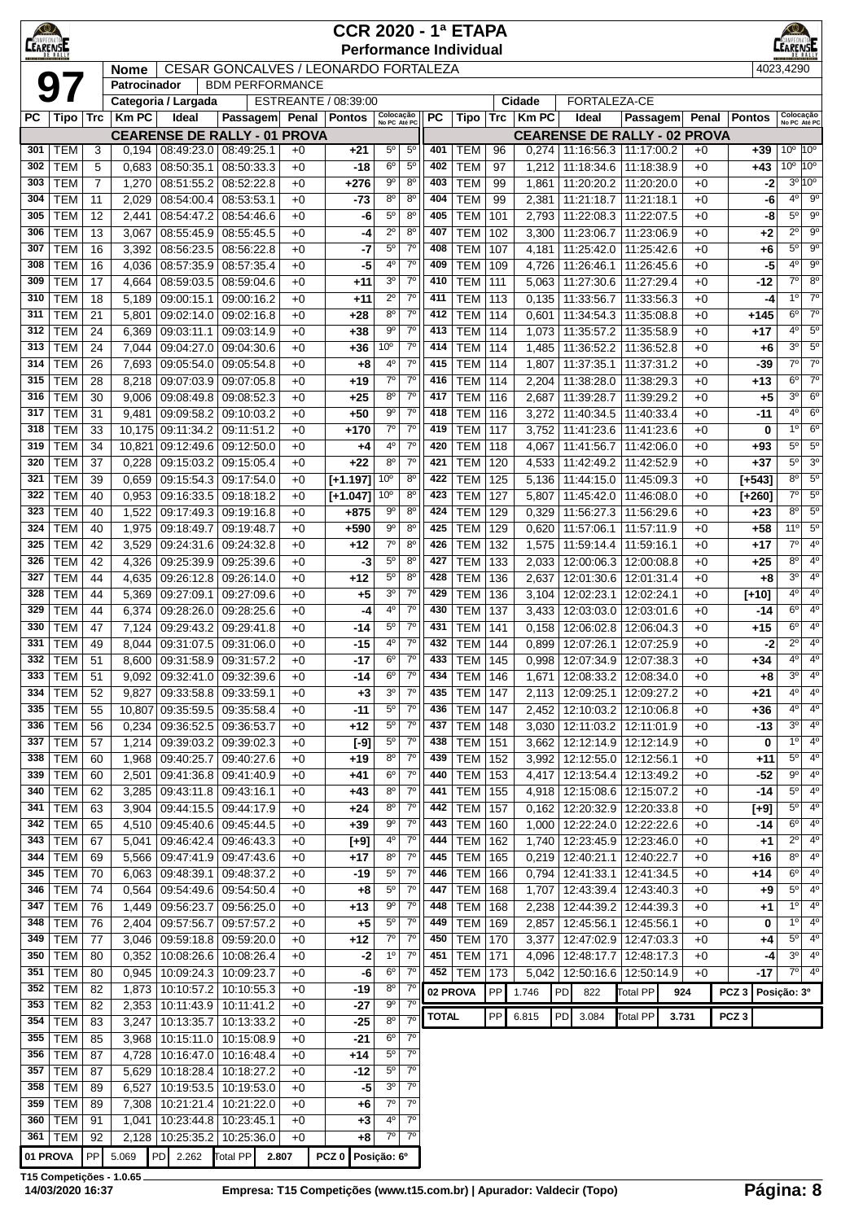| $\bigcirc$<br><b>CEARENSE</b> |                          |                |                                                                                                                                                                                                                                                                                                                                                                                                                                                                                                                                                                                                                                                                                             |                              |                                             |              | <b>CCR 2020 - 1ª ETAPA</b><br><b>Performance Individual</b> |                                    |                             |              |                          |            |                        |    |                                                                    |                          |       |                |                  | EARENSE                       |                               |
|-------------------------------|--------------------------|----------------|---------------------------------------------------------------------------------------------------------------------------------------------------------------------------------------------------------------------------------------------------------------------------------------------------------------------------------------------------------------------------------------------------------------------------------------------------------------------------------------------------------------------------------------------------------------------------------------------------------------------------------------------------------------------------------------------|------------------------------|---------------------------------------------|--------------|-------------------------------------------------------------|------------------------------------|-----------------------------|--------------|--------------------------|------------|------------------------|----|--------------------------------------------------------------------|--------------------------|-------|----------------|------------------|-------------------------------|-------------------------------|
|                               |                          |                | <b>Nome</b>                                                                                                                                                                                                                                                                                                                                                                                                                                                                                                                                                                                                                                                                                 |                              | <b>CESAR GONCALVES / LEONARDO FORTALEZA</b> |              |                                                             |                                    |                             |              |                          |            |                        |    |                                                                    |                          |       |                |                  | 4023.4290                     |                               |
|                               |                          |                | Patrocinador                                                                                                                                                                                                                                                                                                                                                                                                                                                                                                                                                                                                                                                                                |                              | <b>BDM PERFORMANCE</b>                      |              |                                                             |                                    |                             |              |                          |            |                        |    |                                                                    |                          |       |                |                  |                               |                               |
| РC                            | Tipo                     | <b>Trc</b>     | <b>Km PC</b>                                                                                                                                                                                                                                                                                                                                                                                                                                                                                                                                                                                                                                                                                | Categoria / Largada<br>Ideal | Passagem                                    | Penal        | ESTREANTE / 08:39:00<br>Pontos                              | Colocação<br>No PC Até PC          |                             | <b>PC</b>    | Tipo                     | <b>Trc</b> | Cidade<br><b>Km PC</b> |    | FORTALEZA-CE<br>Ideal                                              | Passagem                 |       | Penal          | <b>Pontos</b>    | Colocação                     |                               |
|                               |                          |                |                                                                                                                                                                                                                                                                                                                                                                                                                                                                                                                                                                                                                                                                                             |                              | <b>CEARENSE DE RALLY - 01 PROVA</b>         |              |                                                             |                                    |                             |              |                          |            |                        |    | <b>CEARENSE DE RALLY - 02 PROVA</b>                                |                          |       |                |                  | No PC Até PC                  |                               |
| 301                           | <b>TEM</b>               | 3              | 0,194                                                                                                                                                                                                                                                                                                                                                                                                                                                                                                                                                                                                                                                                                       | 08:49:23.0                   | 08:49:25.1                                  | $+0$         | $+21$                                                       | $5^{\circ}$                        | $5^{\circ}$                 | 401          | TEM                      | 96         | 0,274                  |    | 11:16:56.3   11:17:00.2                                            |                          |       | +0             | $+39$            | $10^{\circ}$                  | $10^{\circ}$                  |
| 302                           | <b>TEM</b>               | 5              | 0,683                                                                                                                                                                                                                                                                                                                                                                                                                                                                                                                                                                                                                                                                                       | 08:50:35.1                   | 08:50:33.3                                  | $+0$         | -18                                                         | $6^{\circ}$                        | $5^{\circ}$                 | 402          | <b>TEM</b>               | 97         | 1,212                  |    | 11:18:34.6                                                         | 11:18:38.9               |       | $+0$           | +43              | 10 <sup>o</sup>               | 10 <sup>o</sup>               |
| 303                           | <b>TEM</b>               | $\overline{7}$ | 1,270                                                                                                                                                                                                                                                                                                                                                                                                                                                                                                                                                                                                                                                                                       | 08:51:55.2                   | 08:52:22.8                                  | $+0$         | $+276$                                                      | $9^{\circ}$                        | $8^{\circ}$                 | 403          | <b>TEM</b>               | 99         | 1,861                  |    | 11:20:20.2                                                         | 11:20:20.0               |       | $+0$           | $-2$             | $3^{\circ}$ 10°               |                               |
| 304                           | <b>TEM</b>               | 11             | 2,029                                                                                                                                                                                                                                                                                                                                                                                                                                                                                                                                                                                                                                                                                       | 08:54:00.4                   | 08:53:53.1                                  | $+0$         | $-73$                                                       | $8^{\circ}$                        | $8^{\circ}$                 | 404          | <b>TEM</b>               | 99         | 2,381                  |    | 11:21:18.7                                                         | 11:21:18.1               |       | $+0$           | -6               | 4 <sup>0</sup>                | $9^{\circ}$                   |
| 305<br>306                    | <b>TEM</b><br><b>TEM</b> | 12<br>13       | 2,441<br>3,067                                                                                                                                                                                                                                                                                                                                                                                                                                                                                                                                                                                                                                                                              | 08:54:47.2<br>08:55:45.9     | 08:54:46.6<br>08:55:45.5                    | $+0$<br>$+0$ | -6                                                          | $5^{\circ}$<br>$2^{\circ}$         | $8^{\circ}$<br>$8^{\circ}$  | 405<br>407   | <b>TEM</b><br><b>TEM</b> | 101<br>102 |                        |    | 2,793 11:22:08.3<br>3,300 11:23:06.7                               | 11:22:07.5<br>11:23:06.9 |       | $+0$<br>$+0$   | -8               | $5^{\circ}$<br>$2^{\circ}$    | $9^{\circ}$<br>$9^{\circ}$    |
| 307                           | <b>TEM</b>               | 16             | 3,392                                                                                                                                                                                                                                                                                                                                                                                                                                                                                                                                                                                                                                                                                       | 08:56:23.5                   | 08:56:22.8                                  | $+0$         | -4<br>-7                                                    | $5^{\circ}$                        | $7^\circ$                   | 408          | TEM                      | 107        | 4,181                  |    | 11:25:42.0                                                         | 11:25:42.6               |       | $+0$           | +2<br>+6         | $5^{\circ}$                   | $9^{\circ}$                   |
| 308                           | <b>TEM</b>               | 16             | 4,036                                                                                                                                                                                                                                                                                                                                                                                                                                                                                                                                                                                                                                                                                       | 08:57:35.9                   | 08:57:35.4                                  | $+0$         | -5                                                          | $4^{\circ}$                        | $7^{\circ}$                 | 409          | <b>TEM</b>               | 109        | 4,726                  |    | 11:26:46.1                                                         | 11:26:45.6               |       | $+0$           | -5               | 4 <sup>0</sup>                | 9 <sup>o</sup>                |
| 309                           | <b>TEM</b>               | 17             | 4,664                                                                                                                                                                                                                                                                                                                                                                                                                                                                                                                                                                                                                                                                                       | 08:59:03.5                   | 08:59:04.6                                  | $+0$         | $+11$                                                       | 3 <sup>o</sup>                     | $7^\circ$                   | 410          | <b>TEM</b>               | 111        | 5,063                  |    | 11:27:30.6                                                         | 11:27:29.4               |       | $+0$           | -12              | 70                            | 8 <sup>o</sup>                |
| 310                           | <b>TEM</b>               | 18             | 5,189                                                                                                                                                                                                                                                                                                                                                                                                                                                                                                                                                                                                                                                                                       | 09:00:15.1                   | 09:00:16.2                                  | $+0$         | $+11$                                                       | $2^{\circ}$                        | $7^\circ$                   | 411          | <b>TEM</b>               | 113        | 0,135                  |    | 11:33:56.7                                                         | 11:33:56.3               |       | $+0$           | -4               | 1 <sup>0</sup>                | $7^\circ$                     |
| 311                           | <b>TEM</b>               | 21             | 5,801                                                                                                                                                                                                                                                                                                                                                                                                                                                                                                                                                                                                                                                                                       | 09:02:14.0                   | 09:02:16.8                                  | $+0$         | +28                                                         | $8^{\circ}$                        | $7^{\circ}$                 | 412          | <b>TEM</b>               | 114        | 0,601                  |    | 11:34:54.3                                                         | 11:35:08.8               |       | $+0$           | +145             | $6^{\circ}$                   | $7^\circ$                     |
| 312                           | <b>TEM</b>               | 24             | 6,369                                                                                                                                                                                                                                                                                                                                                                                                                                                                                                                                                                                                                                                                                       | 09:03:11.1                   | 09:03:14.9                                  | $+0$         | +38                                                         | $9^{\circ}$                        | $7^{\circ}$                 | 413          | <b>TEM</b>               | 114        | 1,073                  |    | 11:35:57.2                                                         | 11:35:58.9               |       | $+0$           | +17              | $4^{\circ}$                   | $5^{\circ}$<br>5 <sup>0</sup> |
| 313<br>314                    | <b>TEM</b><br><b>TEM</b> | 24<br>26       | 7,044<br>7,693                                                                                                                                                                                                                                                                                                                                                                                                                                                                                                                                                                                                                                                                              | 09:04:27.0<br>09:05:54.0     | 09:04:30.6<br>09:05:54.8                    | $+0$<br>$+0$ | +36<br>$+8$                                                 | 10 <sup>o</sup><br>$4^{\circ}$     | $7^\circ$<br>$7^\circ$      | 414<br>415   | <b>TEM</b><br><b>TEM</b> | 114<br>114 | 1,485<br>1,807         |    | 11:36:52.2<br>11:37:35.1                                           | 11:36:52.8<br>11:37:31.2 |       | $+0$<br>$+0$   | +6<br>-39        | 3 <sup>0</sup><br>$7^{\circ}$ | $7^\circ$                     |
| 315                           | <b>TEM</b>               | 28             | 8,218                                                                                                                                                                                                                                                                                                                                                                                                                                                                                                                                                                                                                                                                                       | 09:07:03.9                   | 09:07:05.8                                  | $+0$         | $+19$                                                       | $7^\circ$                          | 7 <sup>0</sup>              | 416          | <b>TEM</b>               | 114        | 2,204                  |    | 11:38:28.0                                                         | 11:38:29.3               |       | $+0$           | +13              | 6 <sup>o</sup>                | $7^\circ$                     |
| 316                           | <b>TEM</b>               | 30             | $7^\circ$<br>$8^{\circ}$<br>TEM<br>3 <sup>0</sup><br>09:08:49.8<br>09:08:52.3<br>$+0$<br>$+25$<br>417<br>116<br>2,687<br>11:39:28.7<br>11:39:29.2<br>$+0$<br>9,006<br>+5<br>$7^{\circ}$<br>4 <sup>o</sup><br>$+50$<br>$9^{\circ}$<br>TEM<br>9,481<br>09:09:58.2<br>09:10:03.2<br>$+0$<br>418<br>116<br>3,272<br>11:40:34.5<br>11:40:33.4<br>$+0$<br>$-11$<br>$7^\circ$<br>$7^\circ$<br>1 <sup>0</sup><br>419<br><b>TEM</b><br>09:11:51.2<br>$+0$<br>+170<br>117<br>11:41:23.6<br>11:41:23.6<br>0<br>10,175<br>09:11:34.2<br>3,752<br>$+0$<br>$+0$<br>4°<br>$7^{\circ}$<br><b>TEM</b><br>$5^{\circ}$<br>09:12:50.0<br>420<br>118<br>4,067<br>11:41:56.7<br>11:42:06.0<br>$+0$<br>+93<br>$+4$ |                              |                                             |              |                                                             |                                    |                             |              |                          |            |                        |    |                                                                    |                          |       | $6^{\circ}$    |                  |                               |                               |
| 317                           | <b>TEM</b>               | 31             | 10,821<br>09:12:49.6<br>11:42:49.2<br>11:42:52.9<br>$+0$                                                                                                                                                                                                                                                                                                                                                                                                                                                                                                                                                                                                                                    |                              |                                             |              |                                                             |                                    |                             |              |                          |            |                        |    |                                                                    |                          |       | 6 <sup>o</sup> |                  |                               |                               |
| 318                           | <b>TEM</b>               | 33             |                                                                                                                                                                                                                                                                                                                                                                                                                                                                                                                                                                                                                                                                                             |                              |                                             |              |                                                             |                                    |                             |              |                          |            |                        |    |                                                                    |                          |       |                |                  |                               | $6^{\circ}$                   |
| 319                           | <b>TEM</b>               | 34             |                                                                                                                                                                                                                                                                                                                                                                                                                                                                                                                                                                                                                                                                                             |                              |                                             |              |                                                             |                                    |                             |              |                          |            |                        |    |                                                                    |                          |       |                |                  |                               | $5^{\circ}$                   |
| 320                           | <b>TEM</b>               | 37             | 0,228                                                                                                                                                                                                                                                                                                                                                                                                                                                                                                                                                                                                                                                                                       | 09:15:03.2                   | 09:15:05.4                                  | $+0$         | $+22$                                                       | $8^{\circ}$                        | $7^{\circ}$                 | 421          | <b>TEM</b>               | 120        | 4,533                  |    |                                                                    |                          |       |                | +37              | $5^{\rm o}$                   | 3 <sup>o</sup>                |
| 321<br>322                    | <b>TEM</b>               | 39             | 0,659                                                                                                                                                                                                                                                                                                                                                                                                                                                                                                                                                                                                                                                                                       | 09:15:54.3                   | 09:17:54.0                                  | $+0$         | $[+1.197]$                                                  | 10 <sup>o</sup><br>10 <sup>o</sup> | $8^{\circ}$<br>$8^{\circ}$  | 422<br>423   | <b>TEM</b>               | 125        | 5,136                  |    | 11:44:15.0                                                         | 11:45:09.3               |       | $+0$           | $[+543]$         | 8 <sup>o</sup><br>$7^\circ$   | $5^{\circ}$<br>$5^{\circ}$    |
| 323                           | <b>TEM</b><br><b>TEM</b> | 40<br>40       | 0,953<br>1,522                                                                                                                                                                                                                                                                                                                                                                                                                                                                                                                                                                                                                                                                              | 09:16:33.5<br>09:17:49.3     | 09:18:18.2<br>09:19:16.8                    | $+0$<br>$+0$ | $[+1.047]$<br>+875                                          | $9^{\circ}$                        | $8^{\circ}$                 | 424          | TEM<br><b>TEM</b>        | 127<br>129 | 5,807<br>0,329         |    | 11:45:42.0<br>11:56:27.3                                           | 11:46:08.0<br>11:56:29.6 |       | $+0$<br>$+0$   | $[+260]$<br>+23  | $8^{\circ}$                   | $5^{\circ}$                   |
| 324                           | <b>TEM</b>               | 40             | 1,975                                                                                                                                                                                                                                                                                                                                                                                                                                                                                                                                                                                                                                                                                       | 09:18:49.7                   | 09:19:48.7                                  | $+0$         | +590                                                        | 9°                                 | $8^{\circ}$                 | 425          | <b>TEM</b>               | 129        | 0,620                  |    | 11:57:06.1                                                         | 11:57:11.9               |       | $+0$           | $+58$            | 11°                           | $5^{\circ}$                   |
| 325                           | <b>TEM</b>               | 42             | 3,529                                                                                                                                                                                                                                                                                                                                                                                                                                                                                                                                                                                                                                                                                       | 09:24:31.6                   | 09:24:32.8                                  | $+0$         | $+12$                                                       | $7^\circ$                          | $8^{\circ}$                 | 426          | <b>TEM</b>               | 132        | 1,575                  |    | 11:59:14.4                                                         | 11:59:16.1               |       | $+0$           | $+17$            | $7^\circ$                     | 4 <sup>0</sup>                |
| 326                           | <b>TEM</b>               | 42             | 4,326                                                                                                                                                                                                                                                                                                                                                                                                                                                                                                                                                                                                                                                                                       | 09:25:39.9                   | 09:25:39.6                                  | $+0$         | -3                                                          | $5^{\circ}$                        | 8 <sup>o</sup>              | 427          | TEM                      | 133        | 2,033                  |    | 12:00:06.3                                                         | 12:00:08.8               |       | $+0$           | $+25$            | $8^{\circ}$                   | 4 <sup>0</sup>                |
| 327                           | <b>TEM</b>               | 44             | 4,635                                                                                                                                                                                                                                                                                                                                                                                                                                                                                                                                                                                                                                                                                       | 09:26:12.8                   | 09:26:14.0                                  | $+0$         | $+12$                                                       | $5^{\circ}$                        | 8 <sup>o</sup>              | 428          | <b>TEM</b>               | 136        | 2,637                  |    | 12:01:30.6                                                         | 12:01:31.4               |       | $+0$           | +8               | 3 <sup>0</sup>                | $4^{\circ}$                   |
| 328                           | <b>TEM</b>               | 44             | 5,369                                                                                                                                                                                                                                                                                                                                                                                                                                                                                                                                                                                                                                                                                       | 09:27:09.1                   | 09:27:09.6                                  | $+0$         | $+5$                                                        | 3 <sup>o</sup>                     | $7^\circ$                   | 429          | <b>TEM</b>               | 136        | 3,104                  |    | 12:02:23.1                                                         | 12:02:24.1               |       | $+0$           | $[+10]$          | $4^{\circ}$                   | $4^{\circ}$                   |
| 329                           | <b>TEM</b>               | 44             | 6,374                                                                                                                                                                                                                                                                                                                                                                                                                                                                                                                                                                                                                                                                                       | 09:28:26.0                   | 09:28:25.6                                  | $+0$         | -4                                                          | 4°<br>$5^{\circ}$                  | $7^\circ$<br>$7^\circ$      | 430          | <b>TEM</b>               | 137        | 3,433                  |    | 12:03:03.0                                                         | 12:03:01.6               |       | $+0$           | -14              | $6^{\circ}$<br>$6^{\circ}$    | $4^{\circ}$<br>$4^{\rm o}$    |
| 330<br>331                    | <b>TEM</b><br><b>TEM</b> | 47<br>49       | 7,124<br>8,044                                                                                                                                                                                                                                                                                                                                                                                                                                                                                                                                                                                                                                                                              | 09:29:43.2<br>09:31:07.5     | 09:29:41.8<br>09:31:06.0                    | $+0$<br>$+0$ | -14<br>$-15$                                                | 4 <sup>0</sup>                     | $7^{\circ}$                 | 431<br>432   | <b>TEM</b><br>TEM        | 141<br>144 | 0,158<br>0,899         |    | 12:06:02.8<br>12:07:26.1                                           | 12:06:04.3<br>12:07:25.9 |       | $+0$<br>$+0$   | $+15$<br>-2      | $2^{\circ}$                   | $4^{\circ}$                   |
| 332                           | <b>TEM</b>               | 51             | 8,600                                                                                                                                                                                                                                                                                                                                                                                                                                                                                                                                                                                                                                                                                       | 09:31:58.9                   | 09:31:57.2                                  | $+0$         | $-17$                                                       | 6 <sup>o</sup>                     | $7^\circ$                   | 433          | TEM                      | 145        |                        |    | $0.998$   12:07:34.9   12:07:38.3                                  |                          |       | $+0$           | $+34$            | 4°                            | 4 <sup>0</sup>                |
|                               | 333 TEM                  | 51             | 9,092                                                                                                                                                                                                                                                                                                                                                                                                                                                                                                                                                                                                                                                                                       |                              | 09:32:41.0 09:32:39.6                       | $+0$         | -14                                                         | $6^{\circ}$                        | $7^\circ$                   | 434          | <b>TEM 146</b>           |            |                        |    | 1,671   12:08:33.2   12:08:34.0                                    |                          |       | +0             | +8               | 3 <sup>o</sup>                | $4^{\circ}$                   |
| 334                           | <b>TEM</b>               | 52             | 9,827                                                                                                                                                                                                                                                                                                                                                                                                                                                                                                                                                                                                                                                                                       | 09:33:58.8                   | 09:33:59.1                                  | $+0$         | $+3$                                                        | 3 <sup>o</sup>                     | 7 <sup>o</sup>              | 435          | <b>TEM 147</b>           |            | 2,113                  |    | 12:09:25.1                                                         | 12:09:27.2               |       | $+0$           | +21              | $4^{\circ}$                   | 4 <sup>0</sup>                |
| 335                           | <b>TEM</b>               | 55             | 10,807                                                                                                                                                                                                                                                                                                                                                                                                                                                                                                                                                                                                                                                                                      | 09:35:59.5                   | 09:35:58.4                                  | $+0$         | $-11$                                                       | $5^{\rm o}$                        | $7^\circ$                   | 436          | TEM                      | 147        |                        |    | 2,452   12:10:03.2   12:10:06.8                                    |                          |       | $+0$           | +36              | $4^{\circ}$                   | 4 <sup>o</sup>                |
| 336                           | <b>TEM</b>               | 56             | 0,234                                                                                                                                                                                                                                                                                                                                                                                                                                                                                                                                                                                                                                                                                       |                              | 09:36:52.5 09:36:53.7                       | $+0$         | $+12$                                                       | $5^{\circ}$                        | $7^\circ$                   | 437          | TEM                      | 148        |                        |    | 3,030   12:11:03.2   12:11:01.9                                    |                          |       | $+0$           | -13              | $3^{\circ}$                   | $4^{\circ}$                   |
| 337<br>338                    | <b>TEM</b><br><b>TEM</b> | 57             | 1,214                                                                                                                                                                                                                                                                                                                                                                                                                                                                                                                                                                                                                                                                                       | 09:40:25.7                   | 09:39:03.2 09:39:02.3<br>09:40:27.6         | $+0$<br>$+0$ | $[-9]$<br>$+19$                                             | $5^{\circ}$<br>$8^{\circ}$         | $7^\circ$<br>$7^\circ$      | 438<br>439   | <b>TEM</b><br><b>TEM</b> | 151<br>152 |                        |    | 3,662   12:12:14.9   12:12:14.9<br>3,992   12:12:55.0   12:12:56.1 |                          |       | $+0$           | 0                | $1^{\circ}$<br>$5^{\circ}$    | $4^{\circ}$<br>4 <sup>0</sup> |
| 339                           | <b>TEM</b>               | 60<br>60       | 1,968<br>2,501                                                                                                                                                                                                                                                                                                                                                                                                                                                                                                                                                                                                                                                                              | 09:41:36.8                   | 09:41:40.9                                  | $+0$         | $+41$                                                       | $6^{\circ}$                        | $7^\circ$                   | 440          | <b>TEM</b>               | 153        |                        |    | 4,417   12:13:54.4   12:13:49.2                                    |                          |       | $+0$<br>$+0$   | +11<br>$-52$     | $9^{\circ}$                   | $4^{\circ}$                   |
| 340                           | <b>TEM</b>               | 62             | 3,285                                                                                                                                                                                                                                                                                                                                                                                                                                                                                                                                                                                                                                                                                       | 09:43:11.8                   | 09:43:16.1                                  | $+0$         | $+43$                                                       | $8^{\circ}$                        | $7^\circ$                   | 441          | TEM                      | 155        |                        |    | 4,918   12:15:08.6   12:15:07.2                                    |                          |       | +0             | -14              | $5^{\circ}$                   | 4 <sup>o</sup>                |
| 341                           | <b>TEM</b>               | 63             | 3,904                                                                                                                                                                                                                                                                                                                                                                                                                                                                                                                                                                                                                                                                                       |                              | 09:44:15.5 09:44:17.9                       | $+0$         | $+24$                                                       | $8^{\circ}$                        | $7^\circ$                   | 442          | <b>TEM 157</b>           |            |                        |    | $0,162$   12:20:32.9   12:20:33.8                                  |                          |       | $+0$           | $[+9]$           | $5^{\circ}$                   | $4^{\circ}$                   |
| 342                           | <b>TEM</b>               | 65             | 4,510                                                                                                                                                                                                                                                                                                                                                                                                                                                                                                                                                                                                                                                                                       |                              | 09:45:40.6 09:45:44.5                       | $+0$         | $+39$                                                       | 90                                 | $7^\circ$                   | 443          | <b>TEM 160</b>           |            |                        |    | 1,000   12:22:24.0   12:22:22.6                                    |                          |       | $+0$           | -14              | $6^{\circ}$                   | 4 <sup>o</sup>                |
| 343                           | <b>TEM</b>               | 67             | 5,041                                                                                                                                                                                                                                                                                                                                                                                                                                                                                                                                                                                                                                                                                       | 09:46:42.4                   | 09:46:43.3                                  | $+0$         | $[+9]$                                                      | 4°                                 | $7^\circ$                   | 444          | TEM                      | 162        |                        |    | 1,740   12:23:45.9   12:23:46.0                                    |                          |       | $+0$           | +1               | $2^{\circ}$                   | 4 <sup>0</sup>                |
| 344                           | <b>TEM</b>               | 69             | 5,566                                                                                                                                                                                                                                                                                                                                                                                                                                                                                                                                                                                                                                                                                       | 09:47:41.9                   | 09:47:43.6                                  | $+0$         | $+17$                                                       | $8^{\circ}$<br>$5^{\circ}$         | 7 <sup>o</sup><br>$7^\circ$ | 445          | TEM                      | 165        |                        |    | $0,219$   12:40:21.1                                               | 12:40:22.7               |       | $+0$           | $+16$            | $8^{\circ}$<br>$6^{\circ}$    | $4^{\circ}$<br>$4^{\circ}$    |
| 345<br>346                    | <b>TEM</b><br><b>TEM</b> | 70<br>74       | 6,063<br>0,564                                                                                                                                                                                                                                                                                                                                                                                                                                                                                                                                                                                                                                                                              | 09:48:39.1                   | 09:48:37.2<br>09:54:49.6 09:54:50.4         | $+0$<br>$+0$ | $-19$<br>$+8$                                               | $5^{\circ}$                        | $7^\circ$                   | 446<br>447   | <b>TEM</b><br><b>TEM</b> | 166<br>168 |                        |    | $0,794$   12:41:33.1<br>1,707   12:43:39.4                         | 12:41:34.5<br>12:43:40.3 |       | $+0$<br>$+0$   | +14<br>+9        | $5^{\circ}$                   | 4 <sup>o</sup>                |
| 347                           | <b>TEM</b>               | 76             | 1,449                                                                                                                                                                                                                                                                                                                                                                                                                                                                                                                                                                                                                                                                                       | 09:56:23.7                   | 09:56:25.0                                  | $+0$         | $+13$                                                       | $9^{\circ}$                        | $7^\circ$                   | 448          | <b>TEM</b>               | 168        | 2,238                  |    | 12:44:39.2   12:44:39.3                                            |                          |       | +0             | +1               | $1^{\circ}$                   | $4^{\circ}$                   |
| 348                           | <b>TEM</b>               | 76             | 2,404                                                                                                                                                                                                                                                                                                                                                                                                                                                                                                                                                                                                                                                                                       | 09:57:56.7                   | 09:57:57.2                                  | $+0$         | $+5$                                                        | $5^{\circ}$                        | $7^\circ$                   | 449          | TEM                      | 169        |                        |    | 2,857 12:45:56.1                                                   | 12:45:56.1               |       | +0             | 0                | $1^{\circ}$                   | 4 <sup>o</sup>                |
| 349                           | <b>TEM</b>               | 77             | 3,046                                                                                                                                                                                                                                                                                                                                                                                                                                                                                                                                                                                                                                                                                       |                              | 09:59:18.8 09:59:20.0                       | $+0$         | $+12$                                                       | $7^\circ$                          | $7^\circ$                   | 450          | <b>TEM 170</b>           |            |                        |    | 3,377   12:47:02.9   12:47:03.3                                    |                          |       | +0             | +4               | $5^{\circ}$                   | $4^{\circ}$                   |
| 350                           | <b>TEM</b>               | 80             | 0,352                                                                                                                                                                                                                                                                                                                                                                                                                                                                                                                                                                                                                                                                                       |                              | 10:08:26.6   10:08:26.4                     | $+0$         | $-2$                                                        | 1 <sup>o</sup>                     | $7^\circ$                   | 451          | <b>TEM 171</b>           |            |                        |    | 4,096   12:48:17.7   12:48:17.3                                    |                          |       | +0             | -4               | $3^{\circ}$                   | 4 <sup>0</sup>                |
| 351                           | <b>TEM</b>               | 80             | 0,945                                                                                                                                                                                                                                                                                                                                                                                                                                                                                                                                                                                                                                                                                       |                              | 10:09:24.3   10:09:23.7                     | $+0$         | -6                                                          | $6^{\circ}$                        | $7^\circ$                   | 452          | <b>TEM 173</b>           |            |                        |    | 5,042   12:50:16.6   12:50:14.9                                    |                          |       | $+0$           | -17              | $7^{\circ}$                   | $4^{\circ}$                   |
| 352<br>353                    | <b>TEM</b><br><b>TEM</b> | 82<br>82       | 1,873<br>2,353                                                                                                                                                                                                                                                                                                                                                                                                                                                                                                                                                                                                                                                                              |                              | 10:10:57.2 10:10:55.3                       | $+0$<br>$+0$ | $-19$<br>$-27$                                              | $8^{\circ}$<br>$9^{\circ}$         | $7^\circ$<br>$7^{\circ}$    | 02 PROVA     |                          | PP         | 1.746                  | PD | 822                                                                | Total PP                 | 924   |                | $PCZ$ 3          | Posição: 3º                   |                               |
| 354                           | <b>TEM</b>               | 83             | 3,247                                                                                                                                                                                                                                                                                                                                                                                                                                                                                                                                                                                                                                                                                       | 10:13:35.7                   | 10:11:43.9   10:11:41.2<br>10:13:33.2       | $+0$         | $-25$                                                       | 8 <sup>o</sup>                     | 7 <sup>o</sup>              | <b>TOTAL</b> |                          | PP         | 6.815                  | PD | 3.084                                                              | <b>Total PP</b>          | 3.731 |                | PCZ <sub>3</sub> |                               |                               |
| 355                           | <b>TEM</b>               | 85             | 3,968                                                                                                                                                                                                                                                                                                                                                                                                                                                                                                                                                                                                                                                                                       | 10:15:11.0                   | 10:15:08.9                                  | $+0$         | $-21$                                                       | $6^{\circ}$                        | $7^{\circ}$                 |              |                          |            |                        |    |                                                                    |                          |       |                |                  |                               |                               |
| 356                           | <b>TEM</b>               | 87             | 4,728                                                                                                                                                                                                                                                                                                                                                                                                                                                                                                                                                                                                                                                                                       | 10:16:47.0                   | 10:16:48.4                                  | $+0$         | $+14$                                                       | $5^{\circ}$                        | $7^{\circ}$                 |              |                          |            |                        |    |                                                                    |                          |       |                |                  |                               |                               |
| 357                           | <b>TEM</b>               | 87             | 5,629                                                                                                                                                                                                                                                                                                                                                                                                                                                                                                                                                                                                                                                                                       | 10:18:28.4                   | 10:18:27.2                                  | $+0$         | $-12$                                                       | $5^{\circ}$                        | $7^\circ$                   |              |                          |            |                        |    |                                                                    |                          |       |                |                  |                               |                               |
| 358                           | <b>TEM</b>               | 89             | 6,527                                                                                                                                                                                                                                                                                                                                                                                                                                                                                                                                                                                                                                                                                       |                              | 10:19:53.5 10:19:53.0                       | $+0$         | $-5$                                                        | 3 <sup>o</sup>                     | 7 <sup>0</sup>              |              |                          |            |                        |    |                                                                    |                          |       |                |                  |                               |                               |
| 359                           | <b>TEM</b>               | 89             | 7,308                                                                                                                                                                                                                                                                                                                                                                                                                                                                                                                                                                                                                                                                                       |                              | 10:21:21.4   10:21:22.0                     | $+0$         | $+6$                                                        | $7^\circ$                          | $7^\circ$                   |              |                          |            |                        |    |                                                                    |                          |       |                |                  |                               |                               |
|                               | 360   TEM<br>361   TEM   | 91<br>92       | 1,041<br>2,128                                                                                                                                                                                                                                                                                                                                                                                                                                                                                                                                                                                                                                                                              | 10:25:35.2                   | 10:23:44.8   10:23:45.1<br>10:25:36.0       | $+0$<br>$+0$ | $+3$<br>+8                                                  | $4^{\circ}$<br>$7^\circ$           | $7^\circ$<br>$7^\circ$      |              |                          |            |                        |    |                                                                    |                          |       |                |                  |                               |                               |
| 01 PROVA                      |                          | PP             | 5.069                                                                                                                                                                                                                                                                                                                                                                                                                                                                                                                                                                                                                                                                                       | PD<br>2.262                  | <b>Total PP</b>                             | 2.807        | PCZ <sub>0</sub>                                            | Posição: 6º                        |                             |              |                          |            |                        |    |                                                                    |                          |       |                |                  |                               |                               |
|                               |                          |                |                                                                                                                                                                                                                                                                                                                                                                                                                                                                                                                                                                                                                                                                                             |                              |                                             |              |                                                             |                                    |                             |              |                          |            |                        |    |                                                                    |                          |       |                |                  |                               |                               |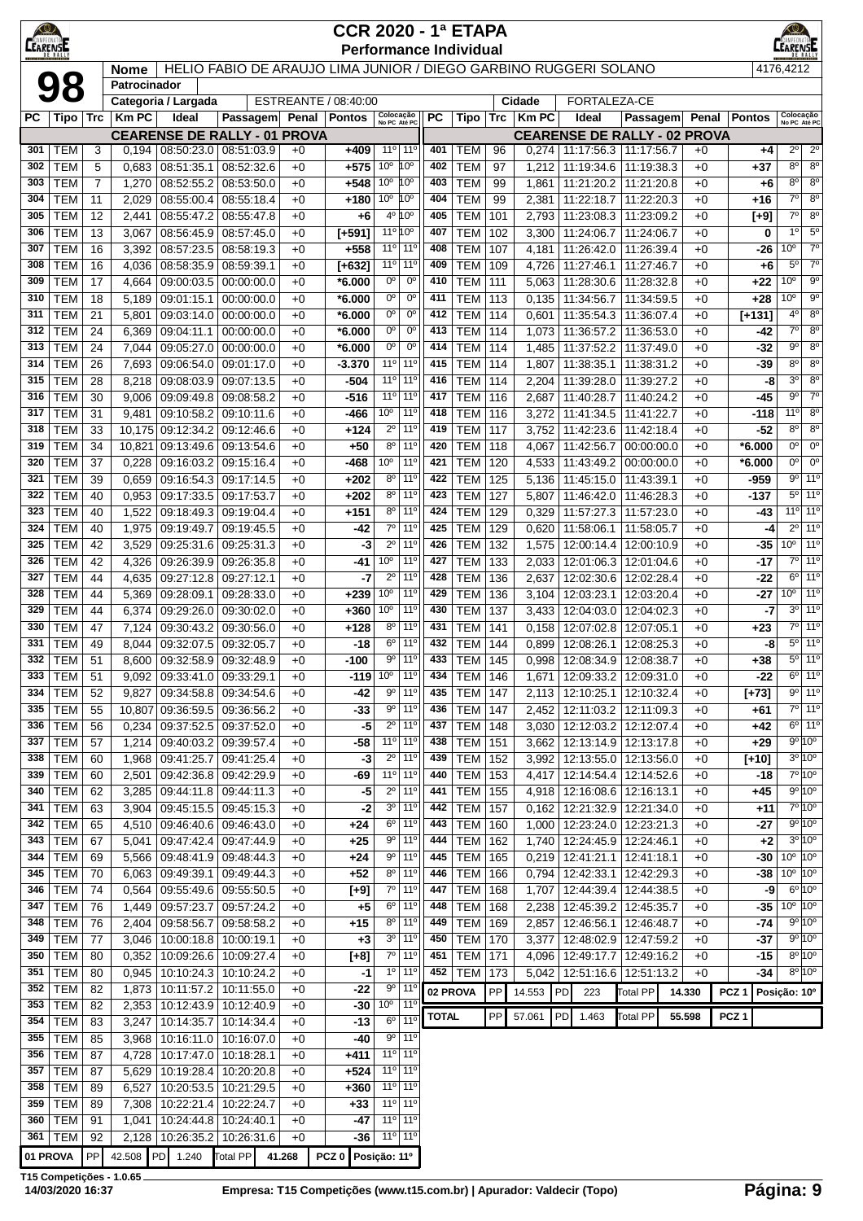| $\bigcirc$<br>AMPEON |                          |                |                             |                                                      |                                                                  |              | <b>CCR 2020 - 1ª ETAPA</b>    |                                          |                                                                    |              |                              |            |                |                                   |                                                                          |              |                  |                                                           |                                    |
|----------------------|--------------------------|----------------|-----------------------------|------------------------------------------------------|------------------------------------------------------------------|--------------|-------------------------------|------------------------------------------|--------------------------------------------------------------------|--------------|------------------------------|------------|----------------|-----------------------------------|--------------------------------------------------------------------------|--------------|------------------|-----------------------------------------------------------|------------------------------------|
| <b>LEARENSE</b>      |                          |                |                             |                                                      | HELIO FABIO DE ARAUJO LIMA JUNIOR / DIEGO GARBINO RUGGERI SOLANO |              | <b>Performance Individual</b> |                                          |                                                                    |              |                              |            |                |                                   |                                                                          |              |                  | 4176,4212                                                 |                                    |
|                      | 98                       |                | <b>Nome</b><br>Patrocinador |                                                      |                                                                  |              |                               |                                          |                                                                    |              |                              |            |                |                                   |                                                                          |              |                  |                                                           |                                    |
|                      |                          |                |                             | Categoria / Largada                                  |                                                                  |              | ESTREANTE / 08:40:00          |                                          |                                                                    |              |                              |            | Cidade         | FORTALEZA-CE                      |                                                                          |              |                  |                                                           |                                    |
| РC                   | Tipo   Trc               |                | <b>KmPC</b>                 | Ideal                                                | Passagem                                                         | Penal        | Pontos                        | Colocação<br>No PC Até PC                |                                                                    | РC           | Tipo                         | Trc        | $ $ Km PC      | Ideal                             | Passagem                                                                 | Penal        | <b>Pontos</b>    | Colocação<br>No PC Até PC                                 |                                    |
| 301                  | <b>TEM</b>               | 3              | 0,194                       | 08:50:23.0 08:51:03.9                                | <b>CEARENSE DE RALLY - 01 PROVA</b>                              | $+0$         | $+409$                        | $11^{\circ}$                             | $11^{\circ}$                                                       | 401          | <b>TEM</b>                   | 96         |                |                                   | <b>CEARENSE DE RALLY - 02 PROVA</b><br>$0,274$   11:17:56.3   11:17:56.7 | $+0$         | +4               | $2^{\circ}$                                               | $2^{\circ}$                        |
| 302                  | <b>TEM</b>               | 5              | 0,683                       | 08:51:35.1                                           | 08:52:32.6                                                       | $+0$         | +575                          | 10 <sup>o</sup>                          | 10°                                                                | 402          | <b>TEM</b>                   | 97         |                | 1,212   11:19:34.6   11:19:38.3   |                                                                          | $+0$         | $+37$            | $8^{\circ}$                                               | $8^{\circ}$                        |
| 303                  | <b>TEM</b>               | $\overline{7}$ | 1,270                       | 08:52:55.2                                           | 08:53:50.0                                                       | $+0$         | $+548$                        | 10 <sup>o</sup>                          | 10 <sup>o</sup>                                                    | 403          | <b>TEM</b>                   | 99         | 1,861          | 11:21:20.2   11:21:20.8           |                                                                          | $+0$         | +6               | $8^{\circ}$                                               | 8 <sup>o</sup>                     |
| 304                  | <b>TEM</b>               | 11             | 2,029                       | 08:55:00.4                                           | 08:55:18.4                                                       | $+0$         | $+180$                        | 10 <sup>°</sup> 10 <sup>°</sup>          |                                                                    | 404          | <b>TEM</b>                   | 99         | 2,381          | 11:22:18.7                        | 11:22:20.3                                                               | $+0$         | $+16$            | $7^\circ$                                                 | 8 <sup>0</sup>                     |
| 305                  | <b>TEM</b>               | 12             | 2,441                       | 08:55:47.2                                           | 08:55:47.8                                                       | $+0$         | $+6$                          |                                          | 4º 10°                                                             | 405          | <b>TEM</b>                   | 101        | 2,793          |                                   | 11:23:08.3 11:23:09.2                                                    | $+0$         | [+9]             | 7°  <br>$1^{\circ}$                                       | 8 <sup>o</sup><br>$5^{\circ}$      |
| 306<br>307           | <b>TEM</b><br><b>TEM</b> | 13<br>16       | 3,067<br>3,392              | 08:56:45.9<br>08:57:23.5                             | 08:57:45.0<br>08:58:19.3                                         | $+0$<br>$+0$ | $[+591]$<br>+558              | 11º 10°                                  | 11° 11°                                                            | 407<br>408   | <b>TEM</b><br><b>TEM</b>     | 102<br>107 | 3,300<br>4,181 | 11:24:06.7<br>11:26:42.0          | 11:24:06.7<br>11:26:39.4                                                 | $+0$<br>$+0$ | 0<br>-26         | 10 <sup>o</sup>                                           | $7^{\circ}$                        |
| 308                  | <b>TEM</b>               | 16             | 4,036                       | 08:58:35.9                                           | 08:59:39.1                                                       | $+0$         | $[+632]$                      | 11°                                      | $11^{\circ}$                                                       | 409          | <b>TEM</b>                   | 109        | 4,726          | 11:27:46.1                        | 11:27:46.7                                                               | $+0$         | $+6$             | $5^{\circ}$                                               | $7^\circ$                          |
| 309                  | <b>TEM</b>               | 17             | 4,664                       | 09:00:03.5                                           | 00:00:00.0                                                       | $+0$         | *6.000                        | $0^{\circ}$                              | $0^{\circ}$                                                        | 410          | <b>TEM</b>                   | 111        | 5,063          |                                   | 11:28:30.6   11:28:32.8                                                  | $+0$         | $+22$            | 10 <sup>o</sup>                                           | 9 <sup>o</sup>                     |
| 310                  | <b>TEM</b>               | 18             | 5,189                       | 09:01:15.1                                           | 00:00:00.0                                                       | $+0$         | *6.000                        | 0°                                       | $0^{\circ}$                                                        | 411          | <b>TEM</b>                   | 113        |                | $0,135$   11:34:56.7              | 11:34:59.5                                                               | $+0$         | $+28$            | 10 <sup>o</sup>                                           | 9 <sup>o</sup>                     |
| 311                  | <b>TEM</b>               | 21             | 5,801                       | 09:03:14.0                                           | 00:00:00.0                                                       | $+0$         | *6.000                        | 0°<br>0°                                 | 0°                                                                 | 412<br>413   | <b>TEM</b>                   | 114        | 0,601          | 11:35:54.3                        | 11:36:07.4                                                               | $+0$         | $[+131]$         | $4^{\circ}$<br>7°                                         | $8^{\circ}$<br>8 <sup>o</sup>      |
| 312<br>313           | <b>TEM</b><br><b>TEM</b> | 24<br>24       | 6,369<br>7,044              | 09:04:11.1<br>09:05:27.0                             | 00:00:00.0<br>00:00:00.0                                         | $+0$<br>$+0$ | $*6.000$<br>$*6.000$          | $0^{\circ}$                              | $0^{\circ}$<br>$0^{\circ}$                                         | 414          | <b>TEM</b><br><b>TEM</b>     | 114<br>114 | 1,073<br>1,485 | 11:36:57.2<br>11:37:52.2          | 11:36:53.0<br>11:37:49.0                                                 | $+0$<br>+0   | -42<br>-32       | 9º                                                        | 8 <sup>o</sup>                     |
| 314                  | <b>TEM</b>               | 26             | 7,693                       | 09:06:54.0                                           | 09:01:17.0                                                       | $+0$         | $-3.370$                      | 11 <sup>o</sup>                          | $11^{\circ}$                                                       | 415          | <b>TEM</b>                   | 114        | 1.807          | 11:38:35.1                        | 11:38:31.2                                                               | $+0$         | -39              | $8^{\circ}$                                               | $8^{\circ}$                        |
| 315                  | <b>TEM</b>               | 28             | 8,218                       | 09:08:03.9                                           | 09:07:13.5                                                       | $+0$         | -504                          | 11°                                      | $11^{\circ}$                                                       | 416          | <b>TEM</b>                   | 114        | 2,204          | 11:39:28.0                        | 11:39:27.2                                                               | $+0$         | -8               | $3^{\circ}$                                               | $8^{\circ}$                        |
| 316                  | <b>TEM</b>               | 30             | 9,006                       | 09:09:49.8                                           | 09:08:58.2                                                       | $+0$         | -516                          | 11°                                      | $11^{\circ}$                                                       | 417          | <b>TEM</b>                   | 116        | 2,687          | 11:40:28.7                        | 11:40:24.2                                                               | $+0$         | -45              | 9º                                                        | $7^{\circ}$                        |
| 317                  | <b>TEM</b>               | 31             | 9,481                       | 09:10:58.2                                           | 09:10:11.6                                                       | $+0$         | -466                          | $10^{\circ}$                             | $11^{\circ}$                                                       | 418          | <b>TEM</b>                   | 116        | 3,272          | 11:41:34.5                        | 11:41:22.7                                                               | $+0$         | -118             | $11^{\circ}$                                              | $8^{\circ}$                        |
| 318<br>319           | <b>TEM</b><br><b>TEM</b> | 33             | 10,175                      | 09:12:34.2                                           | 09:12:46.6                                                       | $+0$         | +124<br>$+50$                 | $2^{\circ}$<br>$8^{\circ}$               | $11^{\circ}$<br>$11^{\circ}$                                       | 419<br>420   | <b>TEM</b><br><b>TEM</b>     | 117<br>118 | 3,752          | 11:42:23.6                        | 11:42:18.4                                                               | $+0$         | -52<br>$*6.000$  | $8^{\circ}$<br>0°                                         | $8^{\circ}$<br>$0^{\circ}$         |
| 320                  | <b>TEM</b>               | 34<br>37       | 10,821<br>0,228             | 09:13:49.6 09:13:54.6<br>09:16:03.2                  | 09:15:16.4                                                       | $+0$<br>$+0$ | -468                          | $10^{\circ}$                             | $11^{\circ}$                                                       | 421          | <b>TEM</b>                   | 120        | 4,067<br>4,533 | 11:42:56.7<br>11:43:49.2          | 00:00:00.0<br>00:00:00.0                                                 | $+0$<br>$+0$ | *6.000           | 0°                                                        | $0^{\circ}$                        |
| 321                  | <b>TEM</b>               | 39             | 0,659                       | 09:16:54.3                                           | 09:17:14.5                                                       | $+0$         | $+202$                        | $8^{\circ}$                              | $11^{\circ}$                                                       | 422          | <b>TEM</b>                   | 125        | 5,136          | 11:45:15.0                        | 11:43:39.1                                                               | $+0$         | -959             |                                                           | $9°$ 11°                           |
| 322                  | <b>TEM</b>               | 40             | 0,953                       | 09:17:33.5                                           | 09:17:53.7                                                       | $+0$         | $+202$                        | $8^{\circ}$                              | $11^{\circ}$                                                       | 423          | <b>TEM</b>                   | 127        | 5,807          | 11:46:42.0                        | 11:46:28.3                                                               | +0           | $-137$           |                                                           | $5°$ 11 <sup>o</sup>               |
| 323                  | <b>TEM</b>               | 40             | 1,522                       | 09:18:49.3                                           | 09:19:04.4                                                       | $+0$         | $+151$                        | $8^{\circ}$                              | $11^{\circ}$                                                       | 424          | TEM                          | 129        | 0,329          |                                   | 11:57:27.3   11:57:23.0                                                  | $+0$         | -43              | 11 <sup>o</sup> 11 <sup>o</sup>                           |                                    |
| 324                  | <b>TEM</b>               | 40             | 1,975                       | 09:19:49.7                                           | 09:19:45.5                                                       | $+0$         | -42                           | $7^\circ$                                | $11^{\circ}$                                                       | 425          | <b>TEM</b>                   | 129        | 0,620          | 11:58:06.1                        | 11:58:05.7                                                               | $+0$         | -4               |                                                           | $2^{\circ}$ 11°                    |
| 325<br>326           | <b>TEM</b><br><b>TEM</b> | 42<br>42       | 3,529<br>4,326              | 09:25:31.6<br>09:26:39.9                             | 09:25:31.3<br>09:26:35.8                                         | $+0$<br>$+0$ | -3<br>-41                     | $2^{\circ}$<br>10 <sup>o</sup>           | $11^{\circ}$<br>$11^{\circ}$                                       | 426<br>427   | <b>TEM</b><br><b>TEM</b>     | 132<br>133 | 1,575<br>2,033 |                                   | 12:00:14.4   12:00:10.9<br>12:01:06.3   12:01:04.6                       | $+0$<br>$+0$ | -35<br>-17       | 10 <sup>o</sup>                                           | 11 <sup>o</sup><br>7º 11º          |
| 327                  | <b>TEM</b>               | 44             | 4,635                       | 09:27:12.8 09:27:12.1                                |                                                                  | $+0$         | -7                            | $2^{\circ}$                              | $11^{\circ}$                                                       | 428          | <b>TEM</b>                   | 136        | 2,637          |                                   | 12:02:30.6   12:02:28.4                                                  | $+0$         | -22              |                                                           | $6°$ 11 <sup>o</sup>               |
| 328                  | <b>TEM</b>               | 44             | 5,369                       | 09:28:09.1                                           | 09:28:33.0                                                       | $+0$         | +239                          | 10 <sup>o</sup>                          | 11 <sup>0</sup>                                                    | 429          | <b>TEM</b>                   | 136        | 3,104          | 12:03:23.1                        | 12:03:20.4                                                               | $+0$         | -27              | 10 <sup>o</sup>                                           | 11 <sup>o</sup>                    |
| 329                  | <b>TEM</b>               | 44             | 6,374                       | 09:29:26.0                                           | 09:30:02.0                                                       | $+0$         | +360                          | 10 <sup>o</sup>                          | $11^{\circ}$                                                       | 430          | <b>TEM</b>                   | 137        | 3,433          |                                   | 12:04:03.0   12:04:02.3                                                  | $+0$         | -7               |                                                           | $3^{\circ}$ 11 <sup>°</sup>        |
| 330                  | <b>TEM</b>               | 47             | 7,124                       | 09:30:43.2                                           | 09:30:56.0                                                       | $+0$         | +128                          | $8^{\circ}$                              | $11^{\circ}$                                                       | 431          | <b>TEM</b>                   | 141        | 0,158          | 12:07:02.8                        | 12:07:05.1                                                               | $+0$         | $+23$            |                                                           | 7º 11º                             |
| 331                  | <b>TEM</b>               | 49             | 8,044                       | 09:32:07.5                                           | 09:32:05.7                                                       | $+0$         | -18                           | $6^{\circ}$<br>$9^{\circ}$               | $11^{\circ}$<br>11 <sup>0</sup>                                    | 432<br>433   | <b>TEM</b>                   | 144        | 0,899          | 12:08:26.1                        | 12:08:25.3                                                               | +0           | -8               |                                                           | 5º 11º<br>$5^{\circ}$ 11°          |
| 332<br>333           | TEM<br>TEM               | 51<br>51       | 8,600                       | 09:32:58.9 09:32:48.9<br>9,092 09:33:41.0 09:33:29.1 |                                                                  | $+0$<br>$+0$ | $-100$                        | $-119$ 10 <sup>o</sup>   11 <sup>o</sup> |                                                                    | 434          | <b>TEM</b><br><b>TEM 146</b> | 145        | 0.998          |                                   | 12:08:34.9   12:08:38.7<br>1,671   12:09:33.2   12:09:31.0               | $+0$<br>$+0$ | $+38$<br>$-22$   |                                                           | $6^{\circ}$   11°                  |
| 334                  | <b>TEM</b>               | 52             | 9,827                       | 09:34:58.8 09:34:54.6                                |                                                                  | $+0$         | -42                           | $9^{\circ}$                              | $11^{\circ}$                                                       | 435          | <b>TEM</b>                   | 147        | 2,113          |                                   | 12:10:25.1   12:10:32.4                                                  | $+0$         | [+73]            |                                                           | 9° 11°                             |
| 335                  | <b>TEM</b>               | 55             | 10,807                      | 09:36:59.5 09:36:56.2                                |                                                                  | $+0$         | $-33$                         | $9^{\circ}$                              | 11 <sup>o</sup>                                                    | 436          | <b>TEM</b>                   | 147        |                |                                   | 2,452   12:11:03.2   12:11:09.3                                          | $+0$         | +61              |                                                           | 7° 11°                             |
| 336                  | <b>TEM</b>               | 56             | 0,234                       |                                                      | 09:37:52.5 09:37:52.0                                            | $+0$         | $-5$                          | $2^{\circ}$                              | 11 <sup>o</sup>                                                    | 437          | <b>TEM</b>                   | 148        |                |                                   | 3,030   12:12:03.2   12:12:07.4                                          | $+0$         | +42              |                                                           | $6°$ 11 <sup>°</sup>               |
| 337                  | <b>TEM</b>               | 57             | 1,214                       |                                                      | 09:40:03.2 09:39:57.4                                            | $+0$         | $-58$                         |                                          | 11 <sup>o</sup> 11 <sup>o</sup>                                    | 438          | <b>TEM</b>                   | 151        |                |                                   | 3,662 12:13:14.9 12:13:17.8                                              | $+0$         | $+29$            |                                                           | 9°10°                              |
| 338<br>339           | <b>TEM</b><br><b>TEM</b> | 60<br>60       | 1,968                       |                                                      | 09:41:25.7 09:41:25.4<br>09:42:36.8 09:42:29.9                   | $+0$<br>$+0$ | $-3$<br>-69                   | $2^{\circ}$<br>11°                       | $11^{\circ}$<br>$11^{\circ}$                                       | 439<br>440   | <b>TEM</b><br><b>TEM</b>     | 152<br>153 |                |                                   | 3,992   12:13:55.0   12:13:56.0                                          | $+0$<br>$+0$ | $[+10]$<br>-18   |                                                           | $3^{\circ} 10^{\circ}$<br>$7°$ 10° |
| 340                  | <b>TEM</b>               | 62             | 2,501<br>3,285              | 09:44:11.8 09:44:11.3                                |                                                                  | $+0$         | -5                            | $2^{\circ}$                              | 11 <sup>o</sup>                                                    | 441          | <b>TEM</b>                   | 155        |                |                                   | 4,417   12:14:54.4   12:14:52.6<br>4,918   12:16:08.6   12:16:13.1       | $+0$         | $+45$            |                                                           | 9°10°                              |
| 341                  | <b>TEM</b>               | 63             | 3,904                       | $\vert$ 09:45:15.5 $\vert$ 09:45:15.3                |                                                                  | $+0$         | $-2$                          | 3 <sup>o</sup>                           | $11^{\circ}$                                                       | 442          | <b>TEM</b>                   | 157        |                |                                   | $0,162$   12:21:32.9   12:21:34.0                                        | $+0$         | +11              |                                                           | 7°10°                              |
| 342                  | <b>TEM</b>               | 65             | 4,510                       | 09:46:40.6 09:46:43.0                                |                                                                  | $+0$         | $+24$                         | $6^{\circ}$                              | $11^{\circ}$                                                       | 443          | <b>TEM</b>                   | 160        |                |                                   | 1,000   12:23:24.0   12:23:21.3                                          | $+0$         | -27              |                                                           | 9º 10º                             |
| 343                  | <b>TEM</b>               | 67             | 5,041                       |                                                      | 09:47:42.4 09:47:44.9                                            | $+0$         | $+25$                         | 90                                       | $11^{\circ}$                                                       | 444          | <b>TEM</b>                   | 162        |                |                                   | 1,740   12:24:45.9   12:24:46.1                                          | $+0$         | $+2$             |                                                           | $3^{\circ}$ 10°                    |
| 344                  | <b>TEM</b>               | 69             | 5,566                       |                                                      | 09:48:41.9 09:48:44.3                                            | $+0$         | $+24$                         | $9^{\circ}$                              | 11 <sup>o</sup>                                                    | 445          | <b>TEM</b>                   | 165        |                | $0,219$   12:41:21.1   12:41:18.1 |                                                                          | $+0$         | -30              | $10^{\circ}$ $10^{\circ}$<br>$10^{\circ}$ 10 <sup>°</sup> |                                    |
| 345<br>346           | <b>TEM</b><br><b>TEM</b> | 70<br>74       | 6,063<br>0,564              |                                                      | 09:49:39.1 09:49:44.3<br>09:55:49.6 09:55:50.5                   | $+0$<br>$+0$ | $+52$<br>[+9]                 | $7^\circ$                                | $8^{\circ}$ 11 <sup>°</sup><br>$11^{\circ}$                        | 446<br>447   | <b>TEM</b><br><b>TEM</b>     | 166<br>168 |                |                                   | $0,794$   12:42:33.1   12:42:29.3<br>1,707   12:44:39.4   12:44:38.5     | $+0$<br>$+0$ | -38<br>$-9$      |                                                           | $6^{\circ}10^{\circ}$              |
| 347                  | <b>TEM</b>               | 76             | 1,449                       | 09:57:23.7 09:57:24.2                                |                                                                  | $+0$         | $+5$                          | $6^{\circ}$                              | 11 <sup>o</sup>                                                    | 448          | <b>TEM</b>                   | 168        |                |                                   | 2,238   12:45:39.2   12:45:35.7                                          | $+0$         |                  | $-35$ 10 $^{\circ}$ 10 $^{\circ}$                         |                                    |
| 348                  | <b>TEM</b>               | 76             | 2,404                       |                                                      | 09:58:56.7 09:58:58.2                                            | $+0$         | $+15$                         | $8^{\circ}$                              | $11^{\circ}$                                                       | 449          | <b>TEM</b>                   | 169        |                |                                   | 2,857   12:46:56.1   12:46:48.7                                          | $+0$         | -74              |                                                           | $9^{\circ}$ 10 $^{\circ}$          |
| 349                  | <b>TEM</b>               | 77             | 3,046                       | 10:00:18.8   10:00:19.1                              |                                                                  | $+0$         | $+3$                          |                                          | $3^0$ 11 <sup>0</sup>                                              | 450          | <b>TEM</b>                   | 170        |                |                                   | 3,377   12:48:02.9   12:47:59.2                                          | $+0$         | -37              |                                                           | 9°10°                              |
| 350                  | <b>TEM</b>               | 80             | 0,352                       |                                                      | 10:09:26.6   10:09:27.4                                          | $+0$         | $[+8]$                        |                                          | $7°$ 11 <sup>o</sup>                                               | 451          | <b>TEM</b>                   | 171        |                |                                   | 4,096   12:49:17.7   12:49:16.2                                          | $+0$         | -15              |                                                           | $8^{\circ}10^{\circ}$              |
| 351                  | <b>TEM</b>               | 80             | 0,945                       |                                                      | 10:10:24.3 10:10:24.2                                            | $+0$         | -1                            | $1^{\circ}$<br>$9^{\circ}$               | $11^{\circ}$<br>$11^{\circ}$                                       | 452          | <b>TEM</b>                   | 173        |                |                                   | 5,042   12:51:16.6   12:51:13.2                                          | $+0$         | -34              |                                                           | $8^{\circ}$ 10 $^{\circ}$          |
| 352<br>353           | <b>TEM</b><br><b>TEM</b> | 82<br>82       | 1,873<br>2,353              | 10:11:57.2   10:11:55.0                              | 10:12:43.9 10:12:40.9                                            | $+0$<br>$+0$ | $-22$<br>-30                  | 10°                                      | $11^{\circ}$                                                       | 02 PROVA     |                              | PP         | 14.553         | PD <br>223                        | <b>Total PP</b>                                                          | 14.330       | PCZ <sub>1</sub> | Posição: 10°                                              |                                    |
| 354                  | <b>TEM</b>               | 83             | 3,247                       | 10:14:35.7                                           | 10:14:34.4                                                       | $+0$         | $-13$                         | $6^{\circ}$                              | 11 <sup>o</sup>                                                    | <b>TOTAL</b> |                              | PP         | 57.061         | <b>PD</b><br>1.463                | <b>Total PP</b>                                                          | 55.598       | PCZ <sub>1</sub> |                                                           |                                    |
| 355                  | <b>TEM</b>               | 85             | 3,968                       | 10:16:11.0                                           | 10:16:07.0                                                       | $+0$         | -40                           | $9^{\circ}$                              | 11 <sup>0</sup>                                                    |              |                              |            |                |                                   |                                                                          |              |                  |                                                           |                                    |
| 356                  | <b>TEM</b>               | 87             | 4,728                       | 10:17:47.0   10:18:28.1                              |                                                                  | $+0$         | +411                          | 11°                                      | $11^{\circ}$                                                       |              |                              |            |                |                                   |                                                                          |              |                  |                                                           |                                    |
| 357                  | <b>TEM</b>               | 87             | 5,629                       | 10:19:28.4                                           | 10:20:20.8                                                       | $+0$         | +524                          | 11°                                      | $11^{\circ}$                                                       |              |                              |            |                |                                   |                                                                          |              |                  |                                                           |                                    |
| 358<br>359           | <b>TEM</b><br>TEM        | 89<br>89       | 6,527<br>7,308              | 10:20:53.5<br>10:22:21.4                             | 10:21:29.5<br>10:22:24.7                                         | $+0$<br>$+0$ | $+360$<br>$+33$               |                                          | 11 <sup>o</sup> 11 <sup>o</sup><br>11 <sup>o</sup> 11 <sup>o</sup> |              |                              |            |                |                                   |                                                                          |              |                  |                                                           |                                    |
| 360                  | <b>TEM</b>               | 91             | 1,041                       | 10:24:44.8                                           | 10:24:40.1                                                       | $+0$         | -47                           |                                          | 11 <sup>o</sup> 11 <sup>o</sup>                                    |              |                              |            |                |                                   |                                                                          |              |                  |                                                           |                                    |
| 361                  | <b>TEM</b>               | 92             |                             | 2,128   10:26:35.2   10:26:31.6                      |                                                                  | $+0$         | $-36$                         | 11° 11°                                  |                                                                    |              |                              |            |                |                                   |                                                                          |              |                  |                                                           |                                    |
|                      | 01 PROVA                 | PP             |                             |                                                      | 42.508 PD 1.240 Total PP 41.268                                  |              | PCZ 0 Posição: 11º            |                                          |                                                                    |              |                              |            |                |                                   |                                                                          |              |                  |                                                           |                                    |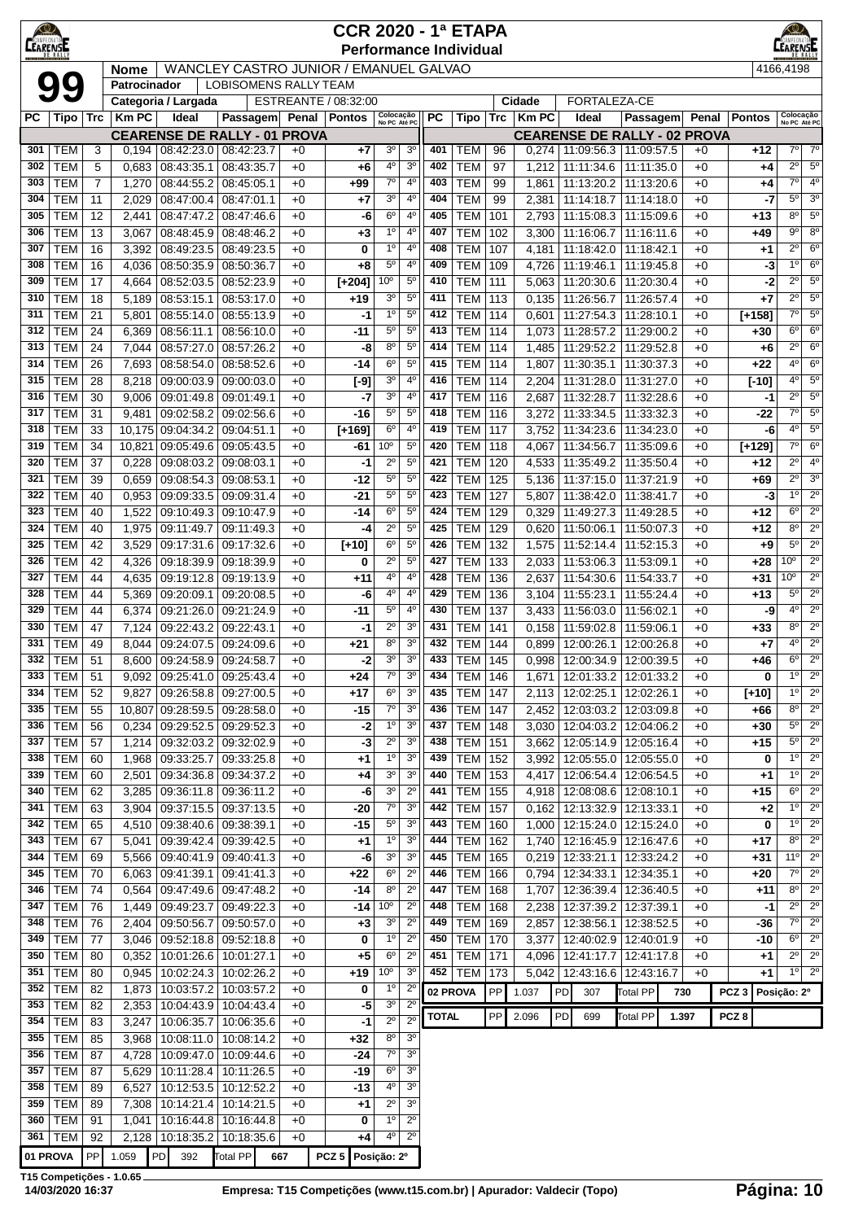| $\bigcirc$<br>LEARENSE |                          |                                                                                                                                                                                                                                                                                                                                                                                                                                                                                                                                                                                                                                                                |                                                                                                                                                                                       |                                      |                                                 |              | <b>CCR 2020 - 1ª ETAPA</b><br><b>Performance Individual</b> |                               |                                  |              |                                  |            |                |                          |                                                        |              |                  | <b>EARENS</b>                                                    |
|------------------------|--------------------------|----------------------------------------------------------------------------------------------------------------------------------------------------------------------------------------------------------------------------------------------------------------------------------------------------------------------------------------------------------------------------------------------------------------------------------------------------------------------------------------------------------------------------------------------------------------------------------------------------------------------------------------------------------------|---------------------------------------------------------------------------------------------------------------------------------------------------------------------------------------|--------------------------------------|-------------------------------------------------|--------------|-------------------------------------------------------------|-------------------------------|----------------------------------|--------------|----------------------------------|------------|----------------|--------------------------|--------------------------------------------------------|--------------|------------------|------------------------------------------------------------------|
|                        |                          |                                                                                                                                                                                                                                                                                                                                                                                                                                                                                                                                                                                                                                                                | <b>Nome</b>                                                                                                                                                                           |                                      | WANCLEY CASTRO JUNIOR / EMANUEL GALVAO          |              |                                                             |                               |                                  |              |                                  |            |                |                          |                                                        |              |                  | 4166,4198                                                        |
|                        | 99                       |                                                                                                                                                                                                                                                                                                                                                                                                                                                                                                                                                                                                                                                                | Patrocinador                                                                                                                                                                          |                                      | <b>LOBISOMENS RALLY TEAM</b>                    |              |                                                             |                               |                                  |              |                                  |            |                |                          |                                                        |              |                  |                                                                  |
|                        |                          |                                                                                                                                                                                                                                                                                                                                                                                                                                                                                                                                                                                                                                                                |                                                                                                                                                                                       | Categoria / Largada                  |                                                 |              | ESTREANTE / 08:32:00                                        |                               |                                  |              |                                  |            | Cidade         | FORTALEZA-CE             |                                                        |              |                  |                                                                  |
| РC                     | Tipo                     | Trc                                                                                                                                                                                                                                                                                                                                                                                                                                                                                                                                                                                                                                                            | <b>KmPC</b>                                                                                                                                                                           | Ideal                                | Passagem<br><b>CEARENSE DE RALLY - 01 PROVA</b> | Penal        | Pontos                                                      | Colocação<br>No PC Até PC     |                                  | <b>PC</b>    | Tipo                             | Trc        | <b>Km PC</b>   | Ideal                    | <b>Passagem</b><br><b>CEARENSE DE RALLY - 02 PROVA</b> | Penal        | <b>Pontos</b>    | Colocação<br>No PC Até PC                                        |
| 301                    | TEM                      | 3                                                                                                                                                                                                                                                                                                                                                                                                                                                                                                                                                                                                                                                              | 0.194                                                                                                                                                                                 | 08:42:23.0                           | 08:42:23.7                                      | $+0$         | +7                                                          | 3 <sup>o</sup>                | 3 <sup>0</sup>                   | 401          | тем                              | 96         | 0,274          |                          | 11:09:56.3   11:09:57.5                                | +0           | $+12$            | $7^\circ$<br>$7^\circ$                                           |
| 302                    | <b>TEM</b>               | 5                                                                                                                                                                                                                                                                                                                                                                                                                                                                                                                                                                                                                                                              | 0,683                                                                                                                                                                                 | 08:43:35.1                           | 08:43:35.7                                      | $+0$         | +6                                                          | 4°                            | 3 <sup>o</sup>                   | 402          | <b>TEM</b>                       | 97         | 1,212          | 11:11:34.6               | 11:11:35.0                                             | $+0$         | $+4$             | $2^{\circ}$<br>$5^{\circ}$                                       |
| 303                    | <b>TEM</b>               | 7                                                                                                                                                                                                                                                                                                                                                                                                                                                                                                                                                                                                                                                              | 1,270                                                                                                                                                                                 | 08:44:55.2                           | 08:45:05.1                                      | $+0$         | +99                                                         | $7^{\circ}$                   | $4^{\circ}$                      | 403          | <b>TEM</b>                       | 99         | 1,861          | 11:13:20.2               | 11:13:20.6                                             | $+0$         | +4               | $7^\circ$<br>$4^{\circ}$                                         |
| 304                    | <b>TEM</b>               | 11                                                                                                                                                                                                                                                                                                                                                                                                                                                                                                                                                                                                                                                             | 2,029                                                                                                                                                                                 | 08:47:00.4                           | 08:47:01.1                                      | $+0$         | +7                                                          | 3 <sup>o</sup>                | $4^{\circ}$                      | 404          | <b>TEM</b>                       | 99         | 2,381          | 11:14:18.7               | 11:14:18.0                                             | $+0$         | -7               | 3 <sup>o</sup><br>$5^{\circ}$                                    |
| 305<br>306             | <b>TEM</b><br><b>TEM</b> | 12<br>13                                                                                                                                                                                                                                                                                                                                                                                                                                                                                                                                                                                                                                                       | 2,441                                                                                                                                                                                 | 08:47:47.2                           | 08:47:46.6                                      | $+0$         | -6                                                          | $6^{\circ}$<br>$1^{\circ}$    | 4 <sup>0</sup><br>4 <sup>0</sup> | 405<br>407   | TEM<br><b>TEM</b>                | 101<br>102 | 2,793          | 11:15:08.3               | 11:15:09.6                                             | $+0$         | +13              | 5 <sup>0</sup><br>8 <sup>o</sup><br>90<br>$8^{\circ}$            |
| 307                    | <b>TEM</b>               | 16                                                                                                                                                                                                                                                                                                                                                                                                                                                                                                                                                                                                                                                             | 3,067<br>3,392                                                                                                                                                                        | 08:48:45.9<br>08:49:23.5             | 08:48:46.2<br>08:49:23.5                        | $+0$<br>$+0$ | +3<br>0                                                     | 1 <sup>°</sup>                | $4^{\circ}$                      | 408          | <b>TEM</b>                       | 107        | 3,300<br>4,181 | 11:16:06.7<br>11:18:42.0 | 11:16:11.6<br>11:18:42.1                               | $+0$<br>$+0$ | $+49$<br>$+1$    | 20<br>$6^{\circ}$                                                |
| 308                    | <b>TEM</b>               | 16                                                                                                                                                                                                                                                                                                                                                                                                                                                                                                                                                                                                                                                             | 4,036                                                                                                                                                                                 | 08:50:35.9                           | 08:50:36.7                                      | $+0$         | +8                                                          | $5^{\circ}$                   | $4^{\circ}$                      | 409          | TEM                              | 109        | 4,726          | 11:19:46.1               | 11:19:45.8                                             | $+0$         | -3               | 1 <sup>0</sup><br>$6^{\circ}$                                    |
| 309                    | <b>TEM</b>               | 17                                                                                                                                                                                                                                                                                                                                                                                                                                                                                                                                                                                                                                                             | 4,664                                                                                                                                                                                 | 08:52:03.5                           | 08:52:23.9                                      | $+0$         | $[+204]$                                                    | 10 <sup>o</sup>               | $5^{\circ}$                      | 410          | <b>TEM</b>                       | 111        | 5,063          | 11:20:30.6               | 11:20:30.4                                             | $+0$         | -2               | 5 <sup>o</sup><br>$2^{\circ}$                                    |
| 310                    | <b>TEM</b>               | 18                                                                                                                                                                                                                                                                                                                                                                                                                                                                                                                                                                                                                                                             | 5,189                                                                                                                                                                                 | 08:53:15.1                           | 08:53:17.0                                      | $+0$         | +19                                                         | 3 <sup>o</sup>                | $5^{\circ}$                      | 411          | TEM                              | 113        | 0,135          | 11:26:56.7               | 11:26:57.4                                             | $+0$         | $+7$             | $5^{\circ}$<br>$2^{\circ}$                                       |
| 311                    | <b>TEM</b>               | 21                                                                                                                                                                                                                                                                                                                                                                                                                                                                                                                                                                                                                                                             | 5,801                                                                                                                                                                                 | 08:55:14.0                           | 08:55:13.9                                      | $+0$         | -1                                                          | $1^{\circ}$                   | $5^{\circ}$                      | 412          | <b>TEM</b>                       | 114        | 0,601          | 11:27:54.3               | 11:28:10.1                                             | $+0$         | $[+158]$         | $5^{\circ}$<br>$7^\circ$                                         |
| 312<br>313             | <b>TEM</b><br><b>TEM</b> | 24<br>24                                                                                                                                                                                                                                                                                                                                                                                                                                                                                                                                                                                                                                                       | 6,369<br>7,044                                                                                                                                                                        | 08:56:11.1<br>08:57:27.0             | 08:56:10.0<br>08:57:26.2                        | $+0$<br>$+0$ | -11<br>-8                                                   | $5^{\circ}$<br>$8^{\circ}$    | 5 <sup>o</sup><br>$5^{\circ}$    | 413<br>414   | <b>TEM</b><br>TEM                | 114<br>114 | 1,073<br>1,485 | 11:28:57.2<br>11:29:52.2 | 11:29:00.2<br>11:29:52.8                               | $+0$<br>$+0$ | $+30$<br>$+6$    | $6^{\circ}$<br>$6^{\circ}$<br>$2^{\circ}$<br>6 <sup>o</sup>      |
| 314                    | <b>TEM</b>               | 26                                                                                                                                                                                                                                                                                                                                                                                                                                                                                                                                                                                                                                                             | 7,693                                                                                                                                                                                 | 08:58:54.0                           | 08:58:52.6                                      | $+0$         | -14                                                         | $6^{\circ}$                   | $5^{\circ}$                      | 415          | <b>TEM</b>                       | 114        | 1,807          | 11:30:35.1               | 11:30:37.3                                             | $+0$         | $+22$            | $6^{\circ}$<br>40                                                |
| 315                    | <b>TEM</b>               | 28                                                                                                                                                                                                                                                                                                                                                                                                                                                                                                                                                                                                                                                             | 8,218                                                                                                                                                                                 | 09:00:03.9                           | 09:00:03.0                                      | $+0$         | $[-9]$                                                      | 3 <sup>o</sup>                | 4 <sup>0</sup>                   | 416          | <b>TEM</b>                       | 114        | 2,204          | 11:31:28.0               | 11:31:27.0                                             | $+0$         | $[-10]$          | 40<br>$5^{\circ}$                                                |
| 316                    | <b>TEM</b>               | 30                                                                                                                                                                                                                                                                                                                                                                                                                                                                                                                                                                                                                                                             | 9,006                                                                                                                                                                                 | 09:01:49.8                           | 09:01:49.1                                      | $+0$         | -7                                                          | 3 <sup>o</sup>                | 4 <sup>0</sup>                   | 417          | <b>TEM</b>                       | 116        | 2,687          | 11:32:28.7               | 11:32:28.6                                             | $+0$         | -1               | $5^{\rm o}$<br>$2^{\circ}$                                       |
| 317                    | <b>TEM</b>               | $5^{\circ}$<br>$5^{\circ}$<br>418<br>TEM<br>31<br>9,481<br>09:02:58.2<br>09:02:56.6<br>-16<br>116<br>3,272<br>11:33:34.5<br>11:33:32.3<br>$+0$<br>$+0$<br>6 <sup>o</sup><br>4 <sup>0</sup><br>419<br>09:04:34.2<br>$[+169]$<br>TEM<br>117<br>11:34:23.6<br>11:34:23.0<br>33<br>10,175<br>09:04:51.1<br>$+0$<br>3,752<br>$+0$<br>10 <sup>o</sup><br>5 <sup>0</sup><br>420<br><b>TEM</b><br>34<br>10,821<br>09:05:49.6<br>09:05:43.5<br>$+0$<br>-61<br>118<br>4,067<br>11:34:56.7<br>11:35:09.6<br>$+0$<br>$2^{\circ}$<br>$5^{\circ}$<br>421<br>TEM<br>37<br>0,228<br>09:08:03.2<br>09:08:03.1<br>$+0$<br>-1<br>120<br>4,533<br>11:35:49.2<br>11:35:50.4<br>$+0$ |                                                                                                                                                                                       |                                      |                                                 |              |                                                             |                               |                                  |              |                                  |            |                |                          |                                                        |              | -22<br>-6        | $7^\circ$<br>$5^{\circ}$                                         |
| 318                    | <b>TEM</b>               |                                                                                                                                                                                                                                                                                                                                                                                                                                                                                                                                                                                                                                                                | $[+129]$<br>$+12$<br>5 <sup>0</sup><br>$5^{\circ}$<br>422<br><b>TEM</b><br>125<br>39<br>0,659<br>09:08:54.3<br>09:08:53.1<br>-12<br>11:37:15.0<br>11:37:21.9<br>$+0$<br>$+0$<br>5,136 |                                      |                                                 |              |                                                             |                               |                                  |              |                                  |            |                |                          |                                                        |              |                  | 5 <sup>o</sup><br>4 <sup>0</sup>                                 |
| 319<br>320             | <b>TEM</b><br><b>TEM</b> |                                                                                                                                                                                                                                                                                                                                                                                                                                                                                                                                                                                                                                                                | $5^{\circ}$<br>$5^{\circ}$<br>423<br>09:09:33.5<br><b>TEM</b><br>127<br>11:38:42.0<br>40<br>0,953<br>09:09:31.4<br>$+0$<br>-21<br>5,807<br>11:38:41.7<br>$+0$                         |                                      |                                                 |              |                                                             |                               |                                  |              |                                  |            |                |                          |                                                        |              |                  | $7^\circ$<br>$6^{\circ}$<br>4 <sup>0</sup><br>20                 |
| 321                    | <b>TEM</b>               |                                                                                                                                                                                                                                                                                                                                                                                                                                                                                                                                                                                                                                                                |                                                                                                                                                                                       |                                      |                                                 |              |                                                             |                               |                                  |              |                                  |            |                |                          |                                                        |              | +69              | $2^{\circ}$<br>3 <sup>o</sup>                                    |
| 322                    | <b>TEM</b>               |                                                                                                                                                                                                                                                                                                                                                                                                                                                                                                                                                                                                                                                                |                                                                                                                                                                                       |                                      |                                                 |              |                                                             |                               |                                  |              |                                  |            |                |                          |                                                        |              | -3               | $2^{\circ}$<br>$1^{\circ}$                                       |
| 323                    | TEM                      | 40                                                                                                                                                                                                                                                                                                                                                                                                                                                                                                                                                                                                                                                             | 1,522                                                                                                                                                                                 | 09:10:49.3                           | 09:10:47.9                                      | $+0$         | $-14$                                                       | $6^{\circ}$                   | $5^{\circ}$                      | 424          | <b>TEM</b>                       | 129        | 0,329          | 11:49:27.3               | 11:49:28.5                                             | $+0$         | +12              | $2^{\circ}$<br>$6^{\circ}$                                       |
| 324                    | <b>TEM</b>               | 40                                                                                                                                                                                                                                                                                                                                                                                                                                                                                                                                                                                                                                                             | 1,975                                                                                                                                                                                 | 09:11:49.7                           | 09:11:49.3                                      | $+0$         | -4                                                          | $2^{\circ}$                   | $5^{\circ}$                      | 425          | TEM                              | 129        | 0,620          | 11:50:06.1               | 11:50:07.3                                             | $+0$         | $+12$            | $8^{\circ}$<br>$2^{\circ}$                                       |
| 325                    | <b>TEM</b>               | 42                                                                                                                                                                                                                                                                                                                                                                                                                                                                                                                                                                                                                                                             | 3,529                                                                                                                                                                                 | 09:17:31.6                           | 09:17:32.6                                      | $+0$         | $[+10]$                                                     | $6^{\circ}$                   | $5^{\circ}$                      | 426          | <b>TEM</b>                       | 132        | 1,575          | 11:52:14.4               | 11:52:15.3                                             | $+0$         | $+9$             | $2^{\circ}$<br>5 <sup>0</sup>                                    |
| 326<br>327             | <b>TEM</b><br><b>TEM</b> | 42<br>44                                                                                                                                                                                                                                                                                                                                                                                                                                                                                                                                                                                                                                                       | 4,326<br>4,635                                                                                                                                                                        | 09:18:39.9<br>09:19:12.8             | 09:18:39.9<br>09:19:13.9                        | $+0$<br>$+0$ | 0<br>$+11$                                                  | $2^{\circ}$<br>4°             | $5^{\circ}$<br>4 <sup>0</sup>    | 427<br>428   | <b>TEM</b><br>TEM                | 133<br>136 | 2,033<br>2,637 | 11:53:06.3<br>11:54:30.6 | 11:53:09.1<br>11:54:33.7                               | $+0$<br>$+0$ | $+28$<br>$+31$   | $2^{\circ}$<br>10 <sup>o</sup><br>$2^{\circ}$<br>10 <sup>o</sup> |
| 328                    | <b>TEM</b>               | 44                                                                                                                                                                                                                                                                                                                                                                                                                                                                                                                                                                                                                                                             | 5,369                                                                                                                                                                                 | 09:20:09.1                           | 09:20:08.5                                      | $+0$         | -6                                                          | $4^{\circ}$                   | 4 <sup>0</sup>                   | 429          | <b>TEM</b>                       | 136        | 3,104          | 11:55:23.1               | 11:55:24.4                                             | $+0$         | $+13$            | $2^{\circ}$<br>5 <sup>o</sup>                                    |
| 329                    | <b>TEM</b>               | 44                                                                                                                                                                                                                                                                                                                                                                                                                                                                                                                                                                                                                                                             | 6,374                                                                                                                                                                                 | 09:21:26.0                           | 09:21:24.9                                      | $+0$         | -11                                                         | $5^{\circ}$                   | $4^{\circ}$                      | 430          | <b>TEM</b>                       | 137        | 3,433          | 11:56:03.0               | 11:56:02.1                                             | $+0$         | -9               | $2^{\circ}$<br>4°                                                |
| 330                    | <b>TEM</b>               | 47                                                                                                                                                                                                                                                                                                                                                                                                                                                                                                                                                                                                                                                             | 7,124                                                                                                                                                                                 | 09:22:43.2                           | 09:22:43.1                                      | $+0$         | -1                                                          | $2^{\circ}$                   | 3 <sup>o</sup>                   | 431          | <b>TEM</b>                       | 141        | 0,158          | 11:59:02.8               | 11:59:06.1                                             | $+0$         | $+33$            | $\overline{2^0}$<br>80                                           |
| 331                    | <b>TEM</b>               | 49                                                                                                                                                                                                                                                                                                                                                                                                                                                                                                                                                                                                                                                             | 8,044                                                                                                                                                                                 | 09:24:07.5                           | 09:24:09.6                                      | $+0$         | +21                                                         | $8^{\circ}$                   | 3 <sup>o</sup>                   | 432          | TEM                              | 144        | 0,899          | 12:00:26.1               | 12:00:26.8                                             | $+0$         | $+7$             | $2^{\circ}$<br>40                                                |
| 332                    | <b>TEM</b>               | 51                                                                                                                                                                                                                                                                                                                                                                                                                                                                                                                                                                                                                                                             |                                                                                                                                                                                       | 8.600 09:24:58.9 09:24:58.7          |                                                 | $+0$         | $-2$                                                        | 3 <sup>0</sup>                | 3 <sup>0</sup>                   | 433          | <b>TEM</b>                       | 145        | 0.998          |                          | 12:00:34.9 12:00:39.5                                  | $+0$         | $+46$            | $2^{\circ}$<br>$6^{\circ}$                                       |
| 334                    | 333 TEM<br><b>TEM</b>    | 51                                                                                                                                                                                                                                                                                                                                                                                                                                                                                                                                                                                                                                                             |                                                                                                                                                                                       | 9,092 09:25:41.0                     | 09:25:43.4<br>09:27:00.5                        | $+0$         | $+24$                                                       | $7^\circ$<br>$6^{\circ}$      | 3 <sup>o</sup><br>3 <sup>o</sup> | 434<br>435   | <b>TEM 146</b><br><b>TEM 147</b> |            | 1,671          |                          | 12:01:33.2   12:01:33.2                                | $+0$         | 0                | 1 <sup>0</sup><br>$2^{\circ}$<br>$2^{\circ}$<br>$1^{\circ}$      |
| 335                    | <b>TEM</b>               | 52<br>55                                                                                                                                                                                                                                                                                                                                                                                                                                                                                                                                                                                                                                                       | 9,827                                                                                                                                                                                 | 09:26:58.8<br>10,807 09:28:59.5      | 09:28:58.0                                      | $+0$<br>$+0$ | $+17$<br>$-15$                                              | 7 <sup>o</sup>                | 3 <sup>o</sup>                   | 436          | $TEM$ 147                        |            | 2,113<br>2,452 | 12:03:03.2               | 12:02:25.1   12:02:26.1<br>12:03:09.8                  | $+0$<br>$+0$ | $[+10]$<br>+66   | $2^{\circ}$<br>80                                                |
| 336                    | <b>TEM</b>               | 56                                                                                                                                                                                                                                                                                                                                                                                                                                                                                                                                                                                                                                                             |                                                                                                                                                                                       | 0,234 09:29:52.5                     | 09:29:52.3                                      | $+0$         | $-2$                                                        | $1^{\circ}$                   | 3 <sup>o</sup>                   | 437          | <b>TEM</b>                       | 148        | 3,030          |                          | 12:04:03.2 12:04:06.2                                  | $+0$         | $+30$            | $2^{\circ}$<br>5°                                                |
| 337                    | <b>TEM</b>               | 57                                                                                                                                                                                                                                                                                                                                                                                                                                                                                                                                                                                                                                                             | 1,214                                                                                                                                                                                 | 09:32:03.2                           | 09:32:02.9                                      | $+0$         | -3                                                          | $2^{\circ}$                   | 3 <sup>o</sup>                   | 438          | <b>TEM 151</b>                   |            | 3,662          |                          | 12:05:14.9 12:05:16.4                                  | +0           | +15              | $2^{\circ}$<br>$5^{\circ}$                                       |
| 338                    | <b>TEM</b>               | 60                                                                                                                                                                                                                                                                                                                                                                                                                                                                                                                                                                                                                                                             | 1,968                                                                                                                                                                                 | 09:33:25.7                           | 09:33:25.8                                      | $+0$         | +1                                                          | $1^{\circ}$                   | 3 <sup>o</sup>                   | 439          | <b>TEM</b>                       | 152        | 3,992          | 12:05:55.0               | 12:05:55.0                                             | $+0$         | 0                | $2^{\circ}$<br>10                                                |
| 339                    | <b>TEM</b>               | 60                                                                                                                                                                                                                                                                                                                                                                                                                                                                                                                                                                                                                                                             | 2,501                                                                                                                                                                                 | 09:34:36.8                           | 09:34:37.2                                      | $+0$         | +4                                                          | 3 <sup>o</sup>                | 3 <sup>o</sup>                   | 440          | TEM                              | 153        | 4,417          | 12:06:54.4               | 12:06:54.5                                             | $+0$         | +1               | $2^{\circ}$<br>$1^{\circ}$                                       |
| 340                    | <b>TEM</b>               | 62                                                                                                                                                                                                                                                                                                                                                                                                                                                                                                                                                                                                                                                             | 3,285                                                                                                                                                                                 | 09:36:11.8                           | 09:36:11.2                                      | $+0$         | -6                                                          | 3 <sup>o</sup><br>$7^\circ$   | $2^{\circ}$<br>3 <sup>o</sup>    | 441<br>442   | TEM<br><b>TEM</b>                | 155        | 4,918          | 12:08:08.6               | 12:08:10.1                                             | $+0$         | $+15$            | $2^{\circ}$<br>6°<br>$2^{\circ}$<br>1 <sup>0</sup>               |
| 341<br>342             | <b>TEM</b><br><b>TEM</b> | 63<br>65                                                                                                                                                                                                                                                                                                                                                                                                                                                                                                                                                                                                                                                       | 3,904<br>4,510                                                                                                                                                                        | 09:37:15.5<br>09:38:40.6             | 09:37:13.5<br>09:38:39.1                        | $+0$<br>$+0$ | $-20$<br>$-15$                                              | $5^{\circ}$                   | 3 <sup>o</sup>                   | 443          | <b>TEM</b>                       | 157<br>160 | 0,162<br>1,000 | 12:13:32.9               | 12:13:33.1<br>12:15:24.0   12:15:24.0                  | $+0$<br>$+0$ | $+2$<br>0        | 10<br>$2^{\circ}$                                                |
| 343                    | <b>TEM</b>               | 67                                                                                                                                                                                                                                                                                                                                                                                                                                                                                                                                                                                                                                                             | 5,041                                                                                                                                                                                 | 09:39:42.4                           | 09:39:42.5                                      | $+0$         | +1                                                          | $1^{\circ}$                   | 3 <sup>o</sup>                   | 444          | <b>TEM</b>                       | 162        | 1,740          |                          | 12:16:45.9 12:16:47.6                                  | $+0$         | $+17$            | $2^{\circ}$<br>$8^{\circ}$                                       |
| 344                    | <b>TEM</b>               | 69                                                                                                                                                                                                                                                                                                                                                                                                                                                                                                                                                                                                                                                             |                                                                                                                                                                                       |                                      | 5,566   09:40:41.9   09:40:41.3                 | $+0$         | -6                                                          | 3 <sup>o</sup>                | 3 <sup>o</sup>                   | 445          | <b>TEM</b>                       | 165        | 0,219          | 12:33:21.1               | 12:33:24.2                                             | +0           | +31              | $2^{\circ}$<br>11°                                               |
| 345                    | <b>TEM</b>               | 70                                                                                                                                                                                                                                                                                                                                                                                                                                                                                                                                                                                                                                                             |                                                                                                                                                                                       | 6,063 09:41:39.1                     | 09:41:41.3                                      | $+0$         | +22                                                         | $6^{\circ}$                   | $2^{\circ}$                      | 446          | <b>TEM</b>                       | 166        | 0,794          | 12:34:33.1               | 12:34:35.1                                             | $+0$         | $+20$            | $2^{\circ}$<br>$7^\circ$                                         |
| 346                    | <b>TEM</b>               | 74                                                                                                                                                                                                                                                                                                                                                                                                                                                                                                                                                                                                                                                             | 0,564                                                                                                                                                                                 | 09:47:49.6                           | 09:47:48.2                                      | $+0$         | $-14$                                                       | 8 <sup>o</sup>                | $2^{\circ}$                      | 447          | <b>TEM</b>                       | 168        | 1,707          | 12:36:39.4               | 12:36:40.5                                             | +0           | +11              | $2^{\circ}$<br>8 <sup>o</sup>                                    |
| 347                    | <b>TEM</b>               | 76                                                                                                                                                                                                                                                                                                                                                                                                                                                                                                                                                                                                                                                             |                                                                                                                                                                                       | 1,449 09:49:23.7                     | 09:49:22.3                                      | $+0$         | $-14$                                                       | 10 <sup>o</sup>               | $2^{\circ}$                      | 448          | TEM                              | 168        | 2,238          | 12:37:39.2               | 12:37:39.1                                             | $+0$         | -1               | $2^{\circ}$<br>2º<br>$2^{\circ}$<br>7º                           |
| 348<br>349             | <b>TEM</b><br><b>TEM</b> | 76<br>77                                                                                                                                                                                                                                                                                                                                                                                                                                                                                                                                                                                                                                                       |                                                                                                                                                                                       | 2,404 09:50:56.7<br>3,046 09:52:18.8 | 09:50:57.0<br>09:52:18.8                        | $+0$<br>$+0$ | +3<br>0                                                     | 3 <sup>o</sup><br>$1^{\circ}$ | $2^{\circ}$<br>$2^{\circ}$       | 449<br>450   | <b>TEM</b><br><b>TEM</b>         | 169<br>170 | 2,857<br>3,377 | 12:38:56.1               | 12:38:52.5<br>12:40:02.9 12:40:01.9                    | $+0$<br>+0   | -36<br>-10       | $2^{\circ}$<br>$6^{\circ}$                                       |
| 350                    | <b>TEM</b>               | 80                                                                                                                                                                                                                                                                                                                                                                                                                                                                                                                                                                                                                                                             |                                                                                                                                                                                       | $0,352$ 10:01:26.6                   | 10:01:27.1                                      | $+0$         | $+5$                                                        | 6 <sup>o</sup>                | $2^{\circ}$                      | 451          | <b>TEM</b>                       | 171        | 4,096          | 12:41:17.7               | 12:41:17.8                                             | $+0$         | +1               | $2^{\circ}$<br>$2^{\circ}$                                       |
| 351                    | <b>TEM</b>               | 80                                                                                                                                                                                                                                                                                                                                                                                                                                                                                                                                                                                                                                                             |                                                                                                                                                                                       | 0,945   10:02:24.3                   | 10:02:26.2                                      | $+0$         | $+19$                                                       | 10 <sup>o</sup>               | 3 <sup>0</sup>                   | 452          | <b>TEM 173</b>                   |            |                |                          | 5,042   12:43:16.6   12:43:16.7                        | $+0$         | +1               | $2^{\circ}$<br>$1^{\circ}$                                       |
| 352                    | <b>TEM</b>               | 82                                                                                                                                                                                                                                                                                                                                                                                                                                                                                                                                                                                                                                                             |                                                                                                                                                                                       | 1,873 10:03:57.2                     | 10:03:57.2                                      | $+0$         | 0                                                           | $1^{\circ}$                   | $2^{\circ}$                      |              | 02 PROVA                         | PP         | 1.037          | PD<br>307                | Total PP<br>730                                        |              | PCZ <sub>3</sub> | Posição: 2º                                                      |
| 353                    | <b>TEM</b>               | 82                                                                                                                                                                                                                                                                                                                                                                                                                                                                                                                                                                                                                                                             |                                                                                                                                                                                       | 2,353   10:04:43.9                   | 10:04:43.4                                      | $+0$         | -5                                                          | 3 <sup>o</sup>                | $2^{\circ}$                      | <b>TOTAL</b> |                                  | PP         | 2.096          | PD<br>699                | Total PP                                               | 1.397        | PCZ <sub>8</sub> |                                                                  |
| 354                    | <b>TEM</b>               | 83                                                                                                                                                                                                                                                                                                                                                                                                                                                                                                                                                                                                                                                             | 3,247                                                                                                                                                                                 | 10:06:35.7                           | 10:06:35.6                                      | $+0$         | -1                                                          | $2^{\circ}$                   | $2^{\circ}$                      |              |                                  |            |                |                          |                                                        |              |                  |                                                                  |
| 355<br>356             | <b>TEM</b><br><b>TEM</b> | 85<br>87                                                                                                                                                                                                                                                                                                                                                                                                                                                                                                                                                                                                                                                       | 3,968<br>4,728                                                                                                                                                                        | 10:08:11.0<br>10:09:47.0             | 10:08:14.2<br>10:09:44.6                        | $+0$         | $+32$<br>$-24$                                              | $8^{\circ}$<br>7 <sup>o</sup> | 3 <sup>o</sup><br>3 <sup>o</sup> |              |                                  |            |                |                          |                                                        |              |                  |                                                                  |
| 357                    | <b>TEM</b>               | 87                                                                                                                                                                                                                                                                                                                                                                                                                                                                                                                                                                                                                                                             | 5,629                                                                                                                                                                                 | 10:11:28.4                           | 10:11:26.5                                      | $+0$<br>$+0$ | -19                                                         | 6 <sup>o</sup>                | 3 <sup>o</sup>                   |              |                                  |            |                |                          |                                                        |              |                  |                                                                  |
| 358                    | <b>TEM</b>               | 89                                                                                                                                                                                                                                                                                                                                                                                                                                                                                                                                                                                                                                                             | 6,527                                                                                                                                                                                 | 10:12:53.5                           | 10:12:52.2                                      | $+0$         | -13                                                         | $4^{\circ}$                   | 3 <sup>o</sup>                   |              |                                  |            |                |                          |                                                        |              |                  |                                                                  |
| 359                    | <b>TEM</b>               | 89                                                                                                                                                                                                                                                                                                                                                                                                                                                                                                                                                                                                                                                             | 7,308                                                                                                                                                                                 | 10:14:21.4                           | 10:14:21.5                                      | $+0$         | +1                                                          | $2^{\circ}$                   | 3 <sup>o</sup>                   |              |                                  |            |                |                          |                                                        |              |                  |                                                                  |
|                        | 360   TEM                | 91                                                                                                                                                                                                                                                                                                                                                                                                                                                                                                                                                                                                                                                             | 1,041                                                                                                                                                                                 | 10:16:44.8                           | 10:16:44.8                                      | $+0$         | 0                                                           | 1 <sup>0</sup>                | $2^{\circ}$                      |              |                                  |            |                |                          |                                                        |              |                  |                                                                  |
|                        | 361 TEM                  | 92                                                                                                                                                                                                                                                                                                                                                                                                                                                                                                                                                                                                                                                             |                                                                                                                                                                                       | 2,128 10:18:35.2                     | 10:18:35.6                                      | $+0$         | +4                                                          | $4^{\circ}$                   | $2^{\circ}$                      |              |                                  |            |                |                          |                                                        |              |                  |                                                                  |
| 01 PROVA               |                          | PP                                                                                                                                                                                                                                                                                                                                                                                                                                                                                                                                                                                                                                                             | 1.059                                                                                                                                                                                 | PD<br>392                            | Total PP                                        | 667          | PCZ 5 Posição: 2º                                           |                               |                                  |              |                                  |            |                |                          |                                                        |              |                  |                                                                  |